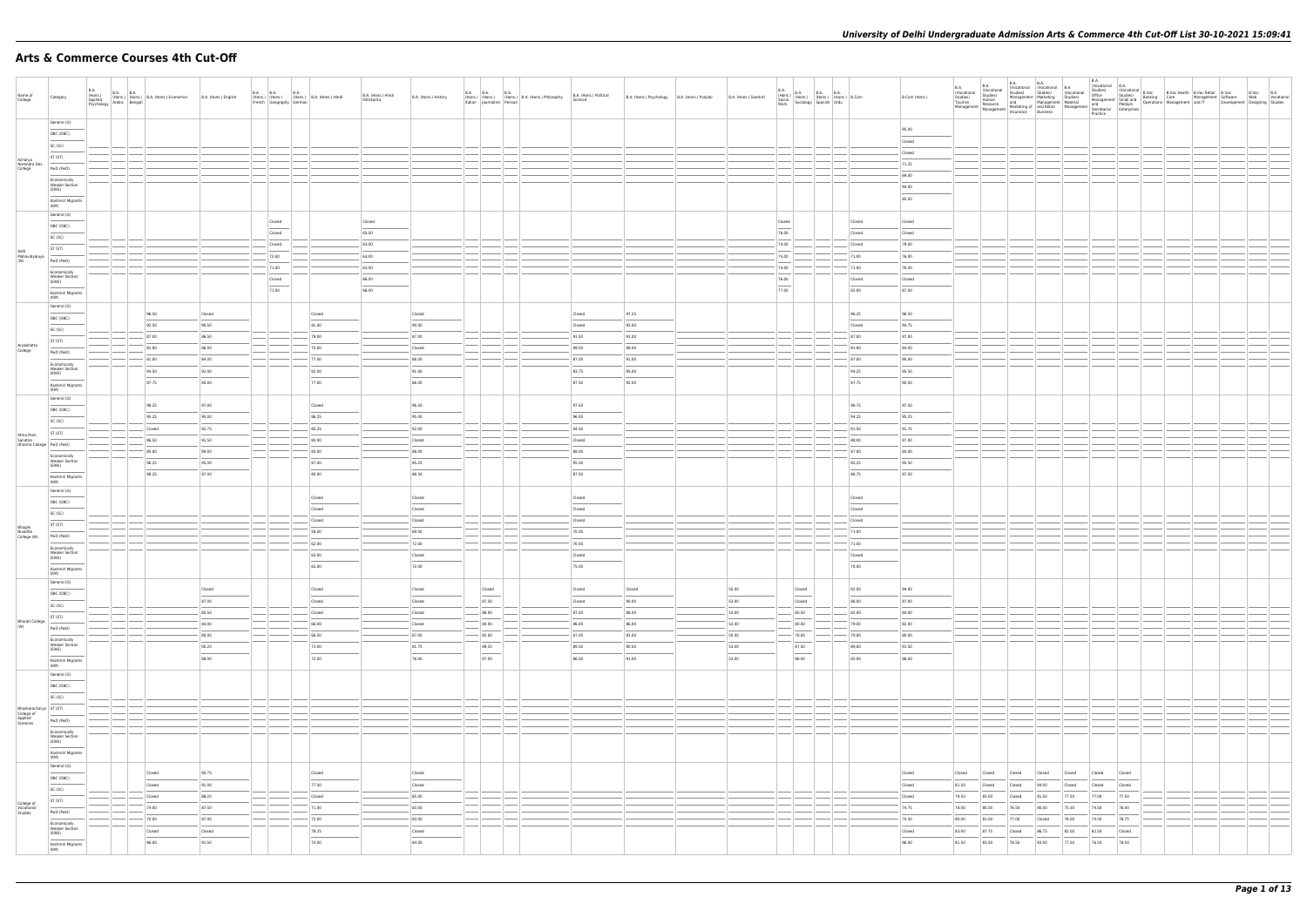# **Arts & Commerce Courses 4th Cut-Off**

| Name of<br>College                                          | Category                                                                                                                                                                                                                                                                                                                                                                                                                                                                                                                                                                                                                                                                                                                                                                                                                                                                                                                                                                                                                                      | <b>B.A.</b><br>(Hons.)<br>Applied<br>Psychology |      | B.A. B.A.<br>(Hons.) (Hons.) B.A. (Hons.) Economics<br>x Arabic Bengali | B.A. (Hons.) English              |                                     |                                      | B.A. B.A. (Hons.) (B.A. (Hons.) B.A. (Hons.) Hindi<br>French Geography German (Hons.) Hindi | B.A. (Hons.) Hindi<br>Patrikarita | B.A. (Hons.) History               |                                                                                                                                                                                                                                                                                                                                                                                                                                                                                               |                | B.A. (B.A. B.A. (Hons.)<br>(Hons.) (Hons.) (Hons.) B.A. (Hons.) Philosophy<br>Italian Journalism Persian | B.A. (Hons.) Political<br>Science |                                  | B.A. (Hons.) Psychology B.A. (Hons.) Punjabi | B.A. (Hons.) Sanskrit                                        |                                    |                                                              | B.A. (Hons.) B.A. B.A. B.A. (Hons.) B.Com<br>Social (Hons.) (Hons.) (Hons.) B.Com<br>Work Sociology Spanish Urdu |                                      | B.Com (Hons.)                      | B.A.<br>(Vocational<br>Studies)<br>Tourism<br>Management             | Vocational<br>Studies)<br>Human<br>Resource | B.A.<br><b>B.A.</b>                                                     |                                  |                                  | B.A.<br>(Vocational B.A.          |  |  | B.Voc B.A<br>Web Vocational<br>Development Designing Studies |
|-------------------------------------------------------------|-----------------------------------------------------------------------------------------------------------------------------------------------------------------------------------------------------------------------------------------------------------------------------------------------------------------------------------------------------------------------------------------------------------------------------------------------------------------------------------------------------------------------------------------------------------------------------------------------------------------------------------------------------------------------------------------------------------------------------------------------------------------------------------------------------------------------------------------------------------------------------------------------------------------------------------------------------------------------------------------------------------------------------------------------|-------------------------------------------------|------|-------------------------------------------------------------------------|-----------------------------------|-------------------------------------|--------------------------------------|---------------------------------------------------------------------------------------------|-----------------------------------|------------------------------------|-----------------------------------------------------------------------------------------------------------------------------------------------------------------------------------------------------------------------------------------------------------------------------------------------------------------------------------------------------------------------------------------------------------------------------------------------------------------------------------------------|----------------|----------------------------------------------------------------------------------------------------------|-----------------------------------|----------------------------------|----------------------------------------------|--------------------------------------------------------------|------------------------------------|--------------------------------------------------------------|------------------------------------------------------------------------------------------------------------------|--------------------------------------|------------------------------------|----------------------------------------------------------------------|---------------------------------------------|-------------------------------------------------------------------------|----------------------------------|----------------------------------|-----------------------------------|--|--|--------------------------------------------------------------|
|                                                             | General (G)<br>OBC (OBC)<br>SC (SC)<br>ST (ST)                                                                                                                                                                                                                                                                                                                                                                                                                                                                                                                                                                                                                                                                                                                                                                                                                                                                                                                                                                                                |                                                 |      |                                                                         |                                   |                                     |                                      |                                                                                             |                                   |                                    |                                                                                                                                                                                                                                                                                                                                                                                                                                                                                               |                |                                                                                                          |                                   |                                  |                                              |                                                              |                                    |                                                              |                                                                                                                  |                                      | 95.00<br>Closed<br>Closed          |                                                                      |                                             |                                                                         |                                  |                                  |                                   |  |  |                                                              |
| Acharya<br>Narendra Dev<br>College                          | PwD (PwD)<br>Economically<br><b>Weaker Section</b><br>(EWS)<br>$\overline{\phantom{a}}$<br>Kashmiri Migrants                                                                                                                                                                                                                                                                                                                                                                                                                                                                                                                                                                                                                                                                                                                                                                                                                                                                                                                                  |                                                 |      |                                                                         |                                   |                                     |                                      |                                                                                             |                                   |                                    |                                                                                                                                                                                                                                                                                                                                                                                                                                                                                               |                |                                                                                                          |                                   |                                  |                                              |                                                              |                                    |                                                              |                                                                                                                  |                                      | 71.25<br>69.00<br>94.00<br>85.00   |                                                                      |                                             |                                                                         |                                  |                                  |                                   |  |  |                                                              |
|                                                             | (KM)<br>General (G)<br>OBC (OBC)<br>SC (SC)<br>ST (ST)                                                                                                                                                                                                                                                                                                                                                                                                                                                                                                                                                                                                                                                                                                                                                                                                                                                                                                                                                                                        |                                                 |      |                                                                         |                                   |                                     | Closed<br>Closed<br>Closed           |                                                                                             | Closed<br>65.00<br>$-63.00$       |                                    |                                                                                                                                                                                                                                                                                                                                                                                                                                                                                               |                |                                                                                                          |                                   |                                  |                                              |                                                              | Closed<br>$\sim$<br>76.00<br>74.00 |                                                              |                                                                                                                  | Closed<br>Closed<br>Closed           | Closed<br>Closed<br>79.00          |                                                                      |                                             |                                                                         |                                  |                                  |                                   |  |  |                                                              |
| Aditi<br>Mahavidyalaya<br>(W)                               | PwD (PwD)<br>Economically<br><b>Weaker Section</b><br>(EWS)<br>$\frac{1}{2}$<br>Kashmiri Migrants                                                                                                                                                                                                                                                                                                                                                                                                                                                                                                                                                                                                                                                                                                                                                                                                                                                                                                                                             |                                                 |      |                                                                         |                                   |                                     | 72.00<br>$-71.00$<br>Closed<br>71.00 |                                                                                             | 63.00<br>63.00<br>66.00<br>66.00  |                                    |                                                                                                                                                                                                                                                                                                                                                                                                                                                                                               |                |                                                                                                          |                                   |                                  |                                              |                                                              | 74.00<br>74.00<br>76.00<br>77.00   |                                                              |                                                                                                                  | 71.00<br>71.00<br>Closed<br>82.00    | 76.00<br>76.00<br>Closed<br>87.00  |                                                                      |                                             |                                                                         |                                  |                                  |                                   |  |  |                                                              |
|                                                             | (KM)<br>General (G)<br>OBC (OBC)<br>SC (SC)                                                                                                                                                                                                                                                                                                                                                                                                                                                                                                                                                                                                                                                                                                                                                                                                                                                                                                                                                                                                   |                                                 |      | 96.50<br>92.50<br>87.00                                                 | Closed<br>90.50<br>86.50          |                                     |                                      | Closed<br>81.00<br>$-79.00$                                                                 |                                   | Closed<br>90.50<br>87.00           |                                                                                                                                                                                                                                                                                                                                                                                                                                                                                               |                |                                                                                                          | Closed<br>Closed<br>91.50         | 97.25<br>93.00<br>91.00          |                                              |                                                              |                                    |                                                              |                                                                                                                  | 96.25<br>Closed<br>87.00             | 96.50<br>94.75<br>87.00            |                                                                      |                                             |                                                                         |                                  |                                  |                                   |  |  |                                                              |
| Aryabhatta<br>College                                       | ST (ST)<br>PwD (PwD)<br>Economically<br><b>Weaker Section</b><br>(EWS)<br>$\overline{\phantom{a}}$<br>Kashmiri Migrants                                                                                                                                                                                                                                                                                                                                                                                                                                                                                                                                                                                                                                                                                                                                                                                                                                                                                                                       |                                                 |      | 81.00<br>81.00<br>94.50<br>87.75                                        | 86.00<br>84.00<br>92.00<br>85.00  |                                     |                                      | 75.00<br>77.00<br>82.00<br>77.00                                                            |                                   | Closed<br>86.00<br>91.00<br>86.00  |                                                                                                                                                                                                                                                                                                                                                                                                                                                                                               |                |                                                                                                          | 89.50<br>87.00<br>93.75<br>87.50  | 88.00<br>91.00<br>95.00<br>92.00 |                                              |                                                              |                                    |                                                              |                                                                                                                  | 81.00<br>87.00<br>94.25<br>87.75     | 84.00<br>90.00<br>95.50<br>90.00   |                                                                      |                                             |                                                                         |                                  |                                  |                                   |  |  |                                                              |
|                                                             | (KM)<br>General (G)<br>OBC (OBC)<br>SC (SC)                                                                                                                                                                                                                                                                                                                                                                                                                                                                                                                                                                                                                                                                                                                                                                                                                                                                                                                                                                                                   |                                                 |      | 98.25<br>95.25<br>Closed                                                | 97.00<br>95.00<br>92.75           |                                     |                                      | Closed<br>86.25<br>85.25                                                                    |                                   | 96.50<br>95.00<br>92.00            |                                                                                                                                                                                                                                                                                                                                                                                                                                                                                               |                |                                                                                                          | 97.50<br>96.00<br>94.00           |                                  |                                              |                                                              |                                    |                                                              |                                                                                                                  | 96.75<br>94.25<br>91.50              | 97.50<br>95.25<br>91.75            |                                                                      |                                             |                                                                         |                                  |                                  |                                   |  |  |                                                              |
|                                                             | ST (ST)<br>Atma Ram<br>Sanatan<br>Dharma College PWD (PwD)<br>Economically<br><b>Weaker Section</b><br>(EWS)<br>$\overline{\phantom{a}}$                                                                                                                                                                                                                                                                                                                                                                                                                                                                                                                                                                                                                                                                                                                                                                                                                                                                                                      |                                                 |      | 86.50<br>85.00<br>96.25<br>88.25                                        | 91.50<br>90.00<br>95.00<br>87.00  |                                     |                                      | 83.00<br>83.00<br>87.00<br>80.00                                                            |                                   | Closed<br>88.00<br>95.25<br>86.50  |                                                                                                                                                                                                                                                                                                                                                                                                                                                                                               |                |                                                                                                          | Closed<br>88.00<br>95.50<br>87.50 |                                  |                                              |                                                              |                                    |                                                              |                                                                                                                  | 88.00<br>87.00<br>95.25<br>86.75     | 87.00<br>84.00<br>95.50<br>87.50   |                                                                      |                                             |                                                                         |                                  |                                  |                                   |  |  |                                                              |
|                                                             | Kashmiri Migrants<br>(KM)<br>General (G)<br>OBC (OBC)<br>SC (SC)                                                                                                                                                                                                                                                                                                                                                                                                                                                                                                                                                                                                                                                                                                                                                                                                                                                                                                                                                                              |                                                 |      |                                                                         |                                   |                                     |                                      | Closed<br>Closed                                                                            |                                   | Closed<br>Closed<br>Closed         |                                                                                                                                                                                                                                                                                                                                                                                                                                                                                               |                |                                                                                                          | Closed<br>Closed<br>Closed        |                                  |                                              |                                                              |                                    |                                                              |                                                                                                                  | Closed<br>Closed                     |                                    |                                                                      |                                             |                                                                         |                                  |                                  |                                   |  |  |                                                              |
| Bhagini<br>Nivedita<br>College (W)                          | ST (ST)<br>PwD (PwD)<br>Economically<br><b>Weaker Section</b><br>(EWS)                                                                                                                                                                                                                                                                                                                                                                                                                                                                                                                                                                                                                                                                                                                                                                                                                                                                                                                                                                        |                                                 |      |                                                                         |                                   |                                     |                                      | Closed<br>58.00<br>62.00<br>63.00                                                           |                                   | 69.50<br>72.00<br>Closed           |                                                                                                                                                                                                                                                                                                                                                                                                                                                                                               |                |                                                                                                          | 70.00<br>70.00<br>Closed          |                                  |                                              |                                                              |                                    |                                                              |                                                                                                                  | Closed<br>71.00<br>71.00<br>Closed   |                                    |                                                                      |                                             |                                                                         |                                  |                                  |                                   |  |  |                                                              |
|                                                             | Kashmiri Migrants<br>(KM)<br>General (G)<br>OBC (OBC)<br>$\frac{1}{2}$<br>SC (SC)                                                                                                                                                                                                                                                                                                                                                                                                                                                                                                                                                                                                                                                                                                                                                                                                                                                                                                                                                             |                                                 |      |                                                                         | Closed<br>87.00                   |                                     |                                      | 65.00<br>Closed<br>Closed                                                                   |                                   | 72.00<br>Closed<br>Closed          | Closed<br>$\frac{1}{2} \left( \frac{1}{2} \right) \left( \frac{1}{2} \right) \left( \frac{1}{2} \right) \left( \frac{1}{2} \right) \left( \frac{1}{2} \right) \left( \frac{1}{2} \right) \left( \frac{1}{2} \right) \left( \frac{1}{2} \right) \left( \frac{1}{2} \right) \left( \frac{1}{2} \right) \left( \frac{1}{2} \right) \left( \frac{1}{2} \right) \left( \frac{1}{2} \right) \left( \frac{1}{2} \right) \left( \frac{1}{2} \right) \left( \frac{1}{2} \right) \left( \frac$<br>87.50 |                |                                                                                                          | 75.00<br>Closed<br>Closed         | Closed<br>90.00                  |                                              | 55.00<br>53.00                                               |                                    | Closed<br>$\frac{1}{2}$<br>Closed                            |                                                                                                                  | 78.00<br>92.00<br>86.00              | 94.00<br>87.00                     |                                                                      |                                             |                                                                         |                                  |                                  |                                   |  |  |                                                              |
| Bharati College<br>(W)                                      | ST (ST)<br>PwD (PwD)<br>Economically<br><b>Weaker Section</b><br>(EWS)                                                                                                                                                                                                                                                                                                                                                                                                                                                                                                                                                                                                                                                                                                                                                                                                                                                                                                                                                                        |                                                 | $ -$ |                                                                         | 85.50<br>84.00<br>80.00<br>90.25  | $\frac{1}{2}$                       |                                      | Closed<br>66.00<br>$-66.50$<br>73.00                                                        |                                   | Closed<br>Closed<br>67.00<br>81.75 | 86.00<br>84.00<br>$-$ 82.00<br>89.25<br>$\sim$                                                                                                                                                                                                                                                                                                                                                                                                                                                |                |                                                                                                          | 87.50<br>86.00<br>67.00<br>89.50  | 88.00<br>86.00<br>83.00<br>90.50 |                                              | 53.00<br>53.00<br>50.00<br>53.00<br>$\overline{\phantom{a}}$ |                                    | 80.50<br>80.00<br>78.00<br>87.50<br>$\overline{\phantom{a}}$ |                                                                                                                  | $- 82.00$<br>79.00<br>79.00<br>89.00 | 84.00<br>82.00<br>80.00<br>91.50   |                                                                      |                                             |                                                                         |                                  |                                  |                                   |  |  |                                                              |
|                                                             | $\frac{1}{2}$<br>Kashmiri Migrants<br>(KM)<br>General (G)<br>OBC (OBC)<br>$\frac{1}{2}$<br>SC (SC)                                                                                                                                                                                                                                                                                                                                                                                                                                                                                                                                                                                                                                                                                                                                                                                                                                                                                                                                            |                                                 |      |                                                                         | 88.00                             |                                     |                                      | 72.00                                                                                       |                                   | 76.00                              | 87.00                                                                                                                                                                                                                                                                                                                                                                                                                                                                                         |                |                                                                                                          | 86.00                             | 91.00                            |                                              | 53.00                                                        |                                    | 86.00                                                        |                                                                                                                  | 85.00                                | 86.00                              |                                                                      |                                             |                                                                         |                                  |                                  |                                   |  |  |                                                              |
| Bhaskaracharya ST (ST)<br>College of<br>Applied<br>Sciences | PwD (PwD)<br>Economically<br><b>Weaker Section</b><br>(EWS)                                                                                                                                                                                                                                                                                                                                                                                                                                                                                                                                                                                                                                                                                                                                                                                                                                                                                                                                                                                   |                                                 | $ -$ |                                                                         |                                   | $\overline{\phantom{a}}$            |                                      |                                                                                             |                                   |                                    | $-1$ $-$<br>--                                                                                                                                                                                                                                                                                                                                                                                                                                                                                | $\sim$         |                                                                                                          |                                   |                                  |                                              |                                                              |                                    | ________<br><u>   — —   — —   — —  </u>                      |                                                                                                                  |                                      |                                    |                                                                      |                                             |                                                                         |                                  |                                  |                                   |  |  |                                                              |
|                                                             | $\frac{1}{2} \left( \frac{1}{2} \right) \left( \frac{1}{2} \right) \left( \frac{1}{2} \right) \left( \frac{1}{2} \right) \left( \frac{1}{2} \right) \left( \frac{1}{2} \right) \left( \frac{1}{2} \right) \left( \frac{1}{2} \right) \left( \frac{1}{2} \right) \left( \frac{1}{2} \right) \left( \frac{1}{2} \right) \left( \frac{1}{2} \right) \left( \frac{1}{2} \right) \left( \frac{1}{2} \right) \left( \frac{1}{2} \right) \left( \frac{1}{2} \right) \left( \frac$<br>Kashmiri Migrants<br>(KM)<br>General (G)<br>$\frac{1}{2}$<br>OBC (OBC)<br>$\frac{1}{2} \left( \frac{1}{2} \right) \left( \frac{1}{2} \right) \left( \frac{1}{2} \right) \left( \frac{1}{2} \right) \left( \frac{1}{2} \right) \left( \frac{1}{2} \right) \left( \frac{1}{2} \right) \left( \frac{1}{2} \right) \left( \frac{1}{2} \right) \left( \frac{1}{2} \right) \left( \frac{1}{2} \right) \left( \frac{1}{2} \right) \left( \frac{1}{2} \right) \left( \frac{1}{2} \right) \left( \frac{1}{2} \right) \left( \frac{1}{2} \right) \left( \frac$<br>SC (SC) |                                                 |      | Closed<br>Closed                                                        | 95.75<br>91.00                    |                                     |                                      | Closed<br>77.50                                                                             |                                   | Closed<br>Closed                   |                                                                                                                                                                                                                                                                                                                                                                                                                                                                                               |                |                                                                                                          |                                   |                                  |                                              |                                                              |                                    |                                                              |                                                                                                                  |                                      | Closed<br>Closed                   | Closed<br>81.50                                                      | Closed<br>Closed                            | Closed<br>Closed<br>Closed<br>84.00                                     | Closed<br>Closed                 | Closed<br>Closed                 | Closed<br>Closed                  |  |  |                                                              |
| College of<br>Vocational<br>Studies                         | ST (ST)<br>PwD (PwD)<br>Economically<br><b>Weaker Section</b><br>(EWS)                                                                                                                                                                                                                                                                                                                                                                                                                                                                                                                                                                                                                                                                                                                                                                                                                                                                                                                                                                        |                                                 |      | Closed<br>74.00<br>70.00<br>Closed                                      | 88.25<br>87.50<br>87.00<br>Closed | $\qquad \qquad$<br>$\hspace{0.1cm}$ |                                      | Closed<br>71.00<br>$- 72.00$<br>78.25                                                       |                                   | 85.00<br>83.00<br>83.00<br>Closed  |                                                                                                                                                                                                                                                                                                                                                                                                                                                                                               | ____<br>$\sim$ |                                                                                                          |                                   |                                  |                                              |                                                              |                                    |                                                              |                                                                                                                  |                                      | Closed<br>74.75<br>70.50<br>Closed | 79.50<br>83.00<br>78.00<br>80.00<br>81.00<br>80.00<br>87.75<br>83.00 |                                             | Closed<br>81.50<br>76.50<br>80.00<br>77.00<br>Closed<br>Closed<br>86.75 | 77.50<br>75.50<br>76.00<br>82.00 | 77.00<br>74.50<br>74.50<br>82.50 | 77.50<br>76.00<br>76.75<br>Closed |  |  |                                                              |
|                                                             | Kashmiri Migrants<br>(KM)                                                                                                                                                                                                                                                                                                                                                                                                                                                                                                                                                                                                                                                                                                                                                                                                                                                                                                                                                                                                                     |                                                 |      | 86.00                                                                   | 91.50                             |                                     |                                      | 74.00                                                                                       |                                   | 84.00                              |                                                                                                                                                                                                                                                                                                                                                                                                                                                                                               |                |                                                                                                          |                                   |                                  |                                              |                                                              |                                    |                                                              |                                                                                                                  |                                      | 86.00                              | 81.50<br>83.50                                                       |                                             | 78.50<br>83.00                                                          | 77.50                            | 76.50                            | 78.00                             |  |  |                                                              |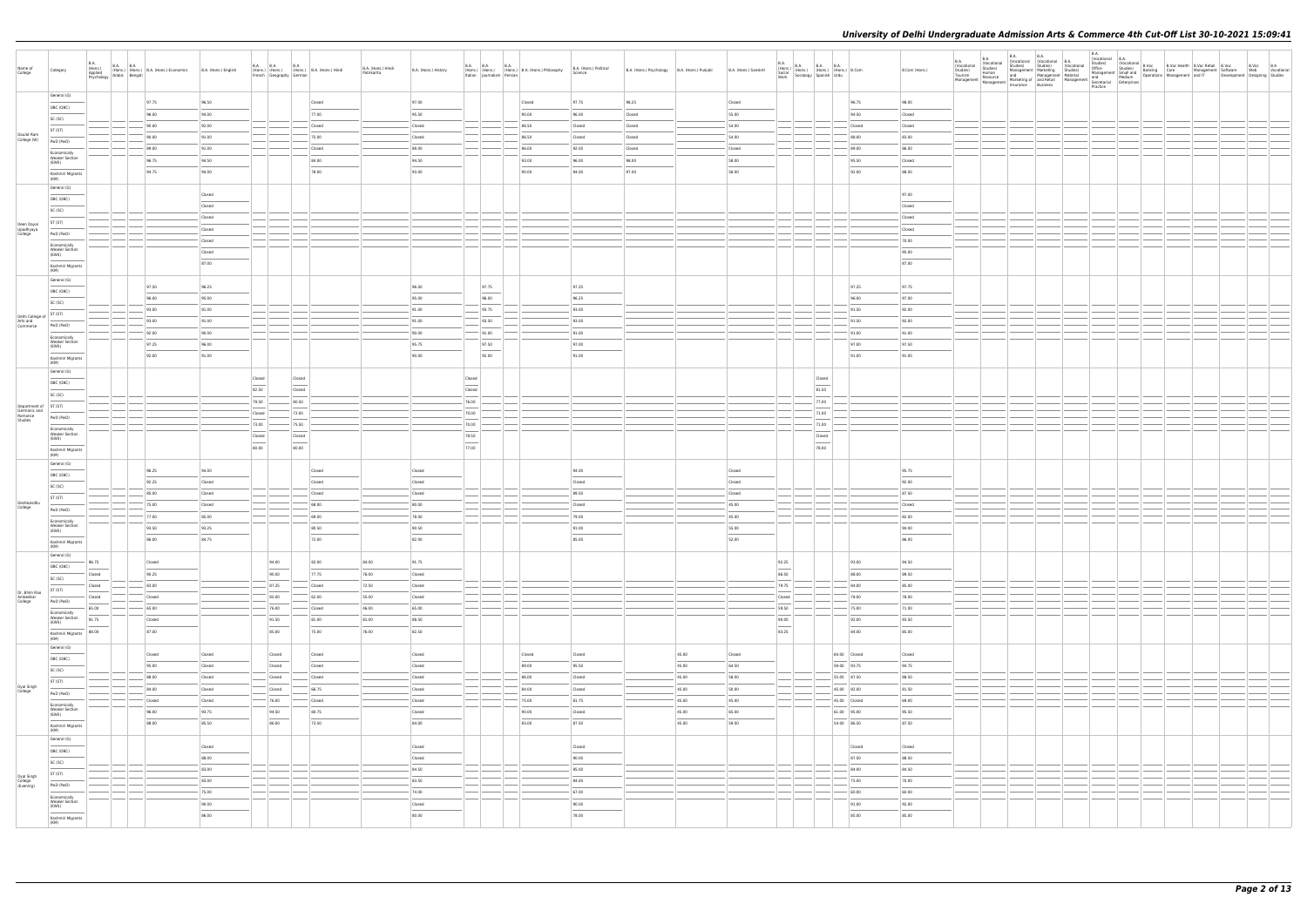| Name of<br>College                   | Category                                       | <b>B.A.</b> | B.A. B.A. B.A. B.A. (Hons.) (B.A. (Hons.) Economics<br>(Hons.) (Hons.) (B.A. (Hons.) Economics<br>Psychology Arabic Bengali | B.A. (Hons.) English | <b>B.A. B.A.</b>                  | French Geography German | <b>B.A.</b>                       | (Hons.) (Hons.) (Hons.) B.A. (Hons.) Hindi | B.A. (Hons.) Hindi<br>Patrikarita | B.A. (Hons.) History | <b>B.A. B.A.</b>                                                                                                                                                                                                                                                                                                                                                                                                                                                                     | <b>B.A.</b> | (Hons.) (Hons.) (Hons.) B.A. (Hons.) Philosophy<br>Italian Journalism Persian | B.A. (Hons.) Political<br>Science | B.A. (Hons.) Psychology B.A. (Hons.) Punjabi |                | B.A. (Hons.) Sanskrit | $\begin{array}{ll} \text{B.A.} \\ \text{(Hons.)} \\ \text{Social} \\ \text{Social} \\ \text{Work} \\ \text{Work} \end{array} \hspace{1mm} \begin{array}{ll} \text{B.A.} \\ \text{(Hons.)} \\ \text{(Hons.)} \\ \text{(Hons.)} \\ \text{Spanish} \\ \text{Urdu} \end{array} \hspace{1mm} \begin{array}{ll} \text{B.A.} \\ \text{B.A.} \\ \text{(Hons.)} \\ \text{Urdu} \end{array} \hspace{1mm} \begin{array}{ll} \text{B.A.} \\ \text{B.} \\ \text{Lorm} \end{array}$ |           |                            | B.Com (Hons.)   | B.A.<br>(Vocational | <b>B.A.</b><br><b>B.A.</b> | B.A.<br>Practice |  | B.A.<br>  Studies  Wocational B.A.<br>  Studies  B.Voc Health B.Voc Retail B.Voc & B.Voc B.A.<br>  Office Studies  B.Anking Care<br>  Management Software Wanagement and IT Development Designing Studies<br>  And Medium Operations Manageme |  |
|--------------------------------------|------------------------------------------------|-------------|-----------------------------------------------------------------------------------------------------------------------------|----------------------|-----------------------------------|-------------------------|-----------------------------------|--------------------------------------------|-----------------------------------|----------------------|--------------------------------------------------------------------------------------------------------------------------------------------------------------------------------------------------------------------------------------------------------------------------------------------------------------------------------------------------------------------------------------------------------------------------------------------------------------------------------------|-------------|-------------------------------------------------------------------------------|-----------------------------------|----------------------------------------------|----------------|-----------------------|-----------------------------------------------------------------------------------------------------------------------------------------------------------------------------------------------------------------------------------------------------------------------------------------------------------------------------------------------------------------------------------------------------------------------------------------------------------------------|-----------|----------------------------|-----------------|---------------------|----------------------------|------------------|--|-----------------------------------------------------------------------------------------------------------------------------------------------------------------------------------------------------------------------------------------------|--|
|                                      | General (G)                                    |             | 97.75                                                                                                                       | 96.50                |                                   |                         |                                   | Closed                                     |                                   | 97.00                |                                                                                                                                                                                                                                                                                                                                                                                                                                                                                      |             | Closed                                                                        | 97.75                             | 98.25                                        |                | Closed                |                                                                                                                                                                                                                                                                                                                                                                                                                                                                       |           | 96.75                      | 98.00           |                     |                            |                  |  |                                                                                                                                                                                                                                               |  |
|                                      | OBC (OBC)                                      |             | 96.00                                                                                                                       | 94.00                |                                   |                         |                                   | 77.00                                      |                                   | 95.50                |                                                                                                                                                                                                                                                                                                                                                                                                                                                                                      |             | 90.00                                                                         | 96.00                             | Closed                                       |                | 55.00                 |                                                                                                                                                                                                                                                                                                                                                                                                                                                                       |           | 94.50                      | Closed          |                     |                            |                  |  |                                                                                                                                                                                                                                               |  |
|                                      | SC (SC)                                        |             | 90.00                                                                                                                       | 92.00                |                                   |                         |                                   | Closed                                     |                                   | Closed               |                                                                                                                                                                                                                                                                                                                                                                                                                                                                                      |             | 86.50                                                                         | Closed                            | Closed                                       |                | 54.00                 |                                                                                                                                                                                                                                                                                                                                                                                                                                                                       |           | Closed                     | Closed          |                     |                            |                  |  |                                                                                                                                                                                                                                               |  |
| Daulat Ram                           | ST (ST)                                        |             | 90.00                                                                                                                       | 91.00                |                                   |                         |                                   | 75.00                                      |                                   | Closed               |                                                                                                                                                                                                                                                                                                                                                                                                                                                                                      |             | 86.50                                                                         | Closed                            | Closed                                       |                | 54.00                 |                                                                                                                                                                                                                                                                                                                                                                                                                                                                       |           | 88.00                      | 83.00           |                     |                            |                  |  |                                                                                                                                                                                                                                               |  |
| College (W)                          | PwD (PwD)                                      |             | 89.00                                                                                                                       | 91.00                |                                   |                         |                                   | Closed                                     |                                   | 89.00                |                                                                                                                                                                                                                                                                                                                                                                                                                                                                                      |             | 86.00                                                                         | 92.00                             | Closed                                       |                | Closed                |                                                                                                                                                                                                                                                                                                                                                                                                                                                                       |           | 89.00                      | 86.00           |                     |                            |                  |  |                                                                                                                                                                                                                                               |  |
|                                      | Economically<br><b>Weaker Section</b>          |             | 96.75                                                                                                                       | 94.50                |                                   |                         |                                   | 84.00                                      |                                   | 94.50                |                                                                                                                                                                                                                                                                                                                                                                                                                                                                                      |             | 93.00                                                                         | 96.00                             | 98.00                                        |                | 58.00                 |                                                                                                                                                                                                                                                                                                                                                                                                                                                                       |           | 95.50                      | Closed          |                     |                            |                  |  |                                                                                                                                                                                                                                               |  |
|                                      | (EWS)<br>$\frac{1}{2}$<br>Kashmiri Migrants    |             | 94.75                                                                                                                       | 94.00                |                                   |                         |                                   | 78.00                                      |                                   | 93.00                |                                                                                                                                                                                                                                                                                                                                                                                                                                                                                      |             | 90.00                                                                         | 94.00                             | 97.00                                        |                | 58.00                 |                                                                                                                                                                                                                                                                                                                                                                                                                                                                       |           | 92.00                      | 88.00           |                     |                            |                  |  |                                                                                                                                                                                                                                               |  |
|                                      | (KM)                                           |             |                                                                                                                             |                      |                                   |                         |                                   |                                            |                                   |                      |                                                                                                                                                                                                                                                                                                                                                                                                                                                                                      |             |                                                                               |                                   |                                              |                |                       |                                                                                                                                                                                                                                                                                                                                                                                                                                                                       |           |                            |                 |                     |                            |                  |  |                                                                                                                                                                                                                                               |  |
|                                      | General (G)                                    |             |                                                                                                                             | Closed               |                                   |                         |                                   |                                            |                                   |                      |                                                                                                                                                                                                                                                                                                                                                                                                                                                                                      |             |                                                                               |                                   |                                              |                |                       |                                                                                                                                                                                                                                                                                                                                                                                                                                                                       |           |                            | 97.00           |                     |                            |                  |  |                                                                                                                                                                                                                                               |  |
|                                      | OBC (OBC)                                      |             |                                                                                                                             | Closed               |                                   |                         |                                   |                                            |                                   |                      |                                                                                                                                                                                                                                                                                                                                                                                                                                                                                      |             |                                                                               |                                   |                                              |                |                       |                                                                                                                                                                                                                                                                                                                                                                                                                                                                       |           |                            | Closed          |                     |                            |                  |  |                                                                                                                                                                                                                                               |  |
|                                      | SC (SC)                                        |             |                                                                                                                             | Closed               |                                   |                         |                                   |                                            |                                   |                      |                                                                                                                                                                                                                                                                                                                                                                                                                                                                                      |             |                                                                               |                                   |                                              |                |                       |                                                                                                                                                                                                                                                                                                                                                                                                                                                                       |           |                            | Closed          |                     |                            |                  |  |                                                                                                                                                                                                                                               |  |
| Deen Dayal<br>Upadhyaya<br>College   | ST (ST)                                        |             |                                                                                                                             | Closed               |                                   |                         |                                   |                                            |                                   |                      |                                                                                                                                                                                                                                                                                                                                                                                                                                                                                      |             |                                                                               |                                   |                                              |                |                       |                                                                                                                                                                                                                                                                                                                                                                                                                                                                       |           |                            | Closed          |                     |                            |                  |  |                                                                                                                                                                                                                                               |  |
|                                      | PwD (PwD)                                      |             |                                                                                                                             | Closed               |                                   |                         |                                   |                                            |                                   |                      |                                                                                                                                                                                                                                                                                                                                                                                                                                                                                      |             |                                                                               |                                   |                                              |                |                       |                                                                                                                                                                                                                                                                                                                                                                                                                                                                       |           |                            | 70.00           |                     |                            |                  |  |                                                                                                                                                                                                                                               |  |
|                                      | Economically<br><b>Weaker Section</b><br>(EWS) |             |                                                                                                                             | Closed               |                                   |                         |                                   |                                            |                                   |                      |                                                                                                                                                                                                                                                                                                                                                                                                                                                                                      |             |                                                                               |                                   |                                              |                |                       |                                                                                                                                                                                                                                                                                                                                                                                                                                                                       |           |                            | 95.00           |                     |                            |                  |  |                                                                                                                                                                                                                                               |  |
|                                      | $\frac{1}{2}$<br>Kashmiri Migrants             |             |                                                                                                                             | 87.00                |                                   |                         |                                   |                                            |                                   |                      |                                                                                                                                                                                                                                                                                                                                                                                                                                                                                      |             |                                                                               |                                   |                                              |                |                       |                                                                                                                                                                                                                                                                                                                                                                                                                                                                       |           |                            | 87.00           |                     |                            |                  |  |                                                                                                                                                                                                                                               |  |
|                                      | (KM)                                           |             |                                                                                                                             |                      |                                   |                         |                                   |                                            |                                   |                      |                                                                                                                                                                                                                                                                                                                                                                                                                                                                                      |             |                                                                               |                                   |                                              |                |                       |                                                                                                                                                                                                                                                                                                                                                                                                                                                                       |           |                            |                 |                     |                            |                  |  |                                                                                                                                                                                                                                               |  |
|                                      | General (G)                                    |             | 97.50                                                                                                                       | 96.25                |                                   |                         |                                   |                                            |                                   | 96.00                |                                                                                                                                                                                                                                                                                                                                                                                                                                                                                      | 97.75       |                                                                               | 97.25                             |                                              |                |                       |                                                                                                                                                                                                                                                                                                                                                                                                                                                                       |           | 97.25                      | 97.75           |                     |                            |                  |  |                                                                                                                                                                                                                                               |  |
|                                      | OBC (OBC)                                      |             | 96.00                                                                                                                       | 95.00                |                                   |                         |                                   |                                            |                                   | 95.00                |                                                                                                                                                                                                                                                                                                                                                                                                                                                                                      | 96.00       |                                                                               | 96.25                             |                                              |                |                       |                                                                                                                                                                                                                                                                                                                                                                                                                                                                       |           | 96.00                      | 97.00           |                     |                            |                  |  |                                                                                                                                                                                                                                               |  |
|                                      | SC (SC)                                        |             | 93.00                                                                                                                       | 91.00                |                                   |                         |                                   |                                            |                                   | 91.00                |                                                                                                                                                                                                                                                                                                                                                                                                                                                                                      | $-93.75$    |                                                                               | 93.00                             |                                              |                |                       |                                                                                                                                                                                                                                                                                                                                                                                                                                                                       |           | 91.50                      | 92.00           |                     |                            |                  |  |                                                                                                                                                                                                                                               |  |
| Delhi College of ST (ST)<br>Arts and |                                                |             | 93.00                                                                                                                       | 91.00                |                                   |                         |                                   |                                            |                                   | 91.00                |                                                                                                                                                                                                                                                                                                                                                                                                                                                                                      | 93.50       |                                                                               | 93.00                             |                                              |                |                       |                                                                                                                                                                                                                                                                                                                                                                                                                                                                       |           | 91.50                      | 92.00           |                     |                            |                  |  |                                                                                                                                                                                                                                               |  |
| Commerce                             | PwD (PwD)                                      |             | 92.00                                                                                                                       | 90.00                |                                   |                         |                                   |                                            |                                   | 90.00                |                                                                                                                                                                                                                                                                                                                                                                                                                                                                                      | $-$ 91.00   |                                                                               | 91.00                             |                                              |                |                       |                                                                                                                                                                                                                                                                                                                                                                                                                                                                       |           | 91.00                      | 91.00           |                     |                            |                  |  |                                                                                                                                                                                                                                               |  |
|                                      | Economically<br><b>Weaker Section</b><br>(EWS) |             | 97.25                                                                                                                       | 96.00                |                                   |                         |                                   |                                            |                                   | 95.75                |                                                                                                                                                                                                                                                                                                                                                                                                                                                                                      | 97.50       |                                                                               | 97.00                             |                                              |                |                       |                                                                                                                                                                                                                                                                                                                                                                                                                                                                       |           | 97.00                      | 97.50           |                     |                            |                  |  |                                                                                                                                                                                                                                               |  |
|                                      | Kashmiri Migrants                              |             | 92.00                                                                                                                       | 91.00                |                                   |                         |                                   |                                            |                                   | 90.00                |                                                                                                                                                                                                                                                                                                                                                                                                                                                                                      | 92.00       |                                                                               | 91.00                             |                                              |                |                       |                                                                                                                                                                                                                                                                                                                                                                                                                                                                       |           | 91.00                      | 91.00           |                     |                            |                  |  |                                                                                                                                                                                                                                               |  |
|                                      | (KM)                                           |             |                                                                                                                             |                      |                                   |                         |                                   |                                            |                                   |                      |                                                                                                                                                                                                                                                                                                                                                                                                                                                                                      |             |                                                                               |                                   |                                              |                |                       |                                                                                                                                                                                                                                                                                                                                                                                                                                                                       |           |                            |                 |                     |                            |                  |  |                                                                                                                                                                                                                                               |  |
|                                      | General (G)<br>OBC (OBC)                       |             |                                                                                                                             |                      | Closed                            |                         | Closed                            |                                            |                                   |                      | Closed                                                                                                                                                                                                                                                                                                                                                                                                                                                                               |             |                                                                               |                                   |                                              |                |                       |                                                                                                                                                                                                                                                                                                                                                                                                                                                                       | Closed    |                            |                 |                     |                            |                  |  |                                                                                                                                                                                                                                               |  |
|                                      | SC (SC)                                        |             |                                                                                                                             |                      | 82.50                             |                         | Closed                            |                                            |                                   |                      | $\frac{1}{2} \left( \frac{1}{2} \right) \left( \frac{1}{2} \right) \left( \frac{1}{2} \right) \left( \frac{1}{2} \right) \left( \frac{1}{2} \right) \left( \frac{1}{2} \right) \left( \frac{1}{2} \right) \left( \frac{1}{2} \right) \left( \frac{1}{2} \right) \left( \frac{1}{2} \right) \left( \frac{1}{2} \right) \left( \frac{1}{2} \right) \left( \frac{1}{2} \right) \left( \frac{1}{2} \right) \left( \frac{1}{2} \right) \left( \frac{1}{2} \right) \left( \frac$<br>Closed |             |                                                                               |                                   |                                              |                |                       |                                                                                                                                                                                                                                                                                                                                                                                                                                                                       | 81.50     |                            |                 |                     |                            |                  |  |                                                                                                                                                                                                                                               |  |
| Department of ST (ST)                |                                                |             |                                                                                                                             |                      | 79.50                             |                         | 80.50                             |                                            |                                   |                      | 76.00                                                                                                                                                                                                                                                                                                                                                                                                                                                                                |             |                                                                               |                                   |                                              |                |                       |                                                                                                                                                                                                                                                                                                                                                                                                                                                                       | $- 77.00$ |                            |                 |                     |                            |                  |  |                                                                                                                                                                                                                                               |  |
| Germanic and<br>Romance<br>Studies   | PwD (PwD)                                      |             |                                                                                                                             |                      | Closed                            |                         | 72.00                             |                                            |                                   |                      | 70.00                                                                                                                                                                                                                                                                                                                                                                                                                                                                                |             |                                                                               |                                   |                                              |                |                       |                                                                                                                                                                                                                                                                                                                                                                                                                                                                       | 71.00     |                            |                 |                     |                            |                  |  |                                                                                                                                                                                                                                               |  |
|                                      | Economically                                   |             |                                                                                                                             |                      | 73.00                             |                         | 75.50                             |                                            |                                   |                      | 70.00                                                                                                                                                                                                                                                                                                                                                                                                                                                                                |             |                                                                               |                                   |                                              |                |                       |                                                                                                                                                                                                                                                                                                                                                                                                                                                                       | 71.00     |                            |                 |                     |                            |                  |  |                                                                                                                                                                                                                                               |  |
|                                      | <b>Weaker Section</b><br>(EWS)                 |             |                                                                                                                             |                      | Closed                            |                         | Closed                            |                                            |                                   |                      | 78.50<br>$\sim$                                                                                                                                                                                                                                                                                                                                                                                                                                                                      |             |                                                                               |                                   |                                              |                |                       |                                                                                                                                                                                                                                                                                                                                                                                                                                                                       | Closed    |                            |                 |                     |                            |                  |  |                                                                                                                                                                                                                                               |  |
|                                      | Kashmiri Migrants                              |             |                                                                                                                             |                      | $\overline{\phantom{a}}$<br>80.00 |                         | $\overline{\phantom{a}}$<br>80.00 |                                            |                                   |                      | 77.00                                                                                                                                                                                                                                                                                                                                                                                                                                                                                |             |                                                                               |                                   |                                              |                |                       |                                                                                                                                                                                                                                                                                                                                                                                                                                                                       | 78.00     |                            |                 |                     |                            |                  |  |                                                                                                                                                                                                                                               |  |
|                                      | (KM)<br>General (G)                            |             |                                                                                                                             |                      |                                   |                         |                                   |                                            |                                   |                      |                                                                                                                                                                                                                                                                                                                                                                                                                                                                                      |             |                                                                               |                                   |                                              |                |                       |                                                                                                                                                                                                                                                                                                                                                                                                                                                                       |           |                            |                 |                     |                            |                  |  |                                                                                                                                                                                                                                               |  |
|                                      | OBC (OBC)                                      |             | 96.25                                                                                                                       | 94.00                |                                   |                         |                                   | Closed                                     |                                   | Closed               |                                                                                                                                                                                                                                                                                                                                                                                                                                                                                      |             |                                                                               | 94.00                             |                                              |                | Closed                |                                                                                                                                                                                                                                                                                                                                                                                                                                                                       |           |                            | 95.75           |                     |                            |                  |  |                                                                                                                                                                                                                                               |  |
|                                      | SC (SC)                                        |             | 92.25                                                                                                                       | Closed               |                                   |                         |                                   | Closed                                     |                                   | Closed               |                                                                                                                                                                                                                                                                                                                                                                                                                                                                                      |             |                                                                               | Closed                            |                                              |                | Closed                |                                                                                                                                                                                                                                                                                                                                                                                                                                                                       |           |                            | 92.00           |                     |                            |                  |  |                                                                                                                                                                                                                                               |  |
|                                      | ST (ST)                                        |             | 85.00                                                                                                                       | Closed               |                                   |                         |                                   | Closed                                     |                                   | Closed               |                                                                                                                                                                                                                                                                                                                                                                                                                                                                                      |             |                                                                               | 89.50                             |                                              |                | Closed                |                                                                                                                                                                                                                                                                                                                                                                                                                                                                       |           |                            | 87.50           |                     |                            |                  |  |                                                                                                                                                                                                                                               |  |
| Deshbandhu<br>College                | PwD (PwD)                                      |             | 75.00                                                                                                                       | Closed               |                                   |                         |                                   | 68.00                                      |                                   | 80.00                |                                                                                                                                                                                                                                                                                                                                                                                                                                                                                      |             |                                                                               | Closed                            |                                              |                | 45.00                 |                                                                                                                                                                                                                                                                                                                                                                                                                                                                       |           |                            | Closed          |                     |                            |                  |  |                                                                                                                                                                                                                                               |  |
|                                      | Economically                                   |             | 77.00                                                                                                                       | 85.00                |                                   |                         |                                   | 69.00                                      |                                   | 78.00                |                                                                                                                                                                                                                                                                                                                                                                                                                                                                                      |             |                                                                               | 79.00                             |                                              |                | 45.00                 |                                                                                                                                                                                                                                                                                                                                                                                                                                                                       |           |                            | 82.00           |                     |                            |                  |  |                                                                                                                                                                                                                                               |  |
|                                      | <b>Weaker Section</b><br>(EWS)                 |             | 93.50                                                                                                                       | 93.25                |                                   |                         |                                   | 80.50                                      |                                   | 90.50                |                                                                                                                                                                                                                                                                                                                                                                                                                                                                                      |             |                                                                               | 91.00                             |                                              |                | 55.00                 |                                                                                                                                                                                                                                                                                                                                                                                                                                                                       |           |                            | 94.00           |                     |                            |                  |  |                                                                                                                                                                                                                                               |  |
|                                      | Kashmiri Migrants<br>(KM)                      |             | 86.00                                                                                                                       | 84.75                |                                   |                         |                                   | 72.00                                      |                                   | 82.00                |                                                                                                                                                                                                                                                                                                                                                                                                                                                                                      |             |                                                                               | 85.00                             |                                              |                | 52.00                 |                                                                                                                                                                                                                                                                                                                                                                                                                                                                       |           |                            | 86.00           |                     |                            |                  |  |                                                                                                                                                                                                                                               |  |
|                                      | General (G)                                    |             |                                                                                                                             |                      |                                   |                         |                                   |                                            |                                   |                      |                                                                                                                                                                                                                                                                                                                                                                                                                                                                                      |             |                                                                               |                                   |                                              |                |                       |                                                                                                                                                                                                                                                                                                                                                                                                                                                                       |           |                            |                 |                     |                            |                  |  |                                                                                                                                                                                                                                               |  |
|                                      | OBC (OBC)                                      | 96.75       | Closed                                                                                                                      |                      |                                   | 94.00                   |                                   | 83.00                                      | 84.00                             | 91.75                |                                                                                                                                                                                                                                                                                                                                                                                                                                                                                      |             |                                                                               |                                   |                                              |                |                       | 92.25<br>$\frac{1}{2}$                                                                                                                                                                                                                                                                                                                                                                                                                                                |           | 93.00                      | 94.50           |                     |                            |                  |  |                                                                                                                                                                                                                                               |  |
|                                      | SC (SC)                                        | Closed      | 90.25                                                                                                                       |                      |                                   | 90.00                   |                                   | 77.75                                      | 76.00                             | Closed               |                                                                                                                                                                                                                                                                                                                                                                                                                                                                                      |             |                                                                               |                                   |                                              |                |                       | 86.50                                                                                                                                                                                                                                                                                                                                                                                                                                                                 |           | 88.00                      | 89.50           |                     |                            |                  |  |                                                                                                                                                                                                                                               |  |
| Dr. Bhim Rao                         | ST (ST)                                        | Closed      | 83.00                                                                                                                       |                      |                                   | 87.25                   |                                   | Closed                                     | 72.50                             | Closed               |                                                                                                                                                                                                                                                                                                                                                                                                                                                                                      |             |                                                                               |                                   |                                              |                |                       | 79.75                                                                                                                                                                                                                                                                                                                                                                                                                                                                 |           | 84.00                      | 85.00           |                     |                            |                  |  |                                                                                                                                                                                                                                               |  |
| Ambedkar<br>College                  | PwD (PwD)                                      | Closed      | Closed                                                                                                                      |                      |                                   | 85.00                   |                                   | 62.00                                      | 55.00                             | Closed               |                                                                                                                                                                                                                                                                                                                                                                                                                                                                                      |             |                                                                               |                                   |                                              |                |                       | Closed                                                                                                                                                                                                                                                                                                                                                                                                                                                                |           | 78.00                      | 78.00           |                     |                            |                  |  |                                                                                                                                                                                                                                               |  |
|                                      | Economically<br><b>Weaker Section</b>          | 65.00       | 65.00                                                                                                                       |                      |                                   | 76.00                   |                                   | Closed                                     | 46.00                             | 65.00                |                                                                                                                                                                                                                                                                                                                                                                                                                                                                                      |             |                                                                               |                                   |                                              |                |                       | 59.50                                                                                                                                                                                                                                                                                                                                                                                                                                                                 |           | 75.00                      | 71.00           |                     |                            |                  |  |                                                                                                                                                                                                                                               |  |
|                                      | (EWS)                                          | 91.75       | Closed<br>$\sim$                                                                                                            |                      |                                   | 91.50                   |                                   | 81.00                                      | 81.00                             | 88.50                |                                                                                                                                                                                                                                                                                                                                                                                                                                                                                      |             |                                                                               |                                   |                                              |                |                       | 90.00<br>$\sim$                                                                                                                                                                                                                                                                                                                                                                                                                                                       |           | 92.00                      | 93.50           |                     |                            |                  |  |                                                                                                                                                                                                                                               |  |
|                                      | Kashmiri Migrants<br>(KM)                      | 88.00       | 87.00                                                                                                                       |                      |                                   | 85.00                   |                                   | 75.00                                      | 76.00                             | 82.50                |                                                                                                                                                                                                                                                                                                                                                                                                                                                                                      |             |                                                                               |                                   |                                              |                |                       | 83.25                                                                                                                                                                                                                                                                                                                                                                                                                                                                 |           | 84.00                      | 85.00           |                     |                            |                  |  |                                                                                                                                                                                                                                               |  |
|                                      | General (G)                                    |             |                                                                                                                             |                      |                                   |                         |                                   |                                            |                                   |                      |                                                                                                                                                                                                                                                                                                                                                                                                                                                                                      |             |                                                                               |                                   |                                              |                |                       |                                                                                                                                                                                                                                                                                                                                                                                                                                                                       |           |                            |                 |                     |                            |                  |  |                                                                                                                                                                                                                                               |  |
|                                      | OBC (OBC)                                      |             | Closed<br>95.00                                                                                                             | Closed               |                                   | Closed                  |                                   | Closed<br>$\frac{1}{2}$                    |                                   | Closed               |                                                                                                                                                                                                                                                                                                                                                                                                                                                                                      |             | Closed<br>89.00                                                               | Closed<br>95.50                   |                                              | 45.00<br>45.00 | Closed                |                                                                                                                                                                                                                                                                                                                                                                                                                                                                       |           | 64.00 Closed               | Closed<br>94.75 |                     |                            |                  |  |                                                                                                                                                                                                                                               |  |
|                                      | SC (SC)                                        |             |                                                                                                                             | Closed               |                                   | Closed                  |                                   | Closed                                     |                                   | Closed               |                                                                                                                                                                                                                                                                                                                                                                                                                                                                                      |             |                                                                               |                                   |                                              |                | 64.50                 |                                                                                                                                                                                                                                                                                                                                                                                                                                                                       |           | 59.00 93.75                | 88.50           |                     |                            |                  |  |                                                                                                                                                                                                                                               |  |
| Dyal Singh<br>College                | ST (ST)                                        |             | 88.00                                                                                                                       | Closed<br>Closed     |                                   | Closed<br>Closed        |                                   | Closed<br>66.75                            |                                   | Closed               |                                                                                                                                                                                                                                                                                                                                                                                                                                                                                      |             | 86.00<br>84.00                                                                | Closed<br>Closed                  |                                              | 45.00<br>45.00 | 58.00<br>50.00        |                                                                                                                                                                                                                                                                                                                                                                                                                                                                       |           | 55.00 87.50<br>45.00 82.00 | 81.50           |                     |                            |                  |  |                                                                                                                                                                                                                                               |  |
|                                      | PwD (PwD)                                      |             | 84.00<br>Closed                                                                                                             | Closed               |                                   | $- 76.00$               |                                   | Closed                                     |                                   | Closed<br>Closed     |                                                                                                                                                                                                                                                                                                                                                                                                                                                                                      |             | 75.00                                                                         | 81.75                             |                                              | 45.00          | 45.00                 |                                                                                                                                                                                                                                                                                                                                                                                                                                                                       |           | $45.00$ Closed             | 69.00           |                     |                            |                  |  |                                                                                                                                                                                                                                               |  |
|                                      | Economically<br><b>Weaker Section</b>          |             | 96.00                                                                                                                       | 93.75                |                                   | 94.50                   |                                   | 80.75                                      |                                   |                      |                                                                                                                                                                                                                                                                                                                                                                                                                                                                                      |             | 90.00                                                                         |                                   |                                              | 45.00          | 65.00                 |                                                                                                                                                                                                                                                                                                                                                                                                                                                                       |           | 61.00 95.00                | 95.50           |                     |                            |                  |  |                                                                                                                                                                                                                                               |  |
|                                      | (EWS)                                          |             | 88.00                                                                                                                       | 85.50                |                                   | 86.00                   |                                   | 73.50                                      |                                   | Closed<br>84.00      |                                                                                                                                                                                                                                                                                                                                                                                                                                                                                      |             | 83.00                                                                         | Closed<br>87.50                   |                                              | 45.00          | 59.00                 |                                                                                                                                                                                                                                                                                                                                                                                                                                                                       |           | 54.00 86.50                | 87.50           |                     |                            |                  |  |                                                                                                                                                                                                                                               |  |
|                                      | Kashmiri Migrants<br>(KM)                      |             |                                                                                                                             |                      |                                   |                         |                                   |                                            |                                   |                      |                                                                                                                                                                                                                                                                                                                                                                                                                                                                                      |             |                                                                               |                                   |                                              |                |                       |                                                                                                                                                                                                                                                                                                                                                                                                                                                                       |           |                            |                 |                     |                            |                  |  |                                                                                                                                                                                                                                               |  |
|                                      | General (G)                                    |             |                                                                                                                             | Closed               |                                   |                         |                                   |                                            |                                   | Closed               |                                                                                                                                                                                                                                                                                                                                                                                                                                                                                      |             |                                                                               | Closed                            |                                              |                |                       |                                                                                                                                                                                                                                                                                                                                                                                                                                                                       |           | Closed                     | Closed          |                     |                            |                  |  |                                                                                                                                                                                                                                               |  |
|                                      | OBC (OBC)                                      |             |                                                                                                                             | 88.00                |                                   |                         |                                   |                                            |                                   | Closed               |                                                                                                                                                                                                                                                                                                                                                                                                                                                                                      |             |                                                                               | 90.00                             |                                              |                |                       |                                                                                                                                                                                                                                                                                                                                                                                                                                                                       |           | 87.50                      | 88.50           |                     |                            |                  |  |                                                                                                                                                                                                                                               |  |
|                                      | SC (SC)                                        |             |                                                                                                                             | 83.00                |                                   |                         |                                   |                                            |                                   | 84.50                |                                                                                                                                                                                                                                                                                                                                                                                                                                                                                      |             |                                                                               | 85.00                             |                                              |                |                       |                                                                                                                                                                                                                                                                                                                                                                                                                                                                       |           | 84.00                      | 84.50           |                     |                            |                  |  |                                                                                                                                                                                                                                               |  |
| Dyal Singh<br>College<br>(Evening)   | ST (ST)                                        |             |                                                                                                                             | 83.00                |                                   |                         |                                   |                                            |                                   | 83.50                |                                                                                                                                                                                                                                                                                                                                                                                                                                                                                      |             |                                                                               | 84.00                             |                                              |                |                       |                                                                                                                                                                                                                                                                                                                                                                                                                                                                       |           | 75.00                      | 70.00           |                     |                            |                  |  |                                                                                                                                                                                                                                               |  |
|                                      | PwD (PwD)                                      |             |                                                                                                                             | 75.00                |                                   |                         |                                   |                                            |                                   | 74.00                |                                                                                                                                                                                                                                                                                                                                                                                                                                                                                      |             |                                                                               | 67.00                             |                                              |                |                       |                                                                                                                                                                                                                                                                                                                                                                                                                                                                       |           | 60.00                      | 60.00           |                     |                            |                  |  |                                                                                                                                                                                                                                               |  |
|                                      | Economically<br><b>Weaker Section</b>          |             |                                                                                                                             | 90.00                |                                   |                         |                                   |                                            |                                   | Closed               |                                                                                                                                                                                                                                                                                                                                                                                                                                                                                      |             |                                                                               | 90.00                             |                                              |                |                       |                                                                                                                                                                                                                                                                                                                                                                                                                                                                       |           | 91.00                      | 92.00           |                     |                            |                  |  |                                                                                                                                                                                                                                               |  |
|                                      | (EWS)                                          |             |                                                                                                                             | 86.00                |                                   |                         |                                   |                                            |                                   | 80.00                |                                                                                                                                                                                                                                                                                                                                                                                                                                                                                      |             |                                                                               | 78.00                             |                                              |                |                       |                                                                                                                                                                                                                                                                                                                                                                                                                                                                       |           | 85.00                      | 85.00           |                     |                            |                  |  |                                                                                                                                                                                                                                               |  |
|                                      | Kashmiri Migrants<br>(KM)                      |             |                                                                                                                             |                      |                                   |                         |                                   |                                            |                                   |                      |                                                                                                                                                                                                                                                                                                                                                                                                                                                                                      |             |                                                                               |                                   |                                              |                |                       |                                                                                                                                                                                                                                                                                                                                                                                                                                                                       |           |                            |                 |                     |                            |                  |  |                                                                                                                                                                                                                                               |  |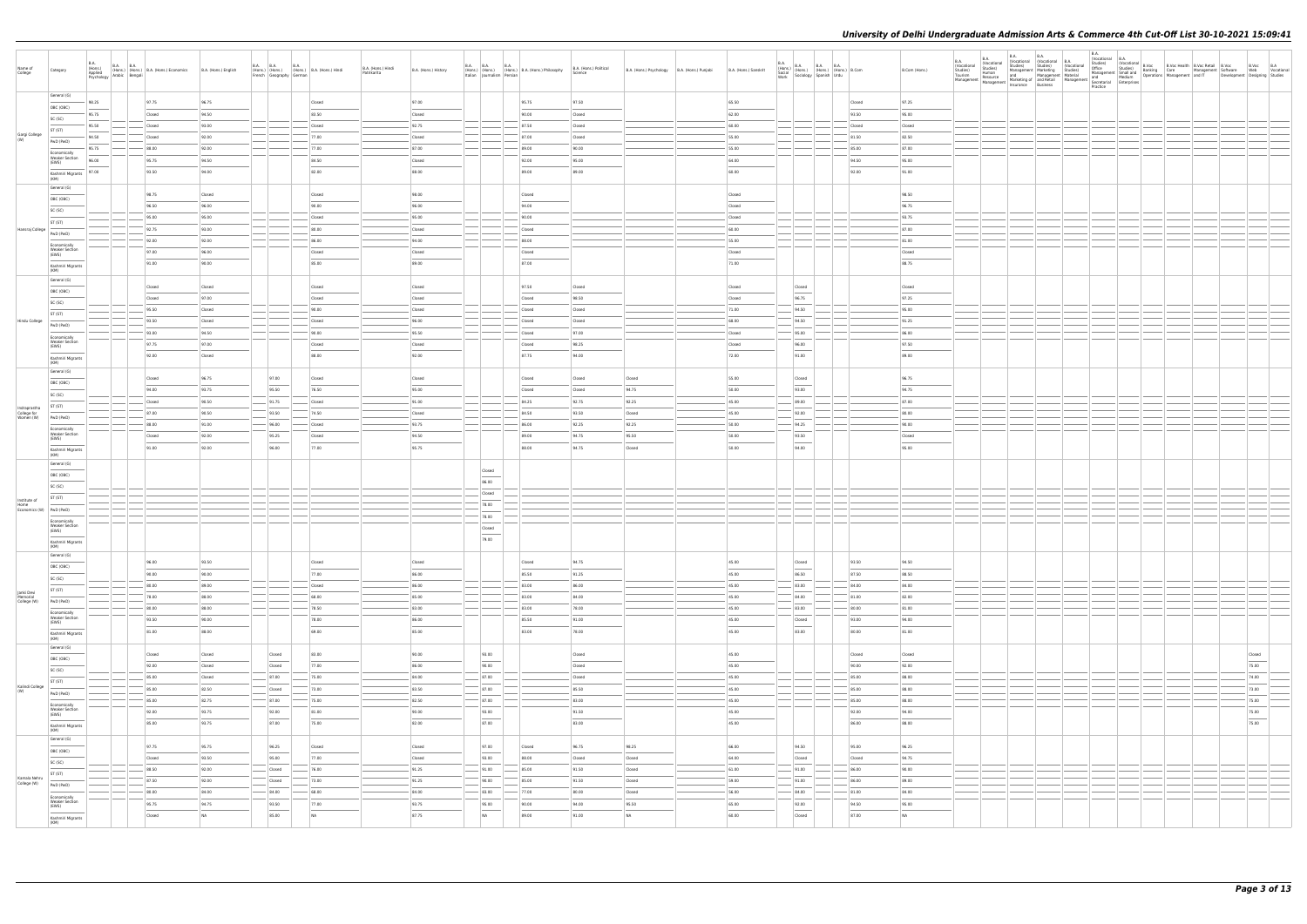| Name of<br>College                    | Category                                                                                                                                                                                                                                                                                                                                                                                                                                                                                                     | <b>B.A.</b><br><b>B.A. B.A.</b><br>(Hons.)<br>Applied | (Hons.) (Hons.) (Hons.) B.A. (Hons.) Economics<br>Psychology Arabic Bengali | B.A. (Hons.) English | <b>B.A. B.A.</b><br><b>B.A.</b><br>(Hons.) (Hons.) (Hons.) B.A. (Hons.) Hindi<br>French Geography German | B.A. (Hons.) Hindi<br>Patrikarita | B.A. (Hons.) History | <b>B.A. B.A.</b><br><b>B.A.</b>       | (Hons.) (Hons.) (Hons.) B.A. (Hons.) Philosophy<br>Italian Journalism Persian Persian | B.A. (Hons.) Political<br>Science | B.A. (Hons.) Psychology   B.A. (Hons.) Punjabi | B.A. (Hons.) Sanskrit | $\begin{array}{ll} \text{B.A.} \\ \text{(Hons.)} \\ \text{Social} \\ \text{Social} \\ \text{Work} \\ \text{Work} \end{array} \hspace{1mm} \begin{array}{ll} \text{B.A.} \\ \text{(Hons.)} \\ \text{(Hons.)} \\ \text{(Hons.)} \\ \text{Spanish} \\ \text{Urdu} \end{array} \hspace{1mm} \begin{array}{ll} \text{B.A.} \\ \text{B.A.} \\ \text{(Hons.)} \\ \text{Urdu} \end{array} \hspace{1mm} \begin{array}{ll} \text{B.A.} \\ \text{B.Com} \\ \text{B.Com} \end{array}$           |                | B.Com (Hons.)   | <b>B.A.</b><br>(Vocational<br>Studies) | <b>B.A.</b><br>(Vocational<br>Studies)<br>Human | B.A.<br><b>B.A.</b><br>(Vocational (Vocational B.A.<br>Studies) Studies) (Voca<br>Management Marketing Studies)<br>Tourism Human<br>Management Resource Manketing of andReal Management Secretarial Medium<br>Management Management Insurance Business<br>Spacetical Enterprises | (Vocational | <b>B.A.</b><br>B.A.<br>  Studies  Wocational B.A.<br>  Studies  B.Voc Health B.Voc Retail B.Voc & B.Voc B.A.<br>  Office Studies  B.Anking Care<br>  Management Software Wanagement and IT Development Designing Studies<br>  And Medium Operations Manageme<br>Practice |  |        |  |
|---------------------------------------|--------------------------------------------------------------------------------------------------------------------------------------------------------------------------------------------------------------------------------------------------------------------------------------------------------------------------------------------------------------------------------------------------------------------------------------------------------------------------------------------------------------|-------------------------------------------------------|-----------------------------------------------------------------------------|----------------------|----------------------------------------------------------------------------------------------------------|-----------------------------------|----------------------|---------------------------------------|---------------------------------------------------------------------------------------|-----------------------------------|------------------------------------------------|-----------------------|-------------------------------------------------------------------------------------------------------------------------------------------------------------------------------------------------------------------------------------------------------------------------------------------------------------------------------------------------------------------------------------------------------------------------------------------------------------------------------------|----------------|-----------------|----------------------------------------|-------------------------------------------------|----------------------------------------------------------------------------------------------------------------------------------------------------------------------------------------------------------------------------------------------------------------------------------|-------------|--------------------------------------------------------------------------------------------------------------------------------------------------------------------------------------------------------------------------------------------------------------------------|--|--------|--|
|                                       | General (G)                                                                                                                                                                                                                                                                                                                                                                                                                                                                                                  | 98.25                                                 | 97.75                                                                       | 96.75                | Closed                                                                                                   |                                   | 97.00                |                                       | 95.75                                                                                 | 97.50                             |                                                | 65.50                 |                                                                                                                                                                                                                                                                                                                                                                                                                                                                                     | Closed         | 97.25           |                                        |                                                 |                                                                                                                                                                                                                                                                                  |             |                                                                                                                                                                                                                                                                          |  |        |  |
|                                       | OBC (OBC)<br>SC (SC)                                                                                                                                                                                                                                                                                                                                                                                                                                                                                         | 95.75                                                 | Closed                                                                      | 94.50                | 83.50                                                                                                    |                                   | Closed               |                                       | 90.00                                                                                 | Closed                            |                                                | 62.00                 |                                                                                                                                                                                                                                                                                                                                                                                                                                                                                     | 93.50          | 95.00           |                                        |                                                 |                                                                                                                                                                                                                                                                                  |             |                                                                                                                                                                                                                                                                          |  |        |  |
|                                       | ST (ST)                                                                                                                                                                                                                                                                                                                                                                                                                                                                                                      | 95.50                                                 | Closed                                                                      | 93.00                | Closed                                                                                                   |                                   | 92.75                |                                       | 87.50                                                                                 | Closed                            |                                                | 60.00                 |                                                                                                                                                                                                                                                                                                                                                                                                                                                                                     | Closed         | Closed          |                                        |                                                 |                                                                                                                                                                                                                                                                                  |             |                                                                                                                                                                                                                                                                          |  |        |  |
| Gargi College                         | PwD (PwD)                                                                                                                                                                                                                                                                                                                                                                                                                                                                                                    | 94.50                                                 | Closed                                                                      | 92.00                | 77.00                                                                                                    |                                   | Closed               |                                       | 87.00                                                                                 | Closed                            |                                                | 55.00                 |                                                                                                                                                                                                                                                                                                                                                                                                                                                                                     | 81.50          | 82.50           |                                        |                                                 |                                                                                                                                                                                                                                                                                  |             |                                                                                                                                                                                                                                                                          |  |        |  |
|                                       | Economically                                                                                                                                                                                                                                                                                                                                                                                                                                                                                                 | 95.75                                                 | 88.00                                                                       | 92.00                | 77.00                                                                                                    |                                   | 87.00                |                                       | 89.00                                                                                 | 90.00                             |                                                | 55.00                 |                                                                                                                                                                                                                                                                                                                                                                                                                                                                                     | 85.00          | 87.00           |                                        |                                                 |                                                                                                                                                                                                                                                                                  |             |                                                                                                                                                                                                                                                                          |  |        |  |
|                                       | <b>Weaker Section</b><br>(EWS)<br>$\frac{1}{2} \left( \frac{1}{2} \right) \left( \frac{1}{2} \right) \left( \frac{1}{2} \right) \left( \frac{1}{2} \right) \left( \frac{1}{2} \right) \left( \frac{1}{2} \right) \left( \frac{1}{2} \right) \left( \frac{1}{2} \right) \left( \frac{1}{2} \right) \left( \frac{1}{2} \right) \left( \frac{1}{2} \right) \left( \frac{1}{2} \right) \left( \frac{1}{2} \right) \left( \frac{1}{2} \right) \left( \frac{1}{2} \right) \left( \frac{1}{2} \right) \left( \frac$ | 96.00                                                 | 95.75                                                                       | 94.50                | 84.50                                                                                                    |                                   | Closed               |                                       | 92.00                                                                                 | 95.00                             |                                                | 64.00                 |                                                                                                                                                                                                                                                                                                                                                                                                                                                                                     | 94.50          | 95.00           |                                        |                                                 |                                                                                                                                                                                                                                                                                  |             |                                                                                                                                                                                                                                                                          |  |        |  |
|                                       | Kashmiri Migrants<br>(KM)                                                                                                                                                                                                                                                                                                                                                                                                                                                                                    | 97.00                                                 | 93.50                                                                       | 94.00                | 82.00                                                                                                    |                                   | 88.00                |                                       | 89.00                                                                                 | 89.00                             |                                                | 60.00                 |                                                                                                                                                                                                                                                                                                                                                                                                                                                                                     | 92.00          | 91.00           |                                        |                                                 |                                                                                                                                                                                                                                                                                  |             |                                                                                                                                                                                                                                                                          |  |        |  |
|                                       | General (G)                                                                                                                                                                                                                                                                                                                                                                                                                                                                                                  |                                                       | 98.75                                                                       | Closed               | Closed                                                                                                   |                                   | 98.00                |                                       | Closed                                                                                |                                   |                                                |                       |                                                                                                                                                                                                                                                                                                                                                                                                                                                                                     |                | 98.50           |                                        |                                                 |                                                                                                                                                                                                                                                                                  |             |                                                                                                                                                                                                                                                                          |  |        |  |
|                                       | OBC (OBC)                                                                                                                                                                                                                                                                                                                                                                                                                                                                                                    |                                                       | 96.50                                                                       | 96.00                | 90.00                                                                                                    |                                   | 96.00                |                                       | 94.00                                                                                 |                                   |                                                | Closed<br>Closed      |                                                                                                                                                                                                                                                                                                                                                                                                                                                                                     |                | 96.75           |                                        |                                                 |                                                                                                                                                                                                                                                                                  |             |                                                                                                                                                                                                                                                                          |  |        |  |
|                                       | SC (SC)                                                                                                                                                                                                                                                                                                                                                                                                                                                                                                      |                                                       | 95.00                                                                       | 95.00                | Closed                                                                                                   |                                   | 95.00                |                                       | 90.00                                                                                 |                                   |                                                | Closed                |                                                                                                                                                                                                                                                                                                                                                                                                                                                                                     |                | 93.75           |                                        |                                                 |                                                                                                                                                                                                                                                                                  |             |                                                                                                                                                                                                                                                                          |  |        |  |
| Hansraj College                       | ST (ST)                                                                                                                                                                                                                                                                                                                                                                                                                                                                                                      |                                                       | 92.75                                                                       | 93.00                | 80.00                                                                                                    |                                   | Closed               |                                       | Closed                                                                                |                                   |                                                | 60.00                 |                                                                                                                                                                                                                                                                                                                                                                                                                                                                                     |                | 87.00           |                                        |                                                 |                                                                                                                                                                                                                                                                                  |             |                                                                                                                                                                                                                                                                          |  |        |  |
|                                       | PwD (PwD)<br>Economically                                                                                                                                                                                                                                                                                                                                                                                                                                                                                    |                                                       | 92.00                                                                       | 92.00                | 86.00                                                                                                    |                                   | 94.00                |                                       | 88.00                                                                                 |                                   |                                                | 55.00                 |                                                                                                                                                                                                                                                                                                                                                                                                                                                                                     |                | 81.00           |                                        |                                                 |                                                                                                                                                                                                                                                                                  |             |                                                                                                                                                                                                                                                                          |  |        |  |
|                                       | <b>Weaker Section</b><br>(EWS)                                                                                                                                                                                                                                                                                                                                                                                                                                                                               |                                                       | 97.00                                                                       | 96.00                | Closed                                                                                                   |                                   | Closed               |                                       | Closed                                                                                |                                   |                                                | Closed                |                                                                                                                                                                                                                                                                                                                                                                                                                                                                                     |                | Closed          |                                        |                                                 |                                                                                                                                                                                                                                                                                  |             |                                                                                                                                                                                                                                                                          |  |        |  |
|                                       | Kashmiri Migrants<br>(KM)                                                                                                                                                                                                                                                                                                                                                                                                                                                                                    |                                                       | 91.00                                                                       | 90.00                | 85.00                                                                                                    |                                   | 89.00                |                                       | 87.00                                                                                 |                                   |                                                | 71.00                 |                                                                                                                                                                                                                                                                                                                                                                                                                                                                                     |                | 88.75           |                                        |                                                 |                                                                                                                                                                                                                                                                                  |             |                                                                                                                                                                                                                                                                          |  |        |  |
|                                       | General (G)                                                                                                                                                                                                                                                                                                                                                                                                                                                                                                  |                                                       |                                                                             |                      |                                                                                                          |                                   |                      |                                       |                                                                                       |                                   |                                                |                       |                                                                                                                                                                                                                                                                                                                                                                                                                                                                                     |                |                 |                                        |                                                 |                                                                                                                                                                                                                                                                                  |             |                                                                                                                                                                                                                                                                          |  |        |  |
|                                       | OBC (OBC)                                                                                                                                                                                                                                                                                                                                                                                                                                                                                                    |                                                       | Closed                                                                      | Closed               | Closed                                                                                                   |                                   | Closed               |                                       | 97.50                                                                                 | Closed                            |                                                | Closed                | Closed                                                                                                                                                                                                                                                                                                                                                                                                                                                                              |                | Closed          |                                        |                                                 |                                                                                                                                                                                                                                                                                  |             |                                                                                                                                                                                                                                                                          |  |        |  |
|                                       | SC (SC)                                                                                                                                                                                                                                                                                                                                                                                                                                                                                                      |                                                       | Closed                                                                      | 97.00                | Closed                                                                                                   |                                   | Closed               |                                       | Closed                                                                                | 98.50                             |                                                | Closed                | 96.75                                                                                                                                                                                                                                                                                                                                                                                                                                                                               |                | 97.25           |                                        |                                                 |                                                                                                                                                                                                                                                                                  |             |                                                                                                                                                                                                                                                                          |  |        |  |
| Hindu College                         | ST (ST)                                                                                                                                                                                                                                                                                                                                                                                                                                                                                                      |                                                       | 95.50<br>93.50                                                              | Closed<br>Closed     | 90.00<br>Closed                                                                                          |                                   | Closed<br>96.00      |                                       | Closed<br>Closed                                                                      | Closed<br>Closed                  |                                                | 71.00<br>68.00        | 94.50<br>94.50                                                                                                                                                                                                                                                                                                                                                                                                                                                                      |                | 95.00<br>91.25  |                                        |                                                 |                                                                                                                                                                                                                                                                                  |             |                                                                                                                                                                                                                                                                          |  |        |  |
|                                       | PwD (PwD)                                                                                                                                                                                                                                                                                                                                                                                                                                                                                                    |                                                       | 93.00                                                                       | 94.50                | 90.00                                                                                                    |                                   | 95.50                |                                       | Closed                                                                                | 97.00                             |                                                | Closed                | 95.00                                                                                                                                                                                                                                                                                                                                                                                                                                                                               |                | 86.00           |                                        |                                                 |                                                                                                                                                                                                                                                                                  |             |                                                                                                                                                                                                                                                                          |  |        |  |
|                                       | Economically<br><b>Weaker Section</b><br>(EWS)                                                                                                                                                                                                                                                                                                                                                                                                                                                               |                                                       | 97.75                                                                       | 97.00                | Closed                                                                                                   |                                   | Closed               |                                       | Closed                                                                                | 98.25                             |                                                | Closed                | 96.00                                                                                                                                                                                                                                                                                                                                                                                                                                                                               |                | 97.50           |                                        |                                                 |                                                                                                                                                                                                                                                                                  |             |                                                                                                                                                                                                                                                                          |  |        |  |
|                                       | Kashmiri Migrants                                                                                                                                                                                                                                                                                                                                                                                                                                                                                            |                                                       | 92.00                                                                       | Closed               | 88.00                                                                                                    |                                   | 92.00                |                                       | 87.75                                                                                 | 94.00                             |                                                | 72.00                 | $\sim$<br>91.00                                                                                                                                                                                                                                                                                                                                                                                                                                                                     |                | 89.00           |                                        |                                                 |                                                                                                                                                                                                                                                                                  |             |                                                                                                                                                                                                                                                                          |  |        |  |
|                                       | (KM)<br>General (G)                                                                                                                                                                                                                                                                                                                                                                                                                                                                                          |                                                       |                                                                             |                      |                                                                                                          |                                   |                      |                                       |                                                                                       |                                   |                                                |                       |                                                                                                                                                                                                                                                                                                                                                                                                                                                                                     |                |                 |                                        |                                                 |                                                                                                                                                                                                                                                                                  |             |                                                                                                                                                                                                                                                                          |  |        |  |
|                                       | OBC (OBC)                                                                                                                                                                                                                                                                                                                                                                                                                                                                                                    |                                                       | Closed                                                                      | 96.75                | 97.00<br>Closed                                                                                          |                                   | Closed               |                                       | Closed                                                                                | Closed                            | Closed                                         | 55.00                 | Closed                                                                                                                                                                                                                                                                                                                                                                                                                                                                              |                | 96.75           |                                        |                                                 |                                                                                                                                                                                                                                                                                  |             |                                                                                                                                                                                                                                                                          |  |        |  |
|                                       | SC (SC)                                                                                                                                                                                                                                                                                                                                                                                                                                                                                                      |                                                       | 94.00                                                                       | 93.75                | 95.50<br>76.50                                                                                           |                                   | 95.00                |                                       | Closed                                                                                | Closed                            | 94.75                                          | 50.00                 | 93.00                                                                                                                                                                                                                                                                                                                                                                                                                                                                               |                | 94.75           |                                        |                                                 |                                                                                                                                                                                                                                                                                  |             |                                                                                                                                                                                                                                                                          |  |        |  |
| Indraprastha                          | ST (ST)                                                                                                                                                                                                                                                                                                                                                                                                                                                                                                      |                                                       | Closed                                                                      | 90.50                | $-$ 91.75<br>Closed                                                                                      |                                   | 91.00                |                                       | 84.25                                                                                 | 92.75                             | 92.25                                          | 45.00                 | 89.00                                                                                                                                                                                                                                                                                                                                                                                                                                                                               |                | 87.00           |                                        |                                                 |                                                                                                                                                                                                                                                                                  |             |                                                                                                                                                                                                                                                                          |  |        |  |
| College for<br>Women (W)              | PwD (PwD)                                                                                                                                                                                                                                                                                                                                                                                                                                                                                                    |                                                       | 87.00                                                                       | 90.50                | 93.50<br>74.50                                                                                           |                                   | Closed               |                                       | 84.50                                                                                 | 93.50                             | Closed                                         | 45.00                 | 92.00                                                                                                                                                                                                                                                                                                                                                                                                                                                                               |                | 80.00           |                                        |                                                 |                                                                                                                                                                                                                                                                                  |             |                                                                                                                                                                                                                                                                          |  |        |  |
|                                       | Economically<br><b>Weaker Section</b>                                                                                                                                                                                                                                                                                                                                                                                                                                                                        |                                                       | 88.00<br>Closed                                                             | 91.00<br>92.00       | 96.00<br>Closed<br>95.25<br>Closed                                                                       |                                   | 93.75<br>94.50       |                                       | 86.00<br>89.00                                                                        | 92.25<br>94.75                    | 92.25<br>95.50                                 | 50.00<br>50.00        | 94.25<br>93.50                                                                                                                                                                                                                                                                                                                                                                                                                                                                      |                | 90.00<br>Closed |                                        |                                                 |                                                                                                                                                                                                                                                                                  |             |                                                                                                                                                                                                                                                                          |  |        |  |
|                                       | (EWS)                                                                                                                                                                                                                                                                                                                                                                                                                                                                                                        |                                                       | 91.00                                                                       | 92.00                | 96.00<br>77.00                                                                                           |                                   | 95.75                |                                       | 88.00                                                                                 | 94.75                             | Closed                                         | 50.00                 | $\frac{1}{2} \left( \frac{1}{2} \right) \left( \frac{1}{2} \right) \left( \frac{1}{2} \right) \left( \frac{1}{2} \right) \left( \frac{1}{2} \right) \left( \frac{1}{2} \right) \left( \frac{1}{2} \right) \left( \frac{1}{2} \right) \left( \frac{1}{2} \right) \left( \frac{1}{2} \right) \left( \frac{1}{2} \right) \left( \frac{1}{2} \right) \left( \frac{1}{2} \right) \left( \frac{1}{2} \right) \left( \frac{1}{2} \right) \left( \frac{1}{2} \right) \left( \frac$<br>94.00 |                | 95.00           |                                        |                                                 |                                                                                                                                                                                                                                                                                  |             |                                                                                                                                                                                                                                                                          |  |        |  |
|                                       | Kashmiri Migrants<br>(KM)                                                                                                                                                                                                                                                                                                                                                                                                                                                                                    |                                                       |                                                                             |                      |                                                                                                          |                                   |                      |                                       |                                                                                       |                                   |                                                |                       |                                                                                                                                                                                                                                                                                                                                                                                                                                                                                     |                |                 |                                        |                                                 |                                                                                                                                                                                                                                                                                  |             |                                                                                                                                                                                                                                                                          |  |        |  |
|                                       | General (G)<br>OBC (OBC)                                                                                                                                                                                                                                                                                                                                                                                                                                                                                     |                                                       |                                                                             |                      |                                                                                                          |                                   |                      | Closed                                |                                                                                       |                                   |                                                |                       |                                                                                                                                                                                                                                                                                                                                                                                                                                                                                     |                |                 |                                        |                                                 |                                                                                                                                                                                                                                                                                  |             |                                                                                                                                                                                                                                                                          |  |        |  |
|                                       | SC (SC)                                                                                                                                                                                                                                                                                                                                                                                                                                                                                                      |                                                       |                                                                             |                      |                                                                                                          |                                   |                      | 86.00                                 |                                                                                       |                                   |                                                |                       |                                                                                                                                                                                                                                                                                                                                                                                                                                                                                     |                |                 |                                        |                                                 |                                                                                                                                                                                                                                                                                  |             |                                                                                                                                                                                                                                                                          |  |        |  |
| Institute of                          | ST (ST)                                                                                                                                                                                                                                                                                                                                                                                                                                                                                                      |                                                       |                                                                             |                      |                                                                                                          |                                   |                      | Closed                                |                                                                                       |                                   |                                                |                       |                                                                                                                                                                                                                                                                                                                                                                                                                                                                                     |                |                 |                                        |                                                 |                                                                                                                                                                                                                                                                                  |             |                                                                                                                                                                                                                                                                          |  |        |  |
| Home<br>Economics (W) PwD (PwD)       |                                                                                                                                                                                                                                                                                                                                                                                                                                                                                                              |                                                       |                                                                             |                      |                                                                                                          |                                   |                      | 78.00                                 |                                                                                       |                                   |                                                |                       |                                                                                                                                                                                                                                                                                                                                                                                                                                                                                     |                |                 |                                        |                                                 |                                                                                                                                                                                                                                                                                  |             |                                                                                                                                                                                                                                                                          |  |        |  |
|                                       | Economically<br><b>Weaker Section</b>                                                                                                                                                                                                                                                                                                                                                                                                                                                                        |                                                       |                                                                             |                      |                                                                                                          |                                   |                      | 78.00                                 |                                                                                       |                                   |                                                |                       |                                                                                                                                                                                                                                                                                                                                                                                                                                                                                     |                |                 |                                        |                                                 |                                                                                                                                                                                                                                                                                  |             |                                                                                                                                                                                                                                                                          |  |        |  |
|                                       | (EWS)                                                                                                                                                                                                                                                                                                                                                                                                                                                                                                        |                                                       |                                                                             |                      |                                                                                                          |                                   |                      | Closed                                |                                                                                       |                                   |                                                |                       |                                                                                                                                                                                                                                                                                                                                                                                                                                                                                     |                |                 |                                        |                                                 |                                                                                                                                                                                                                                                                                  |             |                                                                                                                                                                                                                                                                          |  |        |  |
|                                       | Kashmiri Migrants<br>(KM)                                                                                                                                                                                                                                                                                                                                                                                                                                                                                    |                                                       |                                                                             |                      |                                                                                                          |                                   |                      | 79.00                                 |                                                                                       |                                   |                                                |                       |                                                                                                                                                                                                                                                                                                                                                                                                                                                                                     |                |                 |                                        |                                                 |                                                                                                                                                                                                                                                                                  |             |                                                                                                                                                                                                                                                                          |  |        |  |
|                                       | General (G)                                                                                                                                                                                                                                                                                                                                                                                                                                                                                                  |                                                       | 96.00                                                                       | 93.50                | Closed                                                                                                   |                                   | Closed               |                                       | Closed                                                                                | 94.75                             |                                                | 45.00                 | Closed                                                                                                                                                                                                                                                                                                                                                                                                                                                                              | 93.50          | 94.50           |                                        |                                                 |                                                                                                                                                                                                                                                                                  |             |                                                                                                                                                                                                                                                                          |  |        |  |
|                                       | OBC (OBC)                                                                                                                                                                                                                                                                                                                                                                                                                                                                                                    |                                                       | 90.00                                                                       | 90.00                | 77.00                                                                                                    |                                   | 86.00                |                                       | 85.50                                                                                 | 91.25                             |                                                | 45.00                 | $\frac{1}{2} \left( \frac{1}{2} \right) \left( \frac{1}{2} \right) \left( \frac{1}{2} \right) \left( \frac{1}{2} \right) \left( \frac{1}{2} \right) \left( \frac{1}{2} \right) \left( \frac{1}{2} \right) \left( \frac{1}{2} \right) \left( \frac{1}{2} \right) \left( \frac{1}{2} \right) \left( \frac{1}{2} \right) \left( \frac{1}{2} \right) \left( \frac{1}{2} \right) \left( \frac{1}{2} \right) \left( \frac{1}{2} \right) \left( \frac{1}{2} \right) \left( \frac$<br>86.50 | 87.50          | 88.50           |                                        |                                                 |                                                                                                                                                                                                                                                                                  |             |                                                                                                                                                                                                                                                                          |  |        |  |
|                                       | SC (SC)<br>ST (ST)                                                                                                                                                                                                                                                                                                                                                                                                                                                                                           |                                                       | 80.00                                                                       | 89.00                | Closed                                                                                                   |                                   | 86.00                |                                       | 83.00                                                                                 | 86.00                             |                                                | 45.00                 | 83.00                                                                                                                                                                                                                                                                                                                                                                                                                                                                               | 84.00          | 84.00           |                                        |                                                 |                                                                                                                                                                                                                                                                                  |             |                                                                                                                                                                                                                                                                          |  |        |  |
| Janki Devi<br>Memorial<br>College (W) | PwD (PwD)                                                                                                                                                                                                                                                                                                                                                                                                                                                                                                    |                                                       | 78.00                                                                       | 88.00                | 68.00                                                                                                    |                                   | 85.00                |                                       | 83.00                                                                                 | 84.00                             |                                                | 45.00                 | 84.00                                                                                                                                                                                                                                                                                                                                                                                                                                                                               | 81.00          | 82.00           |                                        |                                                 |                                                                                                                                                                                                                                                                                  |             |                                                                                                                                                                                                                                                                          |  |        |  |
|                                       | Economically                                                                                                                                                                                                                                                                                                                                                                                                                                                                                                 |                                                       | 80.00                                                                       | 88.00                | 78.50                                                                                                    |                                   | 83.00                |                                       | 83.00                                                                                 | 78.00                             |                                                | 45.00                 | 83.00                                                                                                                                                                                                                                                                                                                                                                                                                                                                               | 80.00          | 81.00           |                                        |                                                 |                                                                                                                                                                                                                                                                                  |             |                                                                                                                                                                                                                                                                          |  |        |  |
|                                       | <b>Weaker Section</b><br>(EWS)                                                                                                                                                                                                                                                                                                                                                                                                                                                                               |                                                       | 93.50                                                                       | 90.00                | 78.00                                                                                                    |                                   | 86.00                |                                       | 85.50                                                                                 | 91.00                             |                                                | 45.00                 | Closed<br><b>Contract Contract Contract Contract Contract Contract Contract Contract Contract Contract Contract Contract Contract Contract Contract Contract Contract Contract Contract Contract Contract Contract Contract Contract Contr</b>                                                                                                                                                                                                                                      | 93.00          | 94.00           |                                        |                                                 |                                                                                                                                                                                                                                                                                  |             |                                                                                                                                                                                                                                                                          |  |        |  |
|                                       | Kashmiri Migrants<br>(KM)                                                                                                                                                                                                                                                                                                                                                                                                                                                                                    |                                                       | 81.00                                                                       | 88.00                | 69.00                                                                                                    |                                   | 85.00                |                                       | 83.00                                                                                 | 78.00                             |                                                | 45.00                 | 83.00                                                                                                                                                                                                                                                                                                                                                                                                                                                                               | 80.00          | 81.00           |                                        |                                                 |                                                                                                                                                                                                                                                                                  |             |                                                                                                                                                                                                                                                                          |  |        |  |
|                                       | General (G)                                                                                                                                                                                                                                                                                                                                                                                                                                                                                                  |                                                       | Closed                                                                      | Closed               | 83.00<br>Closed                                                                                          |                                   | 90.00                | 93.00                                 |                                                                                       | Closed                            |                                                | 45.00                 |                                                                                                                                                                                                                                                                                                                                                                                                                                                                                     | Closed         | Closed          |                                        |                                                 |                                                                                                                                                                                                                                                                                  |             |                                                                                                                                                                                                                                                                          |  | Closed |  |
|                                       | OBC (OBC)                                                                                                                                                                                                                                                                                                                                                                                                                                                                                                    |                                                       | 92.00                                                                       | Closed               | 77.00<br>Closed                                                                                          |                                   | 86.00                | 90.00                                 |                                                                                       | Closed                            |                                                | 45.00                 |                                                                                                                                                                                                                                                                                                                                                                                                                                                                                     | 90.00          | 92.00           |                                        |                                                 |                                                                                                                                                                                                                                                                                  |             |                                                                                                                                                                                                                                                                          |  | 75.00  |  |
|                                       | SC (SC)                                                                                                                                                                                                                                                                                                                                                                                                                                                                                                      |                                                       | 85.00                                                                       | Closed               | $-$ 87.00<br>75.00                                                                                       |                                   | 84.00                | $- 87.00$                             |                                                                                       | Closed                            |                                                | 45.00                 |                                                                                                                                                                                                                                                                                                                                                                                                                                                                                     | 85.00          | 88.00           |                                        |                                                 |                                                                                                                                                                                                                                                                                  |             |                                                                                                                                                                                                                                                                          |  | 74.00  |  |
| Kalindi College                       | ST (ST)<br>PwD (PwD)                                                                                                                                                                                                                                                                                                                                                                                                                                                                                         |                                                       | 85.00                                                                       | 82.50                | 73.00<br>Closed                                                                                          |                                   | 83.50                | 87.00                                 |                                                                                       | 85.50                             |                                                | 45.00                 |                                                                                                                                                                                                                                                                                                                                                                                                                                                                                     | 85.00          | 88.00           |                                        |                                                 |                                                                                                                                                                                                                                                                                  |             |                                                                                                                                                                                                                                                                          |  | 73.00  |  |
|                                       | Economically                                                                                                                                                                                                                                                                                                                                                                                                                                                                                                 |                                                       | $-85.00$                                                                    | 82.75                | $-$ 87.00<br>$- 75.00$                                                                                   |                                   | 82.50                | $-$ 87.00                             |                                                                                       | 83.00                             |                                                | 45.00                 |                                                                                                                                                                                                                                                                                                                                                                                                                                                                                     | 85.00          | 88.00           |                                        |                                                 |                                                                                                                                                                                                                                                                                  |             |                                                                                                                                                                                                                                                                          |  | 75.00  |  |
|                                       | <b>Weaker Section</b><br>(EWS)                                                                                                                                                                                                                                                                                                                                                                                                                                                                               |                                                       | 92.00                                                                       | 93.75                | 92.00<br>81.00                                                                                           |                                   | 90.00                | 93.00<br>$\overline{\phantom{a}}$     |                                                                                       | 91.50                             |                                                | 45.00                 |                                                                                                                                                                                                                                                                                                                                                                                                                                                                                     | 92.00          | 94.00           |                                        |                                                 |                                                                                                                                                                                                                                                                                  |             |                                                                                                                                                                                                                                                                          |  | 75.00  |  |
|                                       | Kashmiri Migrants<br>(KM)                                                                                                                                                                                                                                                                                                                                                                                                                                                                                    |                                                       | 85.00                                                                       | 93.75                | 87.00<br>75.00                                                                                           |                                   | 82.00                | 87.00                                 |                                                                                       | 83.00                             |                                                | 45.00                 |                                                                                                                                                                                                                                                                                                                                                                                                                                                                                     | 86.00          | 88.00           |                                        |                                                 |                                                                                                                                                                                                                                                                                  |             |                                                                                                                                                                                                                                                                          |  | 75.00  |  |
|                                       | General (G)                                                                                                                                                                                                                                                                                                                                                                                                                                                                                                  |                                                       |                                                                             |                      |                                                                                                          |                                   |                      |                                       |                                                                                       |                                   |                                                |                       |                                                                                                                                                                                                                                                                                                                                                                                                                                                                                     |                |                 |                                        |                                                 |                                                                                                                                                                                                                                                                                  |             |                                                                                                                                                                                                                                                                          |  |        |  |
|                                       | OBC (OBC)                                                                                                                                                                                                                                                                                                                                                                                                                                                                                                    |                                                       | 97.75                                                                       | 95.75                | 96.25<br>Closed<br>$\sim$                                                                                |                                   | Closed               | 97.00                                 | Closed                                                                                | 96.75                             | 98.25                                          | 66.00                 | 94.50<br>$\frac{1}{2} \left( \frac{1}{2} \right) \left( \frac{1}{2} \right) \left( \frac{1}{2} \right) \left( \frac{1}{2} \right) \left( \frac{1}{2} \right) \left( \frac{1}{2} \right) \left( \frac{1}{2} \right) \left( \frac{1}{2} \right) \left( \frac{1}{2} \right) \left( \frac{1}{2} \right) \left( \frac{1}{2} \right) \left( \frac{1}{2} \right) \left( \frac{1}{2} \right) \left( \frac{1}{2} \right) \left( \frac{1}{2} \right) \left( \frac{1}{2} \right) \left( \frac$ | 95.00          | 96.25           |                                        |                                                 |                                                                                                                                                                                                                                                                                  |             |                                                                                                                                                                                                                                                                          |  |        |  |
|                                       | SC (SC)                                                                                                                                                                                                                                                                                                                                                                                                                                                                                                      |                                                       | Closed                                                                      | 93.50                | 95.00<br>77.00                                                                                           |                                   | Closed               | 93.00                                 | 88.00                                                                                 | Closed                            | Closed                                         | 64.00                 | Closed                                                                                                                                                                                                                                                                                                                                                                                                                                                                              | Closed         | 94.75           |                                        |                                                 |                                                                                                                                                                                                                                                                                  |             |                                                                                                                                                                                                                                                                          |  |        |  |
| Kamala Nehru                          | ST (ST)                                                                                                                                                                                                                                                                                                                                                                                                                                                                                                      |                                                       | 88.50<br>87.50                                                              | 92.00<br>92.00       | $\overline{\phantom{a}}$ Closed<br>76.00<br>73.00<br>Closed                                              |                                   | 91.25<br>91.25       | 91.00<br>90.00                        | 85.00<br>85.00                                                                        | 91.50<br>91.50                    | Closed<br>Closed                               | 61.00<br>59.00        | 91.00<br>91.00                                                                                                                                                                                                                                                                                                                                                                                                                                                                      | 86.00<br>86.00 | 90.00<br>89.00  |                                        |                                                 |                                                                                                                                                                                                                                                                                  |             |                                                                                                                                                                                                                                                                          |  |        |  |
| College (W)                           | PwD (PwD)                                                                                                                                                                                                                                                                                                                                                                                                                                                                                                    |                                                       | 80.00                                                                       | 84.00                | 84.00<br>68.00                                                                                           |                                   | 84.00                | 83.00                                 | 77.00                                                                                 | 80.00                             | Closed                                         | 56.00                 | 84.00                                                                                                                                                                                                                                                                                                                                                                                                                                                                               | 81.00          | 84.00           |                                        |                                                 |                                                                                                                                                                                                                                                                                  |             |                                                                                                                                                                                                                                                                          |  |        |  |
|                                       | Economically<br><b>Weaker Section</b><br>(EWS)                                                                                                                                                                                                                                                                                                                                                                                                                                                               |                                                       | 95.75                                                                       | 94.75                | 93.50<br>77.00                                                                                           |                                   | 93.75                | 95.00                                 | 90.00                                                                                 | 94.00                             | 95.50                                          | 65.00                 | 92.00                                                                                                                                                                                                                                                                                                                                                                                                                                                                               | 94.50          | 95.00           |                                        |                                                 |                                                                                                                                                                                                                                                                                  |             |                                                                                                                                                                                                                                                                          |  |        |  |
|                                       | Kashmiri Migrants                                                                                                                                                                                                                                                                                                                                                                                                                                                                                            |                                                       | Closed                                                                      | NA                   | $\sim$<br>85.00<br>NA                                                                                    |                                   | 87.75                | $\overline{\phantom{a}}$<br><b>NA</b> | 89.00                                                                                 | 91.00                             | NA                                             | 60.00                 | $\frac{1}{2}$<br>Closed                                                                                                                                                                                                                                                                                                                                                                                                                                                             | 87.00          | <b>NA</b>       |                                        |                                                 |                                                                                                                                                                                                                                                                                  |             |                                                                                                                                                                                                                                                                          |  |        |  |
|                                       | (KM)                                                                                                                                                                                                                                                                                                                                                                                                                                                                                                         |                                                       |                                                                             |                      |                                                                                                          |                                   |                      |                                       |                                                                                       |                                   |                                                |                       |                                                                                                                                                                                                                                                                                                                                                                                                                                                                                     |                |                 |                                        |                                                 |                                                                                                                                                                                                                                                                                  |             |                                                                                                                                                                                                                                                                          |  |        |  |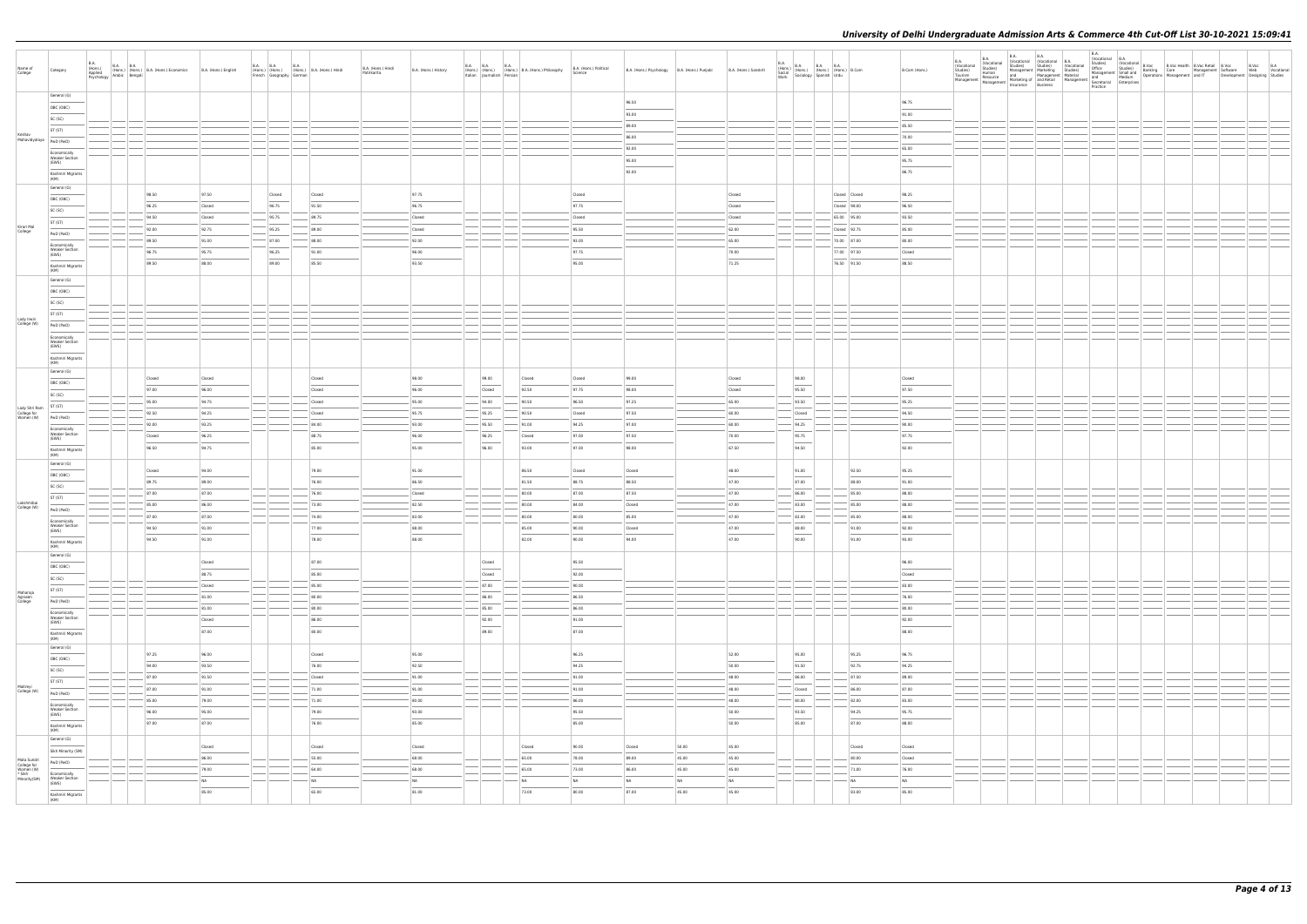| Name of<br>College                                                | Category                                       | <b>B.A.</b><br>(Hons.)<br>Applied<br>Psychology | B.A. B.A. (Hons.) B.A. (Hons.) Economics<br>(Hons.) (Hons.) B.A. (Hons.) Economics<br><sub>V</sub> Arabic Bengali | B.A. (Hons.) English | B.A. B.A. (Hons.) (B.A. (Hons.) B.A. (Hons.) Hindi<br>French Geography German |                | B.A. (Hons.) Hindi<br>Patrikarita | B.A. (Hons.) History     |                                    | B.A. B.A. B.A. B.A. B.A. (Hons.)<br>(Hons.) (Hons.) (Hons.) B.A. (Hons.) Philosophy<br>Italian Journalism Persian | B.A. (Hons.) Political<br>Science | B.A. (Hons.) Psychology   B.A. (Hons.) Punjabi |           | B.A. (Hons.) Sanskrit    |                                   | $\begin{array}{ l l } \hline \text{B.A.} & \text{B.A.} & \text{B.A.} & \text{B.A.} \\ \hline \text{Stoial} & \text{(Hons.)} & \text{(Hons.)} & \text{(Hons.)} & \text{B.Com} \\ \hline \text{Social} & \text{Sociology} & \text{Spanish} & \text{Urdu} & \text{B.Com} \\\hline \end{array}$ | B.Com (Hons.)           | <b>B.A.</b><br>(Vocational<br>Studies)<br>Tourism<br>Management |  |  |  |  |  |
|-------------------------------------------------------------------|------------------------------------------------|-------------------------------------------------|-------------------------------------------------------------------------------------------------------------------|----------------------|-------------------------------------------------------------------------------|----------------|-----------------------------------|--------------------------|------------------------------------|-------------------------------------------------------------------------------------------------------------------|-----------------------------------|------------------------------------------------|-----------|--------------------------|-----------------------------------|---------------------------------------------------------------------------------------------------------------------------------------------------------------------------------------------------------------------------------------------------------------------------------------------|-------------------------|-----------------------------------------------------------------|--|--|--|--|--|
|                                                                   | General (G)<br>OBC (OBC)                       |                                                 |                                                                                                                   |                      |                                                                               |                |                                   |                          |                                    |                                                                                                                   |                                   | 96.50                                          |           |                          |                                   |                                                                                                                                                                                                                                                                                             | 96.75                   |                                                                 |  |  |  |  |  |
|                                                                   | SC (SC)                                        |                                                 |                                                                                                                   |                      |                                                                               |                |                                   |                          |                                    |                                                                                                                   |                                   | 93.00                                          |           |                          |                                   |                                                                                                                                                                                                                                                                                             | 91.00                   |                                                                 |  |  |  |  |  |
| Keshav                                                            | ST (ST)                                        |                                                 |                                                                                                                   |                      |                                                                               |                |                                   |                          |                                    |                                                                                                                   |                                   | 89.00                                          |           |                          |                                   |                                                                                                                                                                                                                                                                                             | 85.50                   |                                                                 |  |  |  |  |  |
| Mahavidyalaya   PwD (PwD)                                         |                                                |                                                 |                                                                                                                   |                      |                                                                               |                |                                   |                          |                                    |                                                                                                                   |                                   | 86.00                                          |           |                          |                                   |                                                                                                                                                                                                                                                                                             | 70.00                   |                                                                 |  |  |  |  |  |
|                                                                   | Economically<br><b>Weaker Section</b>          |                                                 |                                                                                                                   |                      |                                                                               |                |                                   |                          |                                    |                                                                                                                   |                                   | 92.00                                          |           |                          |                                   |                                                                                                                                                                                                                                                                                             | 65.00                   |                                                                 |  |  |  |  |  |
|                                                                   | (EWS)                                          |                                                 |                                                                                                                   |                      |                                                                               |                |                                   |                          |                                    |                                                                                                                   |                                   | 95.00<br>92.00                                 |           |                          |                                   |                                                                                                                                                                                                                                                                                             | 95.75<br>86.75          |                                                                 |  |  |  |  |  |
|                                                                   | Kashmiri Migrants<br>(KM)                      |                                                 |                                                                                                                   |                      |                                                                               |                |                                   |                          |                                    |                                                                                                                   |                                   |                                                |           |                          |                                   |                                                                                                                                                                                                                                                                                             |                         |                                                                 |  |  |  |  |  |
|                                                                   | General (G)                                    |                                                 | 98.50                                                                                                             | 97.50                | Closed                                                                        | Closed         |                                   | 97.75                    |                                    |                                                                                                                   | Closed                            |                                                |           | Closed                   |                                   | Closed Closed                                                                                                                                                                                                                                                                               | 98.25                   |                                                                 |  |  |  |  |  |
|                                                                   | OBC (OBC)                                      |                                                 | 96.25                                                                                                             | Closed               | 96.75                                                                         | 91.50          |                                   | 96.75                    |                                    |                                                                                                                   | 97.75                             |                                                |           | Closed                   |                                   | Closed 98.00                                                                                                                                                                                                                                                                                | 96.50                   |                                                                 |  |  |  |  |  |
|                                                                   | SC (SC)                                        |                                                 | 94.50                                                                                                             | Closed               | $-95.75$                                                                      | 89.75          |                                   | Closed                   |                                    |                                                                                                                   | Closed                            |                                                |           | Closed                   |                                   | 65.00 95.00                                                                                                                                                                                                                                                                                 | 93.50                   |                                                                 |  |  |  |  |  |
| Kirori Mal<br>College                                             | ST (ST)                                        |                                                 | 92.00                                                                                                             | 92.75                | 95.25                                                                         | 89.00          |                                   | Closed                   |                                    |                                                                                                                   | 95.50                             |                                                |           | 62.00                    |                                   | Closed 92.75                                                                                                                                                                                                                                                                                | 85.00                   |                                                                 |  |  |  |  |  |
|                                                                   | PwD (PwD)                                      |                                                 | 89.50                                                                                                             | 91.00                | $-87.00$                                                                      | 88.00          |                                   | 92.00                    |                                    |                                                                                                                   | 93.00                             |                                                |           | 65.00                    |                                   | 70.00 87.00                                                                                                                                                                                                                                                                                 | 80.00                   |                                                                 |  |  |  |  |  |
|                                                                   | Economically<br><b>Weaker Section</b><br>(EWS) |                                                 | 96.75                                                                                                             | 95.75                | 96.25                                                                         | 91.00          |                                   | 96.00                    |                                    |                                                                                                                   | 97.75                             |                                                |           | 70.00                    |                                   | 77.00 97.50                                                                                                                                                                                                                                                                                 | Closed                  |                                                                 |  |  |  |  |  |
|                                                                   | Kashmiri Migrants                              |                                                 | 89.50                                                                                                             | 88.00                | 89.00                                                                         | 85.50          |                                   | 93.50                    |                                    |                                                                                                                   | 95.00                             |                                                |           | 71.25                    |                                   | 76.50 91.50                                                                                                                                                                                                                                                                                 | 88.50                   |                                                                 |  |  |  |  |  |
|                                                                   | (KM)<br>General (G)                            |                                                 |                                                                                                                   |                      |                                                                               |                |                                   |                          |                                    |                                                                                                                   |                                   |                                                |           |                          |                                   |                                                                                                                                                                                                                                                                                             |                         |                                                                 |  |  |  |  |  |
|                                                                   | OBC (OBC)                                      |                                                 |                                                                                                                   |                      |                                                                               |                |                                   |                          |                                    |                                                                                                                   |                                   |                                                |           |                          |                                   |                                                                                                                                                                                                                                                                                             |                         |                                                                 |  |  |  |  |  |
|                                                                   | SC (SC)                                        |                                                 |                                                                                                                   |                      |                                                                               |                |                                   |                          |                                    |                                                                                                                   |                                   |                                                |           |                          |                                   |                                                                                                                                                                                                                                                                                             |                         |                                                                 |  |  |  |  |  |
|                                                                   | ST (ST)                                        |                                                 |                                                                                                                   |                      |                                                                               |                |                                   |                          |                                    |                                                                                                                   |                                   |                                                |           |                          |                                   |                                                                                                                                                                                                                                                                                             |                         |                                                                 |  |  |  |  |  |
| Lady Irwin<br>College (W)                                         | PwD (PwD)                                      |                                                 |                                                                                                                   |                      |                                                                               |                |                                   |                          |                                    |                                                                                                                   |                                   |                                                |           |                          |                                   |                                                                                                                                                                                                                                                                                             |                         |                                                                 |  |  |  |  |  |
|                                                                   | Economically                                   |                                                 |                                                                                                                   |                      |                                                                               |                |                                   |                          |                                    |                                                                                                                   |                                   |                                                |           |                          |                                   |                                                                                                                                                                                                                                                                                             |                         |                                                                 |  |  |  |  |  |
|                                                                   | <b>Weaker Section</b><br>(EWS)                 |                                                 |                                                                                                                   |                      |                                                                               |                |                                   |                          |                                    |                                                                                                                   |                                   |                                                |           |                          |                                   |                                                                                                                                                                                                                                                                                             |                         |                                                                 |  |  |  |  |  |
|                                                                   | Kashmiri Migrants<br>(KM)                      |                                                 |                                                                                                                   |                      |                                                                               |                |                                   |                          |                                    |                                                                                                                   |                                   |                                                |           |                          |                                   |                                                                                                                                                                                                                                                                                             |                         |                                                                 |  |  |  |  |  |
|                                                                   | General (G)                                    |                                                 |                                                                                                                   |                      |                                                                               |                |                                   |                          |                                    |                                                                                                                   |                                   |                                                |           |                          |                                   |                                                                                                                                                                                                                                                                                             |                         |                                                                 |  |  |  |  |  |
|                                                                   | OBC (OBC)                                      |                                                 | Closed                                                                                                            | Closed               |                                                                               | Closed         |                                   | 98.00                    | 99.00                              | Closed                                                                                                            | Closed                            | 99.00                                          |           | Closed                   | 98.00<br>$\frac{1}{2}$            |                                                                                                                                                                                                                                                                                             | Closed                  |                                                                 |  |  |  |  |  |
|                                                                   | SC (SC)                                        |                                                 | 97.00                                                                                                             | 96.00                |                                                                               | Closed         |                                   | 96.00                    | Closed                             | 92.50                                                                                                             | 97.75                             | 98.00                                          |           | Closed                   | 95.50                             |                                                                                                                                                                                                                                                                                             | 97.50                   |                                                                 |  |  |  |  |  |
| Lady Shri Ram                                                     | ST (ST)                                        |                                                 | 95.00                                                                                                             | 94.75                |                                                                               | Closed         |                                   | 95.00                    | 94.00                              | 90.50                                                                                                             | 96.50                             | 97.25                                          |           | 65.00                    | 93.50                             |                                                                                                                                                                                                                                                                                             | 95.25                   |                                                                 |  |  |  |  |  |
| College for<br>Women (W)                                          | PwD (PwD)                                      |                                                 | 92.50                                                                                                             | 94.25                |                                                                               | Closed         |                                   | 95.75                    | 95.25                              | 90.50                                                                                                             | Closed                            | 97.50                                          |           | 60.00                    | Closed                            |                                                                                                                                                                                                                                                                                             | 94.50                   |                                                                 |  |  |  |  |  |
|                                                                   | Economically<br><b>Weaker Section</b>          |                                                 | 92.00                                                                                                             | 93.25                |                                                                               | 84.00          |                                   | 93.00                    | $-$ 95.50                          | 91.00                                                                                                             | 94.25                             | 97.00                                          |           | 60.00                    | 94.25                             |                                                                                                                                                                                                                                                                                             | 90.00                   |                                                                 |  |  |  |  |  |
|                                                                   | (EWS)                                          |                                                 | Closed                                                                                                            | 96.25                |                                                                               | 88.75          |                                   | 96.00                    | 96.25                              | Closed                                                                                                            | 97.00                             | 97.50                                          |           | 70.00                    | 95.75<br>$\frac{1}{2}$            |                                                                                                                                                                                                                                                                                             | 97.75                   |                                                                 |  |  |  |  |  |
|                                                                   | Kashmiri Migrants<br>(KM)                      |                                                 | 96.50                                                                                                             | 94.75                |                                                                               | 85.00          |                                   | 95.00                    | 96.00                              | 93.00                                                                                                             | 97.00                             | 98.00                                          |           | 67.50                    | 94.50                             |                                                                                                                                                                                                                                                                                             | 92.00                   |                                                                 |  |  |  |  |  |
|                                                                   | General (G)                                    |                                                 | Closed                                                                                                            | 94.00                |                                                                               | 79.00          |                                   | 91.00                    |                                    | 86.50                                                                                                             | Closed                            | Closed                                         |           | 48.00                    | 91.00                             | 92.50                                                                                                                                                                                                                                                                                       | 95.25                   |                                                                 |  |  |  |  |  |
|                                                                   | OBC (OBC)                                      |                                                 | 89.75                                                                                                             | 89.00                |                                                                               | 76.00          |                                   | 86.50                    |                                    | 81.50                                                                                                             | 88.75                             | 88.50                                          |           | 47.00                    | 87.00                             | 88.00                                                                                                                                                                                                                                                                                       | 91.00                   |                                                                 |  |  |  |  |  |
|                                                                   | SC (SC)                                        |                                                 | 87.00                                                                                                             | 87.00                |                                                                               | 76.00          |                                   | Closed                   |                                    | 80.00                                                                                                             | 87.00                             | 87.50                                          |           | 47.00                    | 86.00                             | 85.00                                                                                                                                                                                                                                                                                       | 88.00                   |                                                                 |  |  |  |  |  |
| Lakshmibai<br>College (W)                                         | ST (ST)                                        |                                                 | 85.00                                                                                                             | 86.00                |                                                                               | 73.00          |                                   | 82.50                    |                                    | 80.00                                                                                                             | 84.00                             | Closed                                         |           | 47.00                    | 83.00                             | 85.00                                                                                                                                                                                                                                                                                       | 88.00                   |                                                                 |  |  |  |  |  |
|                                                                   | PwD (PwD)                                      |                                                 | 87.00                                                                                                             | 87.00                |                                                                               | 74.00          |                                   | 83.00                    |                                    | 80.00                                                                                                             | 80.00                             | 85.00                                          |           | 47.00                    | 82.00                             | 85.00                                                                                                                                                                                                                                                                                       | 88.00                   |                                                                 |  |  |  |  |  |
|                                                                   | Economically<br><b>Weaker Section</b><br>(EWS) |                                                 | 94.50                                                                                                             | 91.00                |                                                                               | 77.00          |                                   | 88.00                    |                                    | 85.00                                                                                                             | 90.00                             | Closed                                         |           | 47.00                    | 88.00                             | 91.00                                                                                                                                                                                                                                                                                       | 92.00                   |                                                                 |  |  |  |  |  |
|                                                                   | Kashmiri Migrants<br>(KM)                      |                                                 | 94.50                                                                                                             | 91.00                |                                                                               | 78.00          |                                   | 88.00                    |                                    | 82.00                                                                                                             | 90.00                             | 94.0                                           |           | 47.00                    | $\overline{\phantom{a}}$<br>90.00 | 91.00                                                                                                                                                                                                                                                                                       | 93.00                   |                                                                 |  |  |  |  |  |
|                                                                   | General (G)                                    |                                                 |                                                                                                                   |                      |                                                                               |                |                                   |                          |                                    |                                                                                                                   |                                   |                                                |           |                          |                                   |                                                                                                                                                                                                                                                                                             |                         |                                                                 |  |  |  |  |  |
|                                                                   | OBC (OBC)                                      |                                                 |                                                                                                                   | Closed               |                                                                               | 87.00          |                                   |                          | Closed<br>$\overline{\phantom{a}}$ |                                                                                                                   | 95.50                             |                                                |           |                          |                                   |                                                                                                                                                                                                                                                                                             | 96.00                   |                                                                 |  |  |  |  |  |
|                                                                   | SC (SC)                                        |                                                 |                                                                                                                   | 88.75                |                                                                               | 85.00          |                                   |                          | Closed                             |                                                                                                                   | 92.00                             |                                                |           |                          |                                   |                                                                                                                                                                                                                                                                                             | $\frac{1}{2}$<br>Closed |                                                                 |  |  |  |  |  |
|                                                                   | ST (ST)                                        |                                                 |                                                                                                                   | Closed               |                                                                               | 85.00          |                                   |                          | 87.00                              |                                                                                                                   | 90.00                             |                                                |           |                          |                                   |                                                                                                                                                                                                                                                                                             | 83.00                   |                                                                 |  |  |  |  |  |
| Maharaja<br>Agrasen<br>College                                    | PwD (PwD)                                      |                                                 |                                                                                                                   | 81.00                |                                                                               | 80.00          |                                   |                          | 86.00                              |                                                                                                                   | 86.50                             |                                                |           |                          |                                   |                                                                                                                                                                                                                                                                                             | 76.00                   |                                                                 |  |  |  |  |  |
|                                                                   | Economically                                   |                                                 |                                                                                                                   | 81.00                |                                                                               | 80.00          |                                   |                          | 85.00                              |                                                                                                                   | 86.00                             |                                                |           |                          |                                   |                                                                                                                                                                                                                                                                                             | 80.00                   |                                                                 |  |  |  |  |  |
|                                                                   | <b>Weaker Section</b><br>(EWS)                 |                                                 |                                                                                                                   | Closed               |                                                                               | 86.00          |                                   |                          | 92.00<br>$\overline{\phantom{a}}$  |                                                                                                                   | 91.00<br>$\frac{1}{2}$            |                                                |           |                          |                                   |                                                                                                                                                                                                                                                                                             | 92.00<br>$\frac{1}{2}$  |                                                                 |  |  |  |  |  |
|                                                                   | Kashmiri Migrants<br>(KM)                      |                                                 |                                                                                                                   | 87.00                |                                                                               | 80.00          |                                   |                          | 89.00                              |                                                                                                                   | 87.00                             |                                                |           |                          |                                   |                                                                                                                                                                                                                                                                                             | 88.00                   |                                                                 |  |  |  |  |  |
|                                                                   | General (G)                                    |                                                 |                                                                                                                   |                      |                                                                               |                |                                   |                          |                                    |                                                                                                                   |                                   |                                                |           |                          |                                   |                                                                                                                                                                                                                                                                                             |                         |                                                                 |  |  |  |  |  |
|                                                                   | OBC (OBC)                                      |                                                 | 97.25                                                                                                             | 96.00                |                                                                               | Closed         |                                   | 95.00                    |                                    |                                                                                                                   | 96.25                             |                                                |           | 52.00                    | 95.00                             | 95.25                                                                                                                                                                                                                                                                                       | 96.75                   |                                                                 |  |  |  |  |  |
|                                                                   | SC (SC)                                        |                                                 | 94.00                                                                                                             | 93.50                |                                                                               | 76.00          |                                   | 92.50                    |                                    |                                                                                                                   | 94.25                             |                                                |           | 50.00                    | 91.50                             | 92.75                                                                                                                                                                                                                                                                                       | 94.25                   |                                                                 |  |  |  |  |  |
|                                                                   | ST (ST)                                        |                                                 | 87.00                                                                                                             | 91.50                |                                                                               | Closed         |                                   | 91.00                    |                                    |                                                                                                                   | 91.00                             |                                                |           | 48.00                    | 86.00                             | 87.50                                                                                                                                                                                                                                                                                       | 89.00                   |                                                                 |  |  |  |  |  |
| Maitreyi<br>College (W)                                           | PwD (PwD)                                      |                                                 | 87.00<br>85.00                                                                                                    | 91.00                |                                                                               | 71.00<br>71.00 |                                   | 91.00<br>80.00           |                                    |                                                                                                                   | 91.00<br>86.00                    |                                                |           | 48.00<br>48.00           | Closed<br>80.00                   | 86.00                                                                                                                                                                                                                                                                                       | 87.00<br>83.00          |                                                                 |  |  |  |  |  |
|                                                                   | Economically<br><b>Weaker Section</b>          |                                                 | 96.00                                                                                                             | 79.00<br>95.00       |                                                                               | 79.00          |                                   | 93.00                    |                                    |                                                                                                                   | 95.50                             |                                                |           | 50.00                    | 93.50                             | 82.00<br>94.25                                                                                                                                                                                                                                                                              | 95.75                   |                                                                 |  |  |  |  |  |
|                                                                   | (EWS)                                          |                                                 | 87.00                                                                                                             | 87.00                |                                                                               | 76.00          |                                   | $\qquad \qquad$<br>85.00 |                                    |                                                                                                                   | $\overline{\phantom{m}}$<br>85.00 |                                                |           | $\qquad \qquad$<br>50.00 | $\frac{1}{2}$<br>85.00            | 87.00                                                                                                                                                                                                                                                                                       | 88.00                   |                                                                 |  |  |  |  |  |
|                                                                   | Kashmiri Migrants<br>(KM)                      |                                                 |                                                                                                                   |                      |                                                                               |                |                                   |                          |                                    |                                                                                                                   |                                   |                                                |           |                          |                                   |                                                                                                                                                                                                                                                                                             |                         |                                                                 |  |  |  |  |  |
|                                                                   | General (G)                                    |                                                 |                                                                                                                   | Closed               |                                                                               | Closed         |                                   | Closed                   |                                    | Closed                                                                                                            | 90.00                             | Closed                                         | 50.00     | 45.00                    |                                   | Closed                                                                                                                                                                                                                                                                                      | Closed                  |                                                                 |  |  |  |  |  |
|                                                                   | Sikh Minority (SM)                             |                                                 |                                                                                                                   | 86.00                |                                                                               | 55.00          |                                   | 68.00                    |                                    | 65.00                                                                                                             | 78.00                             | 89.00                                          | 45.00     | 45.00                    |                                   | 80.00                                                                                                                                                                                                                                                                                       | Closed                  |                                                                 |  |  |  |  |  |
| Mata Sundri<br>College for<br>Women (W)<br>* Sikh<br>Minority(SM) | PwD (PwD)                                      |                                                 |                                                                                                                   | 79.00                |                                                                               | 64.00          |                                   | 68.00                    |                                    | 65.00                                                                                                             | 73.00                             | 86.00                                          | 45.00     | 45.00                    |                                   | 71.00                                                                                                                                                                                                                                                                                       | 76.00                   |                                                                 |  |  |  |  |  |
|                                                                   | Economically<br><b>Weaker Section</b>          |                                                 |                                                                                                                   | N <sub>A</sub>       |                                                                               | NA             |                                   | NA                       |                                    | NA                                                                                                                | N <sub>A</sub>                    | NA                                             | <b>NA</b> | NA                       |                                   | NA                                                                                                                                                                                                                                                                                          | <b>NA</b>               |                                                                 |  |  |  |  |  |
|                                                                   | (EWS)<br>Kashmiri Migrants                     |                                                 |                                                                                                                   | 85.00                |                                                                               | 65.00          |                                   | 81.00                    |                                    | 73.00                                                                                                             | 80.00                             | 87.00                                          | 45.00     | 45.00                    |                                   | 83.00                                                                                                                                                                                                                                                                                       | 85.00                   |                                                                 |  |  |  |  |  |
|                                                                   | (KM)                                           |                                                 |                                                                                                                   |                      |                                                                               |                |                                   |                          |                                    |                                                                                                                   |                                   |                                                |           |                          |                                   |                                                                                                                                                                                                                                                                                             |                         |                                                                 |  |  |  |  |  |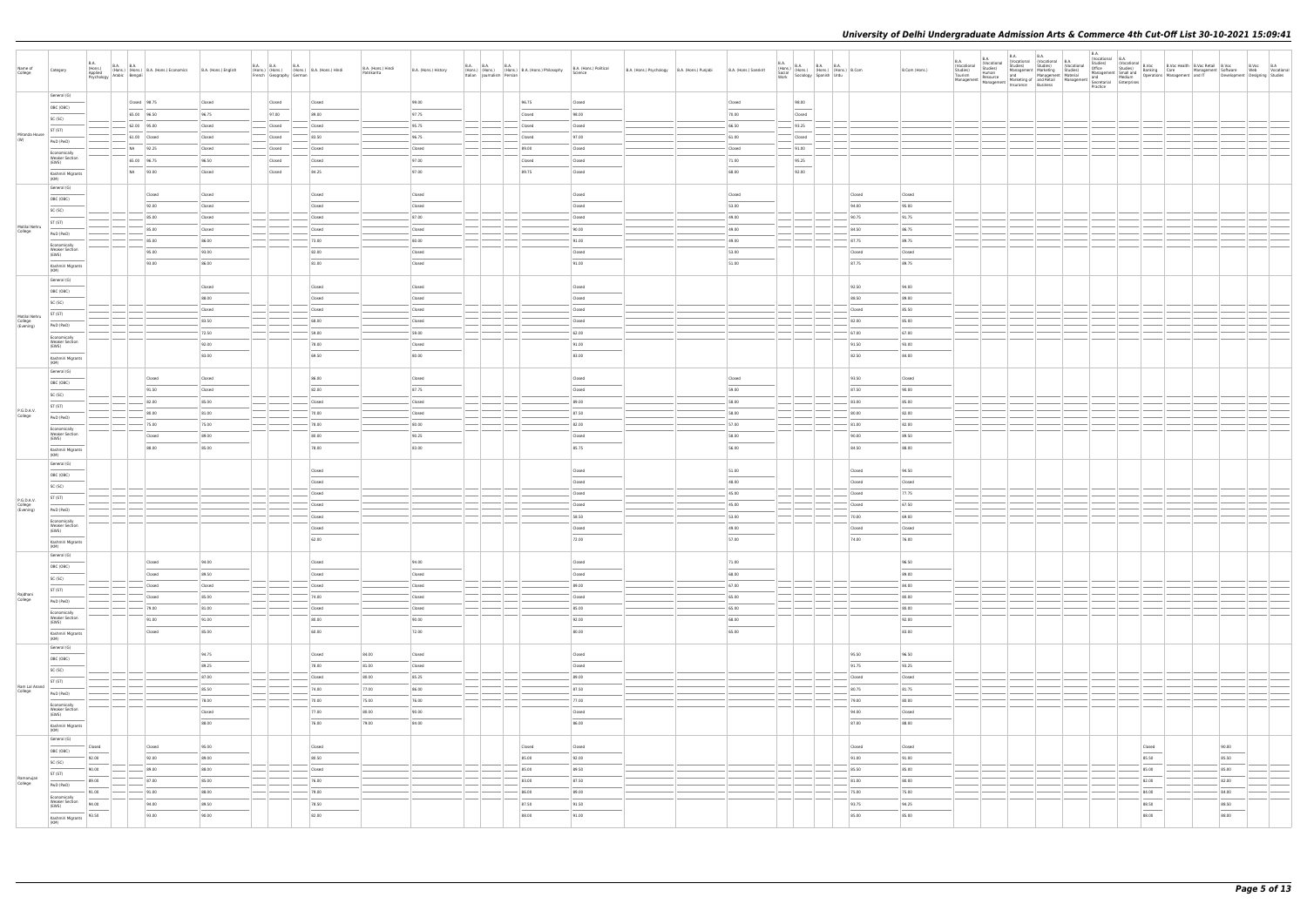| Name of<br>College                    | Category                                                                                                                                                                                                                                                                                                                                                                                                                                                                                        | <b>B.A.</b><br>(Hons.)<br>Applied<br>Psychology | $\begin{tabular}{ c c c c } \hline B.A. & B.A. & B.A. & (Hons.) & Economics \\ (Hons.) & (Hons.) & B.A. & (Hons.) & Economics \\ & Bengali & & \\ \hline \end{tabular}$ | B.A. (Hons.) English | <b>B.A. B.A.</b><br><b>B.A.</b><br>(Hons.) (Hons.) (Hons.) B.A. (Hons.) Hindi<br>French   Geography   German | B.A. (Hons.) Hindi<br>Patrikarita | B.A. (Hons.) History | <b>B.A. B.A. B.A.</b> | (Hons.) (Hons.) (Hons.) B.A. (Hons.) Philosophy<br>Italian Journalism Persian Persian | B.A. (Hons.) Political<br>B.A. (Hons.) Psychology   B.A. (Hons.) Punjabi<br>Science | B.A. (Hons.) Sanskrit | $\begin{array}{ll} \text{B.A.} \\ \text{(Hons.)} \\ \text{Social} \\ \text{Social} \\ \text{Work} \\ \text{Work} \end{array} \hspace{1mm} \begin{array}{ll} \text{B.A.} \\ \text{(Hons.)} \\ \text{(Hons.)} \\ \text{(Hons.)} \\ \text{Spanish} \\ \text{Urdu} \end{array} \hspace{1mm} \begin{array}{ll} \text{B.A.} \\ \text{B.A.} \\ \text{(Hons.)} \\ \text{Urdu} \end{array} \hspace{1mm} \begin{array}{ll} \text{B.A.} \\ \text{B.Com} \\ \text{B.Com} \end{array}$  |                | B.Com (Hons.)          | <b>B.A.</b><br>(Vocational<br>Studies)<br>Tourism<br>Management | <b>B.A.</b><br>Vocational<br>studies)<br>Human | <b>B.A.</b><br><b>B.A.</b><br>(Vocational (Vocational B.A.<br>Studies) Studies) (Voca<br>Management Marketing Studies)<br>Human<br>Resource and Management Material Management Indiand<br>Management Marketing of and<br>Resource Business Management Secretarial Enterprises<br>Practice Business | (Vocational | <b>B.A.</b><br>Practice |                          | B.A.<br>  Studies  Wocational B.A.<br>  Studies  B.Voc Health B.Voc Retail B.Voc & B.Voc B.A.<br>  Office Studies  B.Anking Care<br>  Management Software Wanagement and IT Development Designing Studies<br>  And Medium Operations Manageme                                                                                                                                                                                                                                                |  |
|---------------------------------------|-------------------------------------------------------------------------------------------------------------------------------------------------------------------------------------------------------------------------------------------------------------------------------------------------------------------------------------------------------------------------------------------------------------------------------------------------------------------------------------------------|-------------------------------------------------|-------------------------------------------------------------------------------------------------------------------------------------------------------------------------|----------------------|--------------------------------------------------------------------------------------------------------------|-----------------------------------|----------------------|-----------------------|---------------------------------------------------------------------------------------|-------------------------------------------------------------------------------------|-----------------------|----------------------------------------------------------------------------------------------------------------------------------------------------------------------------------------------------------------------------------------------------------------------------------------------------------------------------------------------------------------------------------------------------------------------------------------------------------------------------|----------------|------------------------|-----------------------------------------------------------------|------------------------------------------------|----------------------------------------------------------------------------------------------------------------------------------------------------------------------------------------------------------------------------------------------------------------------------------------------------|-------------|-------------------------|--------------------------|----------------------------------------------------------------------------------------------------------------------------------------------------------------------------------------------------------------------------------------------------------------------------------------------------------------------------------------------------------------------------------------------------------------------------------------------------------------------------------------------|--|
|                                       | General (G)                                                                                                                                                                                                                                                                                                                                                                                                                                                                                     |                                                 | Closed 98.75                                                                                                                                                            | Closed               | Closed<br>Closed                                                                                             |                                   | 99.00                |                       | 96.75                                                                                 | Closed                                                                              | Closed                | 98.00                                                                                                                                                                                                                                                                                                                                                                                                                                                                      |                |                        |                                                                 |                                                |                                                                                                                                                                                                                                                                                                    |             |                         |                          |                                                                                                                                                                                                                                                                                                                                                                                                                                                                                              |  |
|                                       | OBC (OBC)                                                                                                                                                                                                                                                                                                                                                                                                                                                                                       |                                                 | 65.00 96.50                                                                                                                                                             | 96.75                | 97.00<br>89.00                                                                                               |                                   | 97.75                |                       | Closed                                                                                | 98.00                                                                               | 70.00                 | Closed                                                                                                                                                                                                                                                                                                                                                                                                                                                                     |                |                        |                                                                 |                                                |                                                                                                                                                                                                                                                                                                    |             |                         |                          |                                                                                                                                                                                                                                                                                                                                                                                                                                                                                              |  |
|                                       | SC (SC)                                                                                                                                                                                                                                                                                                                                                                                                                                                                                         |                                                 | $- 62.00$ 95.00                                                                                                                                                         | Closed               | Closed<br>Closed                                                                                             |                                   | 95.75                |                       | Closed                                                                                | Closed                                                                              | 66.50                 | 93.25                                                                                                                                                                                                                                                                                                                                                                                                                                                                      |                |                        |                                                                 |                                                |                                                                                                                                                                                                                                                                                                    |             |                         |                          |                                                                                                                                                                                                                                                                                                                                                                                                                                                                                              |  |
| Miranda House<br>(W)                  | ST (ST)                                                                                                                                                                                                                                                                                                                                                                                                                                                                                         |                                                 | 61.00 Closed                                                                                                                                                            | Closed               | 83.50<br>Closed                                                                                              |                                   | 96.75                |                       | Closed                                                                                | 97.00                                                                               | 61.00                 | Closed                                                                                                                                                                                                                                                                                                                                                                                                                                                                     |                |                        |                                                                 |                                                |                                                                                                                                                                                                                                                                                                    |             |                         |                          |                                                                                                                                                                                                                                                                                                                                                                                                                                                                                              |  |
|                                       | PwD (PwD)<br>Economically                                                                                                                                                                                                                                                                                                                                                                                                                                                                       |                                                 | NA 92.25                                                                                                                                                                | Closed               | Closed<br>Closed                                                                                             |                                   | Closed               |                       | 89.00                                                                                 | Closed                                                                              | Closed                | 91.00                                                                                                                                                                                                                                                                                                                                                                                                                                                                      |                |                        |                                                                 |                                                |                                                                                                                                                                                                                                                                                                    |             |                         |                          |                                                                                                                                                                                                                                                                                                                                                                                                                                                                                              |  |
|                                       | <b>Weaker Section</b><br>(EWS)                                                                                                                                                                                                                                                                                                                                                                                                                                                                  |                                                 | 65.00 96.75                                                                                                                                                             | 96.50                | Closed<br>Closed                                                                                             |                                   | 97.00                |                       | Closed                                                                                | Closed                                                                              | 71.00                 | 95.25                                                                                                                                                                                                                                                                                                                                                                                                                                                                      |                |                        |                                                                 |                                                |                                                                                                                                                                                                                                                                                                    |             |                         |                          |                                                                                                                                                                                                                                                                                                                                                                                                                                                                                              |  |
|                                       | $\frac{1}{2} \left( \frac{1}{2} \right) \left( \frac{1}{2} \right) \left( \frac{1}{2} \right) \left( \frac{1}{2} \right) \left( \frac{1}{2} \right) \left( \frac{1}{2} \right) \left( \frac{1}{2} \right) \left( \frac{1}{2} \right) \left( \frac{1}{2} \right) \left( \frac{1}{2} \right) \left( \frac{1}{2} \right) \left( \frac{1}{2} \right) \left( \frac{1}{2} \right) \left( \frac{1}{2} \right) \left( \frac{1}{2} \right) \left( \frac{1}{2} \right) \left( \frac$<br>Kashmiri Migrants |                                                 | NA 93.00                                                                                                                                                                | Closed               | 84.25<br>Closed                                                                                              |                                   | 97.00                |                       | 89.75                                                                                 | Closed                                                                              | 68.00                 | 92.00                                                                                                                                                                                                                                                                                                                                                                                                                                                                      |                |                        |                                                                 |                                                |                                                                                                                                                                                                                                                                                                    |             |                         |                          |                                                                                                                                                                                                                                                                                                                                                                                                                                                                                              |  |
|                                       | (KM)<br>General (G)                                                                                                                                                                                                                                                                                                                                                                                                                                                                             |                                                 |                                                                                                                                                                         |                      |                                                                                                              |                                   |                      |                       |                                                                                       |                                                                                     |                       |                                                                                                                                                                                                                                                                                                                                                                                                                                                                            |                |                        |                                                                 |                                                |                                                                                                                                                                                                                                                                                                    |             |                         |                          |                                                                                                                                                                                                                                                                                                                                                                                                                                                                                              |  |
|                                       | OBC (OBC)                                                                                                                                                                                                                                                                                                                                                                                                                                                                                       |                                                 | Closed                                                                                                                                                                  | Closed               | Closed                                                                                                       |                                   | Closed               |                       |                                                                                       | Closed                                                                              | Closed                |                                                                                                                                                                                                                                                                                                                                                                                                                                                                            | Closed         | Closed                 |                                                                 |                                                |                                                                                                                                                                                                                                                                                                    |             |                         |                          |                                                                                                                                                                                                                                                                                                                                                                                                                                                                                              |  |
|                                       | SC (SC)                                                                                                                                                                                                                                                                                                                                                                                                                                                                                         |                                                 | 92.00                                                                                                                                                                   | Closed               | Closed                                                                                                       |                                   | Closed               |                       |                                                                                       | Closed                                                                              | 53.00                 |                                                                                                                                                                                                                                                                                                                                                                                                                                                                            | 94.00          | 95.00                  |                                                                 |                                                |                                                                                                                                                                                                                                                                                                    |             |                         |                          |                                                                                                                                                                                                                                                                                                                                                                                                                                                                                              |  |
|                                       | ST (ST)                                                                                                                                                                                                                                                                                                                                                                                                                                                                                         |                                                 | 85.00                                                                                                                                                                   | Closed               | Closed                                                                                                       |                                   | 87.00                |                       |                                                                                       | Closed                                                                              | 49.00                 |                                                                                                                                                                                                                                                                                                                                                                                                                                                                            | 90.75          | 91.75                  |                                                                 |                                                |                                                                                                                                                                                                                                                                                                    |             |                         |                          |                                                                                                                                                                                                                                                                                                                                                                                                                                                                                              |  |
| Motilal Nehru<br>College              | PwD (PwD)                                                                                                                                                                                                                                                                                                                                                                                                                                                                                       |                                                 | 85.00                                                                                                                                                                   | Closed               | Closed                                                                                                       |                                   | Closed               |                       |                                                                                       | 90.00                                                                               | 49.00                 |                                                                                                                                                                                                                                                                                                                                                                                                                                                                            | 84.50          | 86.75                  |                                                                 |                                                |                                                                                                                                                                                                                                                                                                    |             |                         |                          |                                                                                                                                                                                                                                                                                                                                                                                                                                                                                              |  |
|                                       | Economically                                                                                                                                                                                                                                                                                                                                                                                                                                                                                    |                                                 | 85.00                                                                                                                                                                   | 86.00                | 73.00                                                                                                        |                                   | 80.00                |                       |                                                                                       | 91.00                                                                               | 49.00                 |                                                                                                                                                                                                                                                                                                                                                                                                                                                                            | 87.75          | 89.75                  |                                                                 |                                                |                                                                                                                                                                                                                                                                                                    |             |                         |                          |                                                                                                                                                                                                                                                                                                                                                                                                                                                                                              |  |
|                                       | <b>Weaker Section</b><br>(EWS)                                                                                                                                                                                                                                                                                                                                                                                                                                                                  |                                                 | 95.00                                                                                                                                                                   | 93.00                | 82.00                                                                                                        |                                   | Closed               |                       |                                                                                       | Closed                                                                              | 53.00                 |                                                                                                                                                                                                                                                                                                                                                                                                                                                                            | Closed         | Closed                 |                                                                 |                                                |                                                                                                                                                                                                                                                                                                    |             |                         |                          |                                                                                                                                                                                                                                                                                                                                                                                                                                                                                              |  |
|                                       | Kashmiri Migrants<br>(KM)                                                                                                                                                                                                                                                                                                                                                                                                                                                                       |                                                 | 93.00                                                                                                                                                                   | 86.00                | 81.00                                                                                                        |                                   | Closed               |                       |                                                                                       | 91.00                                                                               | 51.00                 |                                                                                                                                                                                                                                                                                                                                                                                                                                                                            | 87.75          | 89.75                  |                                                                 |                                                |                                                                                                                                                                                                                                                                                                    |             |                         |                          |                                                                                                                                                                                                                                                                                                                                                                                                                                                                                              |  |
|                                       | General (G)                                                                                                                                                                                                                                                                                                                                                                                                                                                                                     |                                                 |                                                                                                                                                                         | Closed               | Closed                                                                                                       |                                   | Closed               |                       |                                                                                       | Closed                                                                              |                       |                                                                                                                                                                                                                                                                                                                                                                                                                                                                            | 92.50          | 94.00                  |                                                                 |                                                |                                                                                                                                                                                                                                                                                                    |             |                         |                          |                                                                                                                                                                                                                                                                                                                                                                                                                                                                                              |  |
|                                       | OBC (OBC)                                                                                                                                                                                                                                                                                                                                                                                                                                                                                       |                                                 |                                                                                                                                                                         | 88.00                | Closed                                                                                                       |                                   | Closed               |                       |                                                                                       | Closed                                                                              |                       |                                                                                                                                                                                                                                                                                                                                                                                                                                                                            | 88.50          | 89.00                  |                                                                 |                                                |                                                                                                                                                                                                                                                                                                    |             |                         |                          |                                                                                                                                                                                                                                                                                                                                                                                                                                                                                              |  |
|                                       | SC (SC)                                                                                                                                                                                                                                                                                                                                                                                                                                                                                         |                                                 |                                                                                                                                                                         | Closed               | Closed                                                                                                       |                                   | Closed               |                       |                                                                                       | Closed                                                                              |                       |                                                                                                                                                                                                                                                                                                                                                                                                                                                                            | Closed         | 85.50                  |                                                                 |                                                |                                                                                                                                                                                                                                                                                                    |             |                         |                          |                                                                                                                                                                                                                                                                                                                                                                                                                                                                                              |  |
| Motilal Nehru<br>College<br>(Evening) | ST (ST)                                                                                                                                                                                                                                                                                                                                                                                                                                                                                         |                                                 |                                                                                                                                                                         | 83.50                | 68.00                                                                                                        |                                   | Closed               |                       |                                                                                       | Closed                                                                              |                       |                                                                                                                                                                                                                                                                                                                                                                                                                                                                            | 82.00          | 85.00                  |                                                                 |                                                |                                                                                                                                                                                                                                                                                                    |             |                         |                          |                                                                                                                                                                                                                                                                                                                                                                                                                                                                                              |  |
|                                       | PwD (PwD)                                                                                                                                                                                                                                                                                                                                                                                                                                                                                       |                                                 |                                                                                                                                                                         | 72.50                | 59.00                                                                                                        |                                   | 59.00                |                       |                                                                                       | 62.00                                                                               |                       |                                                                                                                                                                                                                                                                                                                                                                                                                                                                            | 67.00          | 67.00                  |                                                                 |                                                |                                                                                                                                                                                                                                                                                                    |             |                         |                          |                                                                                                                                                                                                                                                                                                                                                                                                                                                                                              |  |
|                                       | Economically<br><b>Weaker Section</b><br>(EWS)                                                                                                                                                                                                                                                                                                                                                                                                                                                  |                                                 |                                                                                                                                                                         | 92.00                | 78.00                                                                                                        |                                   | Closed               |                       |                                                                                       | 91.00                                                                               |                       |                                                                                                                                                                                                                                                                                                                                                                                                                                                                            | 91.50          | 93.00                  |                                                                 |                                                |                                                                                                                                                                                                                                                                                                    |             |                         |                          |                                                                                                                                                                                                                                                                                                                                                                                                                                                                                              |  |
|                                       | Kashmiri Migrants                                                                                                                                                                                                                                                                                                                                                                                                                                                                               |                                                 |                                                                                                                                                                         | 83.00                | 69.50                                                                                                        |                                   | 80.00                |                       |                                                                                       | 83.00                                                                               |                       |                                                                                                                                                                                                                                                                                                                                                                                                                                                                            | 82.50          | 84.00                  |                                                                 |                                                |                                                                                                                                                                                                                                                                                                    |             |                         |                          |                                                                                                                                                                                                                                                                                                                                                                                                                                                                                              |  |
|                                       | (KM)<br>General (G)                                                                                                                                                                                                                                                                                                                                                                                                                                                                             |                                                 |                                                                                                                                                                         |                      |                                                                                                              |                                   |                      |                       |                                                                                       |                                                                                     |                       |                                                                                                                                                                                                                                                                                                                                                                                                                                                                            |                |                        |                                                                 |                                                |                                                                                                                                                                                                                                                                                                    |             |                         |                          |                                                                                                                                                                                                                                                                                                                                                                                                                                                                                              |  |
|                                       | OBC (OBC)                                                                                                                                                                                                                                                                                                                                                                                                                                                                                       |                                                 | Closed                                                                                                                                                                  | Closed               | 86.00                                                                                                        |                                   | Closed               |                       |                                                                                       | Closed                                                                              | Closed                |                                                                                                                                                                                                                                                                                                                                                                                                                                                                            | 93.50          | Closed                 |                                                                 |                                                |                                                                                                                                                                                                                                                                                                    |             |                         |                          |                                                                                                                                                                                                                                                                                                                                                                                                                                                                                              |  |
|                                       | SC (SC)                                                                                                                                                                                                                                                                                                                                                                                                                                                                                         |                                                 | 91.50                                                                                                                                                                   | Closed               | 82.00                                                                                                        |                                   | 87.75                |                       |                                                                                       | Closed                                                                              | 59.00                 |                                                                                                                                                                                                                                                                                                                                                                                                                                                                            | 87.50          | 90.00                  |                                                                 |                                                |                                                                                                                                                                                                                                                                                                    |             |                         |                          |                                                                                                                                                                                                                                                                                                                                                                                                                                                                                              |  |
|                                       | ST (ST)                                                                                                                                                                                                                                                                                                                                                                                                                                                                                         |                                                 | 82.00                                                                                                                                                                   | 85.00                | Closed                                                                                                       |                                   | Closed               |                       |                                                                                       | 89.00                                                                               | 58.00                 |                                                                                                                                                                                                                                                                                                                                                                                                                                                                            | 83.00          | 85.00                  |                                                                 |                                                |                                                                                                                                                                                                                                                                                                    |             |                         |                          |                                                                                                                                                                                                                                                                                                                                                                                                                                                                                              |  |
| P.G.D.A.V.<br>College                 | PwD (PwD)                                                                                                                                                                                                                                                                                                                                                                                                                                                                                       |                                                 | 80.00                                                                                                                                                                   | 81.00                | 70.00                                                                                                        |                                   | Closed               |                       |                                                                                       | 87.50                                                                               | 58.00                 |                                                                                                                                                                                                                                                                                                                                                                                                                                                                            | 80.00          | 82.00                  |                                                                 |                                                |                                                                                                                                                                                                                                                                                                    |             |                         |                          |                                                                                                                                                                                                                                                                                                                                                                                                                                                                                              |  |
|                                       | Economically<br><b>Weaker Section</b>                                                                                                                                                                                                                                                                                                                                                                                                                                                           |                                                 | 75.00                                                                                                                                                                   | 75.00                | 78.00                                                                                                        |                                   | 80.00                |                       |                                                                                       | 82.00                                                                               | 57.00                 |                                                                                                                                                                                                                                                                                                                                                                                                                                                                            | 81.00          | 82.00                  |                                                                 |                                                |                                                                                                                                                                                                                                                                                                    |             |                         |                          |                                                                                                                                                                                                                                                                                                                                                                                                                                                                                              |  |
|                                       | (EWS)                                                                                                                                                                                                                                                                                                                                                                                                                                                                                           |                                                 | Closed                                                                                                                                                                  | 89.00                | 80.00                                                                                                        |                                   | 90.25                |                       |                                                                                       | Closed                                                                              | 58.00                 |                                                                                                                                                                                                                                                                                                                                                                                                                                                                            | 90.00          | 89.50                  |                                                                 |                                                |                                                                                                                                                                                                                                                                                                    |             |                         |                          |                                                                                                                                                                                                                                                                                                                                                                                                                                                                                              |  |
|                                       | Kashmiri Migrants<br>(KM)                                                                                                                                                                                                                                                                                                                                                                                                                                                                       |                                                 | 88.00                                                                                                                                                                   | 85.00                | 78.00                                                                                                        |                                   | 83.00                |                       |                                                                                       | 85.75                                                                               | 56.00                 |                                                                                                                                                                                                                                                                                                                                                                                                                                                                            | 84.50          | 88.00                  |                                                                 |                                                |                                                                                                                                                                                                                                                                                                    |             |                         |                          |                                                                                                                                                                                                                                                                                                                                                                                                                                                                                              |  |
|                                       | General (G)                                                                                                                                                                                                                                                                                                                                                                                                                                                                                     |                                                 |                                                                                                                                                                         |                      | Closed                                                                                                       |                                   |                      |                       |                                                                                       | Closed                                                                              | 51.00                 |                                                                                                                                                                                                                                                                                                                                                                                                                                                                            | Closed         | 94.50                  |                                                                 |                                                |                                                                                                                                                                                                                                                                                                    |             |                         |                          |                                                                                                                                                                                                                                                                                                                                                                                                                                                                                              |  |
|                                       | OBC (OBC)                                                                                                                                                                                                                                                                                                                                                                                                                                                                                       |                                                 |                                                                                                                                                                         |                      | Closed                                                                                                       |                                   |                      |                       |                                                                                       | Closed                                                                              | 48.00                 |                                                                                                                                                                                                                                                                                                                                                                                                                                                                            | Closed         | Closed                 |                                                                 |                                                |                                                                                                                                                                                                                                                                                                    |             |                         |                          |                                                                                                                                                                                                                                                                                                                                                                                                                                                                                              |  |
|                                       | SC (SC)                                                                                                                                                                                                                                                                                                                                                                                                                                                                                         |                                                 |                                                                                                                                                                         |                      | Closed                                                                                                       |                                   |                      |                       |                                                                                       | Closed                                                                              | 45.00                 |                                                                                                                                                                                                                                                                                                                                                                                                                                                                            | Closed         | 77.75                  |                                                                 |                                                |                                                                                                                                                                                                                                                                                                    |             |                         |                          |                                                                                                                                                                                                                                                                                                                                                                                                                                                                                              |  |
| P.G.D.A.V.<br>College<br>(Evening)    | ST (ST)                                                                                                                                                                                                                                                                                                                                                                                                                                                                                         |                                                 |                                                                                                                                                                         |                      | Closed                                                                                                       |                                   |                      |                       |                                                                                       | Closed                                                                              | 45.00                 |                                                                                                                                                                                                                                                                                                                                                                                                                                                                            | Closed         | 67.50                  |                                                                 |                                                |                                                                                                                                                                                                                                                                                                    |             |                         |                          |                                                                                                                                                                                                                                                                                                                                                                                                                                                                                              |  |
|                                       | PwD (PwD)                                                                                                                                                                                                                                                                                                                                                                                                                                                                                       |                                                 |                                                                                                                                                                         |                      | Closed                                                                                                       |                                   |                      |                       |                                                                                       | 58.50                                                                               | 53.00                 |                                                                                                                                                                                                                                                                                                                                                                                                                                                                            | 70.00          | 69.00                  |                                                                 |                                                |                                                                                                                                                                                                                                                                                                    |             |                         |                          |                                                                                                                                                                                                                                                                                                                                                                                                                                                                                              |  |
|                                       | Economically<br><b>Weaker Section</b><br>(EWS)                                                                                                                                                                                                                                                                                                                                                                                                                                                  |                                                 |                                                                                                                                                                         |                      | Closed                                                                                                       |                                   |                      |                       |                                                                                       | Closed                                                                              | 49.00                 |                                                                                                                                                                                                                                                                                                                                                                                                                                                                            | Closed         | Closed                 |                                                                 |                                                |                                                                                                                                                                                                                                                                                                    |             |                         |                          |                                                                                                                                                                                                                                                                                                                                                                                                                                                                                              |  |
|                                       | Kashmiri Migrants                                                                                                                                                                                                                                                                                                                                                                                                                                                                               |                                                 |                                                                                                                                                                         |                      | 62.00                                                                                                        |                                   |                      |                       |                                                                                       | 72.00                                                                               | 57.00                 |                                                                                                                                                                                                                                                                                                                                                                                                                                                                            | 74.00          | 76.00                  |                                                                 |                                                |                                                                                                                                                                                                                                                                                                    |             |                         |                          |                                                                                                                                                                                                                                                                                                                                                                                                                                                                                              |  |
|                                       | (KM)<br>General (G)                                                                                                                                                                                                                                                                                                                                                                                                                                                                             |                                                 |                                                                                                                                                                         |                      |                                                                                                              |                                   |                      |                       |                                                                                       |                                                                                     |                       |                                                                                                                                                                                                                                                                                                                                                                                                                                                                            |                |                        |                                                                 |                                                |                                                                                                                                                                                                                                                                                                    |             |                         |                          |                                                                                                                                                                                                                                                                                                                                                                                                                                                                                              |  |
|                                       | OBC (OBC)                                                                                                                                                                                                                                                                                                                                                                                                                                                                                       |                                                 | Closed                                                                                                                                                                  | 94.00                | Closed                                                                                                       |                                   | 94.00                |                       |                                                                                       | Closed                                                                              | 71.00                 |                                                                                                                                                                                                                                                                                                                                                                                                                                                                            |                | 96.50                  |                                                                 |                                                |                                                                                                                                                                                                                                                                                                    |             |                         |                          |                                                                                                                                                                                                                                                                                                                                                                                                                                                                                              |  |
|                                       | SC (SC)                                                                                                                                                                                                                                                                                                                                                                                                                                                                                         |                                                 | Closed                                                                                                                                                                  | 89.50                | Closed                                                                                                       |                                   | Closed               |                       |                                                                                       | Closed                                                                              | 68.00                 |                                                                                                                                                                                                                                                                                                                                                                                                                                                                            |                | 89.00                  |                                                                 |                                                |                                                                                                                                                                                                                                                                                                    |             |                         |                          |                                                                                                                                                                                                                                                                                                                                                                                                                                                                                              |  |
| Rajdhani                              | ST (ST)                                                                                                                                                                                                                                                                                                                                                                                                                                                                                         |                                                 | Closed                                                                                                                                                                  | Closed               | Closed                                                                                                       |                                   | Closed               |                       |                                                                                       | 89.00                                                                               | 67.00                 |                                                                                                                                                                                                                                                                                                                                                                                                                                                                            |                | 84.00                  |                                                                 |                                                |                                                                                                                                                                                                                                                                                                    |             |                         |                          |                                                                                                                                                                                                                                                                                                                                                                                                                                                                                              |  |
| College                               | PwD (PwD)                                                                                                                                                                                                                                                                                                                                                                                                                                                                                       |                                                 | Closed                                                                                                                                                                  | 85.00                | 74.00                                                                                                        |                                   | Closed               |                       |                                                                                       | Closed                                                                              | 65.00                 | $\frac{1}{2} \left( \frac{1}{2} \right) \left( \frac{1}{2} \right) \left( \frac{1}{2} \right) \left( \frac{1}{2} \right) \left( \frac{1}{2} \right) \left( \frac{1}{2} \right) \left( \frac{1}{2} \right) \left( \frac{1}{2} \right) \left( \frac{1}{2} \right) \left( \frac{1}{2} \right) \left( \frac{1}{2} \right) \left( \frac{1}{2} \right) \left( \frac{1}{2} \right) \left( \frac{1}{2} \right) \left( \frac{1}{2} \right) \left( \frac{1}{2} \right) \left( \frac$ |                | 80.00                  |                                                                 |                                                |                                                                                                                                                                                                                                                                                                    |             |                         |                          |                                                                                                                                                                                                                                                                                                                                                                                                                                                                                              |  |
|                                       | Economically<br><b>Weaker Section</b>                                                                                                                                                                                                                                                                                                                                                                                                                                                           |                                                 | 79.00<br>91.00                                                                                                                                                          | 81.00<br>91.00       | Closed<br>80.00                                                                                              |                                   | Closed<br>90.00      |                       |                                                                                       | 85.00<br>92.00                                                                      | $-65.00$<br>68.00     |                                                                                                                                                                                                                                                                                                                                                                                                                                                                            |                | 80.00<br>92.00         |                                                                 |                                                |                                                                                                                                                                                                                                                                                                    |             |                         |                          |                                                                                                                                                                                                                                                                                                                                                                                                                                                                                              |  |
|                                       | (EWS)                                                                                                                                                                                                                                                                                                                                                                                                                                                                                           |                                                 | Closed                                                                                                                                                                  | 85.00                | 60.00                                                                                                        |                                   | $\sim$<br>72.00      |                       |                                                                                       | 80.00                                                                               | $\sim$<br>65.00       |                                                                                                                                                                                                                                                                                                                                                                                                                                                                            |                | $\frac{1}{2}$<br>83.00 |                                                                 |                                                |                                                                                                                                                                                                                                                                                                    |             |                         |                          |                                                                                                                                                                                                                                                                                                                                                                                                                                                                                              |  |
|                                       | Kashmiri Migrants<br>(KM)                                                                                                                                                                                                                                                                                                                                                                                                                                                                       |                                                 |                                                                                                                                                                         |                      |                                                                                                              |                                   |                      |                       |                                                                                       |                                                                                     |                       |                                                                                                                                                                                                                                                                                                                                                                                                                                                                            |                |                        |                                                                 |                                                |                                                                                                                                                                                                                                                                                                    |             |                         |                          |                                                                                                                                                                                                                                                                                                                                                                                                                                                                                              |  |
|                                       | General (G)                                                                                                                                                                                                                                                                                                                                                                                                                                                                                     |                                                 |                                                                                                                                                                         | 94.75                | Closed                                                                                                       | 84.00                             | Closed               |                       |                                                                                       | Closed                                                                              |                       |                                                                                                                                                                                                                                                                                                                                                                                                                                                                            | 95.50          | 96.50                  |                                                                 |                                                |                                                                                                                                                                                                                                                                                                    |             |                         |                          |                                                                                                                                                                                                                                                                                                                                                                                                                                                                                              |  |
|                                       | OBC (OBC)                                                                                                                                                                                                                                                                                                                                                                                                                                                                                       |                                                 |                                                                                                                                                                         | 89.25                | 78.00                                                                                                        | 81.00                             | Closed               |                       |                                                                                       | Closed                                                                              |                       |                                                                                                                                                                                                                                                                                                                                                                                                                                                                            | 91.75          | 93.25                  |                                                                 |                                                |                                                                                                                                                                                                                                                                                                    |             |                         |                          |                                                                                                                                                                                                                                                                                                                                                                                                                                                                                              |  |
|                                       | SC (SC)<br>ST (ST)                                                                                                                                                                                                                                                                                                                                                                                                                                                                              |                                                 |                                                                                                                                                                         | 87.00                | Closed                                                                                                       | 80.00                             | 85.25                |                       |                                                                                       | 89.00                                                                               |                       |                                                                                                                                                                                                                                                                                                                                                                                                                                                                            | Closed         | Closed                 |                                                                 |                                                |                                                                                                                                                                                                                                                                                                    |             |                         |                          |                                                                                                                                                                                                                                                                                                                                                                                                                                                                                              |  |
| Ram Lal Anand<br>College              | PwD (PwD)                                                                                                                                                                                                                                                                                                                                                                                                                                                                                       |                                                 |                                                                                                                                                                         | 85.50                | 74.00                                                                                                        | 77.00                             | 86.00                |                       |                                                                                       | 87.50                                                                               |                       |                                                                                                                                                                                                                                                                                                                                                                                                                                                                            | 80.75          | 81.75                  |                                                                 |                                                |                                                                                                                                                                                                                                                                                                    |             |                         |                          |                                                                                                                                                                                                                                                                                                                                                                                                                                                                                              |  |
|                                       | Economically                                                                                                                                                                                                                                                                                                                                                                                                                                                                                    |                                                 |                                                                                                                                                                         | 78.00                | 70.00                                                                                                        | 75.00                             | 76.00                |                       |                                                                                       | 77.00                                                                               |                       |                                                                                                                                                                                                                                                                                                                                                                                                                                                                            | 79.00          | 80.00                  |                                                                 |                                                |                                                                                                                                                                                                                                                                                                    |             |                         |                          |                                                                                                                                                                                                                                                                                                                                                                                                                                                                                              |  |
|                                       | <b>Weaker Section</b><br>(EWS)                                                                                                                                                                                                                                                                                                                                                                                                                                                                  |                                                 |                                                                                                                                                                         | Closed               | 77.00                                                                                                        | 80.00                             | 90.00                |                       |                                                                                       | Closed                                                                              |                       |                                                                                                                                                                                                                                                                                                                                                                                                                                                                            | 94.00          | Closed                 |                                                                 |                                                |                                                                                                                                                                                                                                                                                                    |             |                         |                          |                                                                                                                                                                                                                                                                                                                                                                                                                                                                                              |  |
|                                       | Kashmiri Migrants<br>(KM)                                                                                                                                                                                                                                                                                                                                                                                                                                                                       |                                                 |                                                                                                                                                                         | 88.00                | 76.00                                                                                                        | 79.00                             | 84.00                |                       |                                                                                       | 86.00                                                                               |                       |                                                                                                                                                                                                                                                                                                                                                                                                                                                                            | 87.00          | 88.00                  |                                                                 |                                                |                                                                                                                                                                                                                                                                                                    |             |                         |                          |                                                                                                                                                                                                                                                                                                                                                                                                                                                                                              |  |
|                                       | General (G)                                                                                                                                                                                                                                                                                                                                                                                                                                                                                     |                                                 |                                                                                                                                                                         |                      |                                                                                                              |                                   |                      |                       |                                                                                       |                                                                                     |                       |                                                                                                                                                                                                                                                                                                                                                                                                                                                                            |                |                        |                                                                 |                                                |                                                                                                                                                                                                                                                                                                    |             |                         |                          |                                                                                                                                                                                                                                                                                                                                                                                                                                                                                              |  |
|                                       | OBC (OBC)                                                                                                                                                                                                                                                                                                                                                                                                                                                                                       | Closed                                          | Closed                                                                                                                                                                  | 95.00                | Closed                                                                                                       |                                   |                      |                       | Closed                                                                                | Closed                                                                              |                       |                                                                                                                                                                                                                                                                                                                                                                                                                                                                            | Closed         | Closed                 |                                                                 |                                                |                                                                                                                                                                                                                                                                                                    |             |                         | Closed                   | 90.00                                                                                                                                                                                                                                                                                                                                                                                                                                                                                        |  |
|                                       | SC (SC)                                                                                                                                                                                                                                                                                                                                                                                                                                                                                         | 92.00                                           | 92.00                                                                                                                                                                   | 89.00                | 80.50                                                                                                        |                                   |                      |                       | 85.00                                                                                 | 92.00                                                                               |                       |                                                                                                                                                                                                                                                                                                                                                                                                                                                                            | 91.00          | 91.00                  |                                                                 |                                                |                                                                                                                                                                                                                                                                                                    |             |                         | 85.50                    | 85.50                                                                                                                                                                                                                                                                                                                                                                                                                                                                                        |  |
| Ramanujan                             | $ST(ST)$                                                                                                                                                                                                                                                                                                                                                                                                                                                                                        | 90.00                                           | 89.00                                                                                                                                                                   | 88.00                | Closed                                                                                                       |                                   |                      |                       | 85.00                                                                                 | 89.50                                                                               |                       |                                                                                                                                                                                                                                                                                                                                                                                                                                                                            | 85.50          | 85.00                  |                                                                 |                                                |                                                                                                                                                                                                                                                                                                    |             |                         | 85.00                    | 85.00                                                                                                                                                                                                                                                                                                                                                                                                                                                                                        |  |
| College                               | PwD (PwD)                                                                                                                                                                                                                                                                                                                                                                                                                                                                                       | 89.00                                           | 87.00                                                                                                                                                                   | 85.00                | 76.00                                                                                                        |                                   |                      |                       | 83.00                                                                                 | 87.50                                                                               |                       |                                                                                                                                                                                                                                                                                                                                                                                                                                                                            | 81.00          | 80.00                  |                                                                 |                                                |                                                                                                                                                                                                                                                                                                    |             |                         | 82.00                    | 82.00                                                                                                                                                                                                                                                                                                                                                                                                                                                                                        |  |
|                                       | Economically<br><b>Weaker Section</b>                                                                                                                                                                                                                                                                                                                                                                                                                                                           | 91.00<br>94.00                                  | 91.00                                                                                                                                                                   | 88.00                | 79.00                                                                                                        |                                   |                      |                       | 86.00                                                                                 | 89.00                                                                               |                       |                                                                                                                                                                                                                                                                                                                                                                                                                                                                            | 75.00          | 75.00                  |                                                                 |                                                |                                                                                                                                                                                                                                                                                                    |             |                         | 84.00                    | 84.00                                                                                                                                                                                                                                                                                                                                                                                                                                                                                        |  |
|                                       | (EWS)                                                                                                                                                                                                                                                                                                                                                                                                                                                                                           | 93.50                                           | 94.00<br>93.00                                                                                                                                                          | 89.50<br>90.00       | 78.50<br>82.00                                                                                               |                                   |                      |                       | 87.50<br>88.00                                                                        | 91.50<br>91.00                                                                      |                       |                                                                                                                                                                                                                                                                                                                                                                                                                                                                            | 93.75<br>85.00 | 94.25<br>85.00         |                                                                 |                                                |                                                                                                                                                                                                                                                                                                    |             |                         | 88.50<br>$\sim$<br>88.00 | 88.50<br>$\frac{1}{2} \left( \frac{1}{2} \right) \left( \frac{1}{2} \right) \left( \frac{1}{2} \right) \left( \frac{1}{2} \right) \left( \frac{1}{2} \right) \left( \frac{1}{2} \right) \left( \frac{1}{2} \right) \left( \frac{1}{2} \right) \left( \frac{1}{2} \right) \left( \frac{1}{2} \right) \left( \frac{1}{2} \right) \left( \frac{1}{2} \right) \left( \frac{1}{2} \right) \left( \frac{1}{2} \right) \left( \frac{1}{2} \right) \left( \frac{1}{2} \right) \left( \frac$<br>88.00 |  |
|                                       | Kashmiri Migrants<br>(KM)                                                                                                                                                                                                                                                                                                                                                                                                                                                                       |                                                 |                                                                                                                                                                         |                      |                                                                                                              |                                   |                      |                       |                                                                                       |                                                                                     |                       |                                                                                                                                                                                                                                                                                                                                                                                                                                                                            |                |                        |                                                                 |                                                |                                                                                                                                                                                                                                                                                                    |             |                         |                          |                                                                                                                                                                                                                                                                                                                                                                                                                                                                                              |  |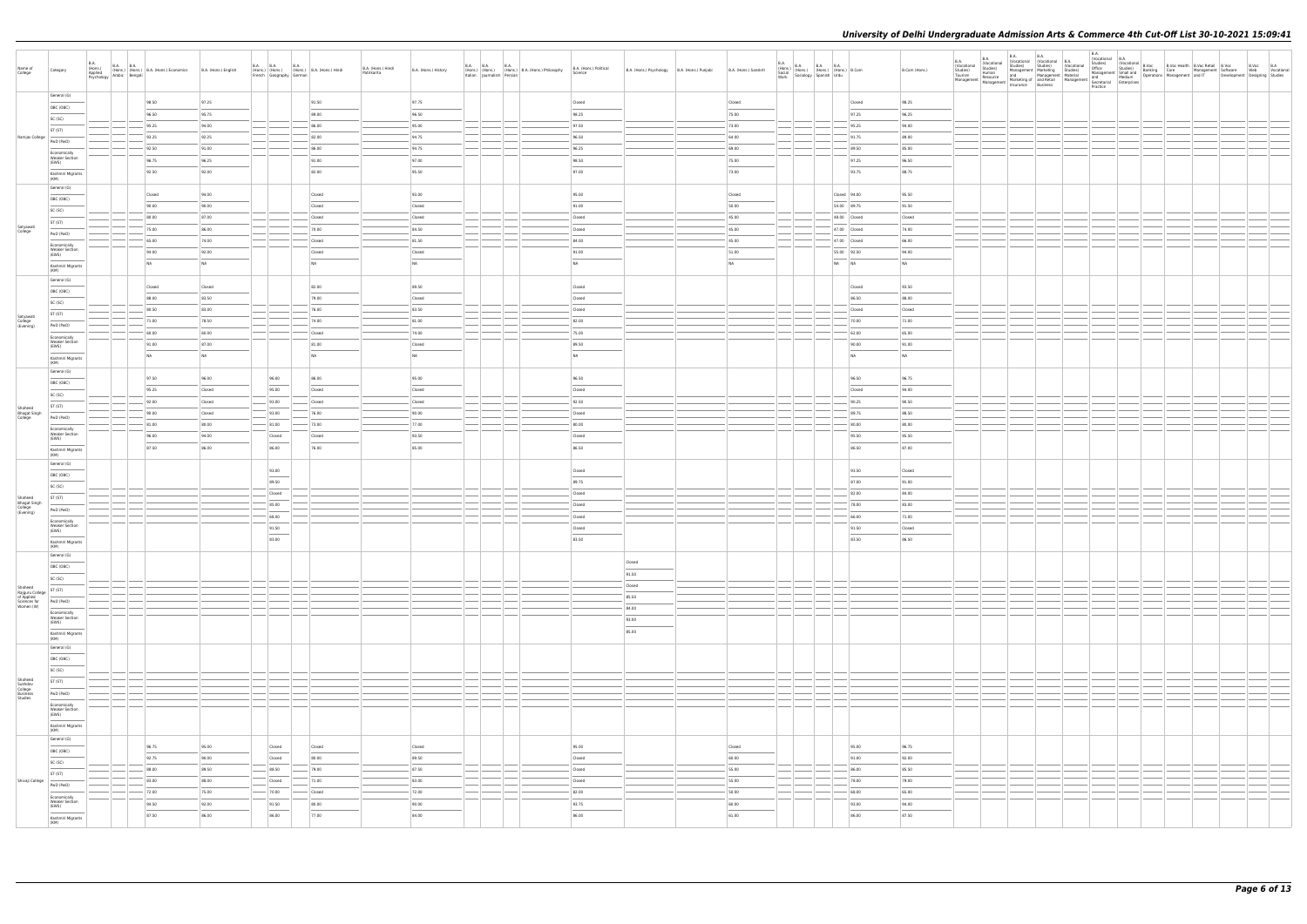| Name of<br>College                                                                                                                                                                     | Category                                                                                                                                                                                                                                                                                                                                                                                                                                                                                               | <b>B.A.</b> | B.A. (Hons.) B.A. B.A. (Hons.) B.A. (Hons.) Economics B.A. (Hons.) English Asplied (Hons.) Benglii Bengali |                  |                                                                                                                                                                                                                                                                                                                                                                                                                                                                                     | B.A. B.A. B.A. B.A. (Hons.)<br>(Hons.) (Hons.) (Hons.) B.A. (Hons.) Hindi<br>French Geography German | B.A. (Hons.) Hindi<br>Patrikarita | B.A. (Hons.) History | B.A. (Hons.) B.A. (Hons.) B.A. (Hons.) Philosophy<br>Italian Journalism Persian B.A. (Hons.) Philosophy | B.A. (Hons.) Political<br>Science | B.A. (Hons.) Psychology   B.A. (Hons.) Punjabi | B.A. (Hons.) Sanskrit | $\begin{array}{ll} \textsf{B.A.} \\ \textsf{(Hons.)} \\ \textsf{Social} \\ \textsf{Social} \\ \textsf{work} \end{array} \hspace{1em} \begin{array}{ll} \textsf{B.A.} \\ \textsf{(Hons.)} \\ \textsf{Stons.)} \end{array} \hspace{1em} \begin{array}{ll} \textsf{B.A.} \\ \textsf{Hons.)} \\ \textsf{(Hons.)} \end{array} \hspace{1em} \begin{array}{ll} \textsf{B.A.} \\ \textsf{(Hons.)} \\ \textsf{Urdu} \end{array} \hspace{1em} \begin{array}{ll} \textsf{B.Com} \\ \textsf{B. Comm.} \end{$ |       |                              | B.Com (Hons.)   | B.A.<br>(Vocational<br>Studies)<br>Tourism<br>Management | B.A.<br>(Vocational | <b>B.A.</b><br>B.A.<br>B.A. (Washinal Worsthousland, Constant (Vacational B.A. (Vacational Studies) (Vacational Studies) (Vacational Studies) (Vacational Studies) (Vacational Studies) (Vacational Studies) (Vacational Management Material Managem | B.A.<br>al Orocational B.A.<br>al Orocational B.Voc Health B.Voc Retail B.Voc B.Voc B.A.<br>10 Orocational Studies) Banking Care Management Software Web Vocational<br>Management Small and Boerations Management and IT Development D<br>Practice |  |  |  |
|----------------------------------------------------------------------------------------------------------------------------------------------------------------------------------------|--------------------------------------------------------------------------------------------------------------------------------------------------------------------------------------------------------------------------------------------------------------------------------------------------------------------------------------------------------------------------------------------------------------------------------------------------------------------------------------------------------|-------------|------------------------------------------------------------------------------------------------------------|------------------|-------------------------------------------------------------------------------------------------------------------------------------------------------------------------------------------------------------------------------------------------------------------------------------------------------------------------------------------------------------------------------------------------------------------------------------------------------------------------------------|------------------------------------------------------------------------------------------------------|-----------------------------------|----------------------|---------------------------------------------------------------------------------------------------------|-----------------------------------|------------------------------------------------|-----------------------|--------------------------------------------------------------------------------------------------------------------------------------------------------------------------------------------------------------------------------------------------------------------------------------------------------------------------------------------------------------------------------------------------------------------------------------------------------------------------------------------------|-------|------------------------------|-----------------|----------------------------------------------------------|---------------------|------------------------------------------------------------------------------------------------------------------------------------------------------------------------------------------------------------------------------------------------------|----------------------------------------------------------------------------------------------------------------------------------------------------------------------------------------------------------------------------------------------------|--|--|--|
|                                                                                                                                                                                        | General (G)                                                                                                                                                                                                                                                                                                                                                                                                                                                                                            |             | 98.50                                                                                                      | 97.25            |                                                                                                                                                                                                                                                                                                                                                                                                                                                                                     | 91.50                                                                                                |                                   | 97.75                |                                                                                                         | Closed                            |                                                | Closed                |                                                                                                                                                                                                                                                                                                                                                                                                                                                                                                  |       | Closed                       | 98.25           |                                                          |                     |                                                                                                                                                                                                                                                      |                                                                                                                                                                                                                                                    |  |  |  |
|                                                                                                                                                                                        | OBC (OBC)<br>SC (SC)                                                                                                                                                                                                                                                                                                                                                                                                                                                                                   |             | 96.50                                                                                                      | 95.75            |                                                                                                                                                                                                                                                                                                                                                                                                                                                                                     | 89.00                                                                                                |                                   | 96.50                |                                                                                                         | 98.25                             |                                                | 75.00                 |                                                                                                                                                                                                                                                                                                                                                                                                                                                                                                  |       | 97.25                        | 96.25           |                                                          |                     |                                                                                                                                                                                                                                                      |                                                                                                                                                                                                                                                    |  |  |  |
|                                                                                                                                                                                        | ST (ST)                                                                                                                                                                                                                                                                                                                                                                                                                                                                                                |             | 95.25                                                                                                      | 94.00            |                                                                                                                                                                                                                                                                                                                                                                                                                                                                                     | 86.00                                                                                                |                                   | 95.00                |                                                                                                         | 97.50                             |                                                | 73.00                 |                                                                                                                                                                                                                                                                                                                                                                                                                                                                                                  |       | 95.25                        | 94.00           |                                                          |                     |                                                                                                                                                                                                                                                      |                                                                                                                                                                                                                                                    |  |  |  |
| Ramjas College                                                                                                                                                                         | PwD (PwD)                                                                                                                                                                                                                                                                                                                                                                                                                                                                                              |             | 93.25                                                                                                      | 92.25            |                                                                                                                                                                                                                                                                                                                                                                                                                                                                                     | 82.00                                                                                                |                                   | 94.75                |                                                                                                         | 96.50                             |                                                | 64.00                 |                                                                                                                                                                                                                                                                                                                                                                                                                                                                                                  |       | 91.75                        | 89.00           |                                                          |                     |                                                                                                                                                                                                                                                      |                                                                                                                                                                                                                                                    |  |  |  |
|                                                                                                                                                                                        | Economically                                                                                                                                                                                                                                                                                                                                                                                                                                                                                           |             | 92.50                                                                                                      | 91.00            |                                                                                                                                                                                                                                                                                                                                                                                                                                                                                     | 86.00                                                                                                |                                   | 94.75                |                                                                                                         | 96.25                             |                                                | 69.00                 |                                                                                                                                                                                                                                                                                                                                                                                                                                                                                                  |       | 89.50                        | 85.00           |                                                          |                     |                                                                                                                                                                                                                                                      |                                                                                                                                                                                                                                                    |  |  |  |
|                                                                                                                                                                                        | <b>Weaker Section</b><br>(EWS)                                                                                                                                                                                                                                                                                                                                                                                                                                                                         |             | 96.75                                                                                                      | 96.25            |                                                                                                                                                                                                                                                                                                                                                                                                                                                                                     | 91.00                                                                                                |                                   | 97.00                |                                                                                                         | 98.50                             |                                                | 75.00                 |                                                                                                                                                                                                                                                                                                                                                                                                                                                                                                  |       | 97.25                        | 96.50           |                                                          |                     |                                                                                                                                                                                                                                                      |                                                                                                                                                                                                                                                    |  |  |  |
|                                                                                                                                                                                        | Kashmiri Migrants<br>(KM)                                                                                                                                                                                                                                                                                                                                                                                                                                                                              |             | 92.50                                                                                                      | 92.00            |                                                                                                                                                                                                                                                                                                                                                                                                                                                                                     | 82.00                                                                                                |                                   | 95.50                |                                                                                                         | 97.00                             |                                                | 73.00                 |                                                                                                                                                                                                                                                                                                                                                                                                                                                                                                  |       | 93.75                        | 88.75           |                                                          |                     |                                                                                                                                                                                                                                                      |                                                                                                                                                                                                                                                    |  |  |  |
|                                                                                                                                                                                        | General (G)                                                                                                                                                                                                                                                                                                                                                                                                                                                                                            |             |                                                                                                            |                  |                                                                                                                                                                                                                                                                                                                                                                                                                                                                                     |                                                                                                      |                                   |                      |                                                                                                         |                                   |                                                |                       |                                                                                                                                                                                                                                                                                                                                                                                                                                                                                                  |       |                              |                 |                                                          |                     |                                                                                                                                                                                                                                                      |                                                                                                                                                                                                                                                    |  |  |  |
|                                                                                                                                                                                        | OBC (OBC)                                                                                                                                                                                                                                                                                                                                                                                                                                                                                              |             | Closed                                                                                                     | 94.00            |                                                                                                                                                                                                                                                                                                                                                                                                                                                                                     | Closed                                                                                               |                                   | 93.00                |                                                                                                         | 95.00                             |                                                | Closed                |                                                                                                                                                                                                                                                                                                                                                                                                                                                                                                  |       | Closed 94.00                 | 95.50           |                                                          |                     |                                                                                                                                                                                                                                                      |                                                                                                                                                                                                                                                    |  |  |  |
|                                                                                                                                                                                        | SC (SC)                                                                                                                                                                                                                                                                                                                                                                                                                                                                                                |             | 90.00                                                                                                      | 90.00            |                                                                                                                                                                                                                                                                                                                                                                                                                                                                                     | Closed                                                                                               |                                   | Closed               |                                                                                                         | 91.00                             |                                                | 50.00                 |                                                                                                                                                                                                                                                                                                                                                                                                                                                                                                  |       | 54.00 89.75                  | 91.50           |                                                          |                     |                                                                                                                                                                                                                                                      |                                                                                                                                                                                                                                                    |  |  |  |
| Satyawati                                                                                                                                                                              | ST (ST)                                                                                                                                                                                                                                                                                                                                                                                                                                                                                                |             | 80.00<br>75.00                                                                                             | 87.00<br>86.00   |                                                                                                                                                                                                                                                                                                                                                                                                                                                                                     | Closed<br>70.00                                                                                      |                                   | Closed<br>84.50      |                                                                                                         | Closed<br>Closed                  |                                                | 45.00<br>45.00        |                                                                                                                                                                                                                                                                                                                                                                                                                                                                                                  |       | 48.00 Closed<br>47.00 Closed | Closed<br>74.00 |                                                          |                     |                                                                                                                                                                                                                                                      |                                                                                                                                                                                                                                                    |  |  |  |
| College                                                                                                                                                                                | PwD (PwD)                                                                                                                                                                                                                                                                                                                                                                                                                                                                                              |             | 65.00                                                                                                      | 74.00            |                                                                                                                                                                                                                                                                                                                                                                                                                                                                                     | Closed                                                                                               |                                   | 81.50                |                                                                                                         | 84.00                             |                                                | 45.00                 |                                                                                                                                                                                                                                                                                                                                                                                                                                                                                                  |       | 47.00 Closed                 | 66.00           |                                                          |                     |                                                                                                                                                                                                                                                      |                                                                                                                                                                                                                                                    |  |  |  |
|                                                                                                                                                                                        | Economically<br><b>Weaker Section</b>                                                                                                                                                                                                                                                                                                                                                                                                                                                                  |             | 94.00                                                                                                      | 92.00            |                                                                                                                                                                                                                                                                                                                                                                                                                                                                                     | Closed                                                                                               |                                   | Closed               |                                                                                                         | 91.00                             |                                                | 51.00                 |                                                                                                                                                                                                                                                                                                                                                                                                                                                                                                  |       | 55.00 92.50                  | 94.00           |                                                          |                     |                                                                                                                                                                                                                                                      |                                                                                                                                                                                                                                                    |  |  |  |
|                                                                                                                                                                                        | (EWS)<br>Kashmiri Migrants                                                                                                                                                                                                                                                                                                                                                                                                                                                                             |             | NA                                                                                                         | NA               |                                                                                                                                                                                                                                                                                                                                                                                                                                                                                     | <b>NA</b>                                                                                            |                                   | NA                   |                                                                                                         | <b>NA</b>                         |                                                | NA                    |                                                                                                                                                                                                                                                                                                                                                                                                                                                                                                  | NA NA |                              | <b>NA</b>       |                                                          |                     |                                                                                                                                                                                                                                                      |                                                                                                                                                                                                                                                    |  |  |  |
|                                                                                                                                                                                        | (KM)                                                                                                                                                                                                                                                                                                                                                                                                                                                                                                   |             |                                                                                                            |                  |                                                                                                                                                                                                                                                                                                                                                                                                                                                                                     |                                                                                                      |                                   |                      |                                                                                                         |                                   |                                                |                       |                                                                                                                                                                                                                                                                                                                                                                                                                                                                                                  |       |                              |                 |                                                          |                     |                                                                                                                                                                                                                                                      |                                                                                                                                                                                                                                                    |  |  |  |
|                                                                                                                                                                                        | General (G)                                                                                                                                                                                                                                                                                                                                                                                                                                                                                            |             | Closed                                                                                                     | Closed           |                                                                                                                                                                                                                                                                                                                                                                                                                                                                                     | 82.00                                                                                                |                                   | 89.50                |                                                                                                         | Closed                            |                                                |                       |                                                                                                                                                                                                                                                                                                                                                                                                                                                                                                  |       | Closed                       | 93.50           |                                                          |                     |                                                                                                                                                                                                                                                      |                                                                                                                                                                                                                                                    |  |  |  |
|                                                                                                                                                                                        | OBC (OBC)<br>SC (SC)                                                                                                                                                                                                                                                                                                                                                                                                                                                                                   |             | 88.00                                                                                                      | 83.50            |                                                                                                                                                                                                                                                                                                                                                                                                                                                                                     | 79.00                                                                                                |                                   | Closed               |                                                                                                         | Closed                            |                                                |                       |                                                                                                                                                                                                                                                                                                                                                                                                                                                                                                  |       | 86.50                        | 88.00           |                                                          |                     |                                                                                                                                                                                                                                                      |                                                                                                                                                                                                                                                    |  |  |  |
|                                                                                                                                                                                        | ST (ST)                                                                                                                                                                                                                                                                                                                                                                                                                                                                                                |             | 80.50                                                                                                      | 83.00            |                                                                                                                                                                                                                                                                                                                                                                                                                                                                                     | 76.00                                                                                                |                                   | 83.50                |                                                                                                         | Closed                            |                                                |                       |                                                                                                                                                                                                                                                                                                                                                                                                                                                                                                  |       | Closed                       | Closed          |                                                          |                     |                                                                                                                                                                                                                                                      |                                                                                                                                                                                                                                                    |  |  |  |
| Satyawati<br>College<br>(Evening)                                                                                                                                                      | PwD (PwD)                                                                                                                                                                                                                                                                                                                                                                                                                                                                                              |             | 71.00                                                                                                      | 78.50            |                                                                                                                                                                                                                                                                                                                                                                                                                                                                                     | 74.00                                                                                                |                                   | 81.00                |                                                                                                         | 82.00                             |                                                |                       |                                                                                                                                                                                                                                                                                                                                                                                                                                                                                                  |       | 70.00                        | 71.00           |                                                          |                     |                                                                                                                                                                                                                                                      |                                                                                                                                                                                                                                                    |  |  |  |
|                                                                                                                                                                                        | Economically                                                                                                                                                                                                                                                                                                                                                                                                                                                                                           |             | 60.00                                                                                                      | 60.00            |                                                                                                                                                                                                                                                                                                                                                                                                                                                                                     | Closed                                                                                               |                                   | 74.00                |                                                                                                         | 75.00                             |                                                |                       |                                                                                                                                                                                                                                                                                                                                                                                                                                                                                                  |       | 62.00                        | 65.00           |                                                          |                     |                                                                                                                                                                                                                                                      |                                                                                                                                                                                                                                                    |  |  |  |
|                                                                                                                                                                                        | <b>Weaker Section</b><br>(EWS)                                                                                                                                                                                                                                                                                                                                                                                                                                                                         |             | 91.00                                                                                                      | 87.00            |                                                                                                                                                                                                                                                                                                                                                                                                                                                                                     | 81.00                                                                                                |                                   | Closed               |                                                                                                         | 89.50                             |                                                |                       |                                                                                                                                                                                                                                                                                                                                                                                                                                                                                                  |       | 90.00                        | 91.00           |                                                          |                     |                                                                                                                                                                                                                                                      |                                                                                                                                                                                                                                                    |  |  |  |
|                                                                                                                                                                                        | Kashmiri Migrants<br>(KM)                                                                                                                                                                                                                                                                                                                                                                                                                                                                              |             | <b>NA</b>                                                                                                  | NA               |                                                                                                                                                                                                                                                                                                                                                                                                                                                                                     | NA                                                                                                   |                                   | NA                   |                                                                                                         | <b>NA</b>                         |                                                |                       |                                                                                                                                                                                                                                                                                                                                                                                                                                                                                                  |       | NA                           | <b>NA</b>       |                                                          |                     |                                                                                                                                                                                                                                                      |                                                                                                                                                                                                                                                    |  |  |  |
|                                                                                                                                                                                        | General (G)                                                                                                                                                                                                                                                                                                                                                                                                                                                                                            |             |                                                                                                            |                  |                                                                                                                                                                                                                                                                                                                                                                                                                                                                                     |                                                                                                      |                                   |                      |                                                                                                         |                                   |                                                |                       |                                                                                                                                                                                                                                                                                                                                                                                                                                                                                                  |       |                              |                 |                                                          |                     |                                                                                                                                                                                                                                                      |                                                                                                                                                                                                                                                    |  |  |  |
|                                                                                                                                                                                        | OBC (OBC)                                                                                                                                                                                                                                                                                                                                                                                                                                                                                              |             | 97.50                                                                                                      | 96.00            | 96.00                                                                                                                                                                                                                                                                                                                                                                                                                                                                               | 86.00                                                                                                |                                   | 95.00                |                                                                                                         | 96.50                             |                                                |                       |                                                                                                                                                                                                                                                                                                                                                                                                                                                                                                  |       | 96.50                        | 96.75           |                                                          |                     |                                                                                                                                                                                                                                                      |                                                                                                                                                                                                                                                    |  |  |  |
|                                                                                                                                                                                        | SC (SC)                                                                                                                                                                                                                                                                                                                                                                                                                                                                                                |             | 95.25<br>92.00                                                                                             | Closed<br>Closed | 95.00<br>$-$ 93.00                                                                                                                                                                                                                                                                                                                                                                                                                                                                  | Closed<br>Closed                                                                                     |                                   | Closed<br>Closed     |                                                                                                         | Closed<br>92.50                   |                                                |                       |                                                                                                                                                                                                                                                                                                                                                                                                                                                                                                  |       | Closed<br>90.25              | 94.00<br>90.50  |                                                          |                     |                                                                                                                                                                                                                                                      |                                                                                                                                                                                                                                                    |  |  |  |
| Shaheed                                                                                                                                                                                | ST (ST)                                                                                                                                                                                                                                                                                                                                                                                                                                                                                                |             | 90.00                                                                                                      | Closed           | 93.00                                                                                                                                                                                                                                                                                                                                                                                                                                                                               | 76.00                                                                                                |                                   | 90.00                |                                                                                                         | Closed                            |                                                |                       |                                                                                                                                                                                                                                                                                                                                                                                                                                                                                                  |       | 89.75                        | 88.50           |                                                          |                     |                                                                                                                                                                                                                                                      |                                                                                                                                                                                                                                                    |  |  |  |
| Bhagat Singh<br>College                                                                                                                                                                | PwD (PwD)                                                                                                                                                                                                                                                                                                                                                                                                                                                                                              |             | 81.00                                                                                                      | 80.00            | $- 81.00$                                                                                                                                                                                                                                                                                                                                                                                                                                                                           | 73.00                                                                                                |                                   | 77.00                |                                                                                                         | 80.00                             |                                                |                       |                                                                                                                                                                                                                                                                                                                                                                                                                                                                                                  |       | 80.00                        | 80.00           |                                                          |                     |                                                                                                                                                                                                                                                      |                                                                                                                                                                                                                                                    |  |  |  |
|                                                                                                                                                                                        | Economically<br><b>Weaker Section</b><br>(EWS)                                                                                                                                                                                                                                                                                                                                                                                                                                                         |             | 96.00                                                                                                      | 94.00            | Closed                                                                                                                                                                                                                                                                                                                                                                                                                                                                              | Closed                                                                                               |                                   | 93.50                |                                                                                                         | Closed                            |                                                |                       |                                                                                                                                                                                                                                                                                                                                                                                                                                                                                                  |       | 95.50                        | 95.50           |                                                          |                     |                                                                                                                                                                                                                                                      |                                                                                                                                                                                                                                                    |  |  |  |
|                                                                                                                                                                                        | Kashmiri Migrants                                                                                                                                                                                                                                                                                                                                                                                                                                                                                      |             | 87.50                                                                                                      | 86.00            | $\frac{1}{2} \left( \frac{1}{2} \right) \left( \frac{1}{2} \right) \left( \frac{1}{2} \right) \left( \frac{1}{2} \right) \left( \frac{1}{2} \right) \left( \frac{1}{2} \right) \left( \frac{1}{2} \right) \left( \frac{1}{2} \right) \left( \frac{1}{2} \right) \left( \frac{1}{2} \right) \left( \frac{1}{2} \right) \left( \frac{1}{2} \right) \left( \frac{1}{2} \right) \left( \frac{1}{2} \right) \left( \frac{1}{2} \right) \left( \frac{1}{2} \right) \left( \frac$<br>86.00 | 76.00                                                                                                |                                   | 85.00                |                                                                                                         | 86.50                             |                                                |                       |                                                                                                                                                                                                                                                                                                                                                                                                                                                                                                  |       | 86.50                        | 87.00           |                                                          |                     |                                                                                                                                                                                                                                                      |                                                                                                                                                                                                                                                    |  |  |  |
|                                                                                                                                                                                        | (KM)<br>General (G)                                                                                                                                                                                                                                                                                                                                                                                                                                                                                    |             |                                                                                                            |                  |                                                                                                                                                                                                                                                                                                                                                                                                                                                                                     |                                                                                                      |                                   |                      |                                                                                                         |                                   |                                                |                       |                                                                                                                                                                                                                                                                                                                                                                                                                                                                                                  |       |                              |                 |                                                          |                     |                                                                                                                                                                                                                                                      |                                                                                                                                                                                                                                                    |  |  |  |
|                                                                                                                                                                                        | OBC (OBC)                                                                                                                                                                                                                                                                                                                                                                                                                                                                                              |             |                                                                                                            |                  | 93.00<br>$\overline{\phantom{a}}$                                                                                                                                                                                                                                                                                                                                                                                                                                                   |                                                                                                      |                                   |                      |                                                                                                         | Closed                            |                                                |                       |                                                                                                                                                                                                                                                                                                                                                                                                                                                                                                  |       | 93.50                        | Closed          |                                                          |                     |                                                                                                                                                                                                                                                      |                                                                                                                                                                                                                                                    |  |  |  |
|                                                                                                                                                                                        | SC (SC)                                                                                                                                                                                                                                                                                                                                                                                                                                                                                                |             |                                                                                                            |                  | 89.50                                                                                                                                                                                                                                                                                                                                                                                                                                                                               |                                                                                                      |                                   |                      |                                                                                                         | 89.75                             |                                                |                       |                                                                                                                                                                                                                                                                                                                                                                                                                                                                                                  |       | 87.00                        | 91.00           |                                                          |                     |                                                                                                                                                                                                                                                      |                                                                                                                                                                                                                                                    |  |  |  |
| Shaheed                                                                                                                                                                                | ST (ST)                                                                                                                                                                                                                                                                                                                                                                                                                                                                                                |             |                                                                                                            |                  | Closed                                                                                                                                                                                                                                                                                                                                                                                                                                                                              |                                                                                                      |                                   |                      |                                                                                                         | Closed                            |                                                |                       |                                                                                                                                                                                                                                                                                                                                                                                                                                                                                                  |       | 82.00                        | 84.00           |                                                          |                     |                                                                                                                                                                                                                                                      |                                                                                                                                                                                                                                                    |  |  |  |
| Bhagat Singh<br>College<br>(Evening)                                                                                                                                                   | PwD (PwD)                                                                                                                                                                                                                                                                                                                                                                                                                                                                                              |             |                                                                                                            |                  | 85.00                                                                                                                                                                                                                                                                                                                                                                                                                                                                               |                                                                                                      |                                   |                      |                                                                                                         | Closed                            |                                                |                       |                                                                                                                                                                                                                                                                                                                                                                                                                                                                                                  |       | 78.00                        | 83.00           |                                                          |                     |                                                                                                                                                                                                                                                      |                                                                                                                                                                                                                                                    |  |  |  |
|                                                                                                                                                                                        | Economically<br><b>Weaker Section</b>                                                                                                                                                                                                                                                                                                                                                                                                                                                                  |             |                                                                                                            |                  | 68.00                                                                                                                                                                                                                                                                                                                                                                                                                                                                               |                                                                                                      |                                   |                      |                                                                                                         | Closed                            |                                                |                       |                                                                                                                                                                                                                                                                                                                                                                                                                                                                                                  |       | 66.00                        | 71.00           |                                                          |                     |                                                                                                                                                                                                                                                      |                                                                                                                                                                                                                                                    |  |  |  |
|                                                                                                                                                                                        | (EWS)                                                                                                                                                                                                                                                                                                                                                                                                                                                                                                  |             |                                                                                                            |                  | 91.50                                                                                                                                                                                                                                                                                                                                                                                                                                                                               |                                                                                                      |                                   |                      |                                                                                                         | Closed                            |                                                |                       |                                                                                                                                                                                                                                                                                                                                                                                                                                                                                                  |       | 91.50                        | Closed          |                                                          |                     |                                                                                                                                                                                                                                                      |                                                                                                                                                                                                                                                    |  |  |  |
|                                                                                                                                                                                        | Kashmiri Migrants<br>(KM)                                                                                                                                                                                                                                                                                                                                                                                                                                                                              |             |                                                                                                            |                  | 83.00                                                                                                                                                                                                                                                                                                                                                                                                                                                                               |                                                                                                      |                                   |                      |                                                                                                         | 83.50                             |                                                |                       |                                                                                                                                                                                                                                                                                                                                                                                                                                                                                                  |       | 83.50                        | 86.50           |                                                          |                     |                                                                                                                                                                                                                                                      |                                                                                                                                                                                                                                                    |  |  |  |
|                                                                                                                                                                                        | General (G)                                                                                                                                                                                                                                                                                                                                                                                                                                                                                            |             |                                                                                                            |                  |                                                                                                                                                                                                                                                                                                                                                                                                                                                                                     |                                                                                                      |                                   |                      |                                                                                                         |                                   | Closed                                         |                       |                                                                                                                                                                                                                                                                                                                                                                                                                                                                                                  |       |                              |                 |                                                          |                     |                                                                                                                                                                                                                                                      |                                                                                                                                                                                                                                                    |  |  |  |
|                                                                                                                                                                                        | OBC (OBC)                                                                                                                                                                                                                                                                                                                                                                                                                                                                                              |             |                                                                                                            |                  |                                                                                                                                                                                                                                                                                                                                                                                                                                                                                     |                                                                                                      |                                   |                      |                                                                                                         |                                   | 91.50                                          |                       |                                                                                                                                                                                                                                                                                                                                                                                                                                                                                                  |       |                              |                 |                                                          |                     |                                                                                                                                                                                                                                                      |                                                                                                                                                                                                                                                    |  |  |  |
|                                                                                                                                                                                        | SC (SC)                                                                                                                                                                                                                                                                                                                                                                                                                                                                                                |             |                                                                                                            |                  |                                                                                                                                                                                                                                                                                                                                                                                                                                                                                     |                                                                                                      |                                   |                      |                                                                                                         |                                   | Closed                                         |                       |                                                                                                                                                                                                                                                                                                                                                                                                                                                                                                  |       |                              |                 |                                                          |                     |                                                                                                                                                                                                                                                      |                                                                                                                                                                                                                                                    |  |  |  |
| $\begin{array}{l l} \texttt{small}\\ \texttt{RajgurU College} & \texttt{ST (ST)}\\ \texttt{of Applied} & \texttt{Science for}\\ \texttt{Women (W)} & \texttt{PWD (PWD)}\\ \end{array}$ |                                                                                                                                                                                                                                                                                                                                                                                                                                                                                                        |             |                                                                                                            |                  |                                                                                                                                                                                                                                                                                                                                                                                                                                                                                     |                                                                                                      |                                   |                      |                                                                                                         |                                   | 85.50                                          |                       |                                                                                                                                                                                                                                                                                                                                                                                                                                                                                                  |       |                              |                 |                                                          |                     |                                                                                                                                                                                                                                                      |                                                                                                                                                                                                                                                    |  |  |  |
|                                                                                                                                                                                        |                                                                                                                                                                                                                                                                                                                                                                                                                                                                                                        |             |                                                                                                            |                  |                                                                                                                                                                                                                                                                                                                                                                                                                                                                                     |                                                                                                      |                                   |                      |                                                                                                         |                                   | 84.00                                          |                       |                                                                                                                                                                                                                                                                                                                                                                                                                                                                                                  |       |                              |                 |                                                          |                     |                                                                                                                                                                                                                                                      |                                                                                                                                                                                                                                                    |  |  |  |
|                                                                                                                                                                                        | Economically<br>Weaker Section<br>(EWS)<br>$\sim$                                                                                                                                                                                                                                                                                                                                                                                                                                                      |             |                                                                                                            |                  |                                                                                                                                                                                                                                                                                                                                                                                                                                                                                     |                                                                                                      |                                   |                      |                                                                                                         |                                   | 93.00<br>$\overline{\phantom{a}}$              |                       |                                                                                                                                                                                                                                                                                                                                                                                                                                                                                                  |       |                              |                 |                                                          |                     |                                                                                                                                                                                                                                                      |                                                                                                                                                                                                                                                    |  |  |  |
|                                                                                                                                                                                        | Kashmiri Migrants<br>(KM)                                                                                                                                                                                                                                                                                                                                                                                                                                                                              |             |                                                                                                            |                  |                                                                                                                                                                                                                                                                                                                                                                                                                                                                                     |                                                                                                      |                                   |                      |                                                                                                         |                                   | 85.00                                          |                       |                                                                                                                                                                                                                                                                                                                                                                                                                                                                                                  |       |                              |                 |                                                          |                     |                                                                                                                                                                                                                                                      |                                                                                                                                                                                                                                                    |  |  |  |
|                                                                                                                                                                                        | General (G)                                                                                                                                                                                                                                                                                                                                                                                                                                                                                            |             |                                                                                                            |                  |                                                                                                                                                                                                                                                                                                                                                                                                                                                                                     |                                                                                                      |                                   |                      |                                                                                                         |                                   |                                                |                       |                                                                                                                                                                                                                                                                                                                                                                                                                                                                                                  |       |                              |                 |                                                          |                     |                                                                                                                                                                                                                                                      |                                                                                                                                                                                                                                                    |  |  |  |
|                                                                                                                                                                                        | $\overline{\phantom{a}}$<br>OBC (OBC)                                                                                                                                                                                                                                                                                                                                                                                                                                                                  |             |                                                                                                            |                  |                                                                                                                                                                                                                                                                                                                                                                                                                                                                                     |                                                                                                      |                                   |                      |                                                                                                         |                                   |                                                |                       |                                                                                                                                                                                                                                                                                                                                                                                                                                                                                                  |       |                              |                 |                                                          |                     |                                                                                                                                                                                                                                                      |                                                                                                                                                                                                                                                    |  |  |  |
|                                                                                                                                                                                        | SC (SC)                                                                                                                                                                                                                                                                                                                                                                                                                                                                                                |             |                                                                                                            |                  |                                                                                                                                                                                                                                                                                                                                                                                                                                                                                     |                                                                                                      |                                   |                      |                                                                                                         |                                   |                                                |                       |                                                                                                                                                                                                                                                                                                                                                                                                                                                                                                  |       |                              |                 |                                                          |                     |                                                                                                                                                                                                                                                      |                                                                                                                                                                                                                                                    |  |  |  |
|                                                                                                                                                                                        | ST (ST)                                                                                                                                                                                                                                                                                                                                                                                                                                                                                                |             |                                                                                                            |                  |                                                                                                                                                                                                                                                                                                                                                                                                                                                                                     |                                                                                                      |                                   |                      |                                                                                                         |                                   |                                                |                       |                                                                                                                                                                                                                                                                                                                                                                                                                                                                                                  |       |                              |                 |                                                          |                     |                                                                                                                                                                                                                                                      |                                                                                                                                                                                                                                                    |  |  |  |
| Shaheed<br>Sukhdev<br>College<br>Business<br>Studies                                                                                                                                   | PwD (PwD)                                                                                                                                                                                                                                                                                                                                                                                                                                                                                              |             |                                                                                                            |                  |                                                                                                                                                                                                                                                                                                                                                                                                                                                                                     |                                                                                                      |                                   |                      |                                                                                                         |                                   |                                                |                       |                                                                                                                                                                                                                                                                                                                                                                                                                                                                                                  |       |                              |                 |                                                          |                     |                                                                                                                                                                                                                                                      |                                                                                                                                                                                                                                                    |  |  |  |
|                                                                                                                                                                                        | Economically<br><b>Weaker Section</b>                                                                                                                                                                                                                                                                                                                                                                                                                                                                  |             |                                                                                                            |                  |                                                                                                                                                                                                                                                                                                                                                                                                                                                                                     |                                                                                                      |                                   |                      |                                                                                                         |                                   |                                                |                       |                                                                                                                                                                                                                                                                                                                                                                                                                                                                                                  |       |                              |                 |                                                          |                     |                                                                                                                                                                                                                                                      |                                                                                                                                                                                                                                                    |  |  |  |
|                                                                                                                                                                                        | (EWS)<br>Kashmiri Migrants                                                                                                                                                                                                                                                                                                                                                                                                                                                                             |             |                                                                                                            |                  |                                                                                                                                                                                                                                                                                                                                                                                                                                                                                     |                                                                                                      |                                   |                      |                                                                                                         |                                   |                                                |                       |                                                                                                                                                                                                                                                                                                                                                                                                                                                                                                  |       |                              |                 |                                                          |                     |                                                                                                                                                                                                                                                      |                                                                                                                                                                                                                                                    |  |  |  |
|                                                                                                                                                                                        | (KM)                                                                                                                                                                                                                                                                                                                                                                                                                                                                                                   |             |                                                                                                            |                  |                                                                                                                                                                                                                                                                                                                                                                                                                                                                                     |                                                                                                      |                                   |                      |                                                                                                         |                                   |                                                |                       |                                                                                                                                                                                                                                                                                                                                                                                                                                                                                                  |       |                              |                 |                                                          |                     |                                                                                                                                                                                                                                                      |                                                                                                                                                                                                                                                    |  |  |  |
|                                                                                                                                                                                        | General (G)<br>$\frac{1}{2} \left( \frac{1}{2} \right) \left( \frac{1}{2} \right) \left( \frac{1}{2} \right) \left( \frac{1}{2} \right) \left( \frac{1}{2} \right) \left( \frac{1}{2} \right) \left( \frac{1}{2} \right) \left( \frac{1}{2} \right) \left( \frac{1}{2} \right) \left( \frac{1}{2} \right) \left( \frac{1}{2} \right) \left( \frac{1}{2} \right) \left( \frac{1}{2} \right) \left( \frac{1}{2} \right) \left( \frac{1}{2} \right) \left( \frac{1}{2} \right) \left( \frac$<br>OBC (OBC) |             | 96.75                                                                                                      | 95.00            | Closed                                                                                                                                                                                                                                                                                                                                                                                                                                                                              | Closed                                                                                               |                                   | Closed               |                                                                                                         | 95.00                             |                                                | Closed                |                                                                                                                                                                                                                                                                                                                                                                                                                                                                                                  |       | 95.00                        | 96.75           |                                                          |                     |                                                                                                                                                                                                                                                      |                                                                                                                                                                                                                                                    |  |  |  |
|                                                                                                                                                                                        | SC (SC)                                                                                                                                                                                                                                                                                                                                                                                                                                                                                                |             | 92.75                                                                                                      | 90.00            | $\sim$<br>Closed                                                                                                                                                                                                                                                                                                                                                                                                                                                                    | $\overline{\phantom{a}}$<br>80.00                                                                    |                                   | 89.50                |                                                                                                         | Closed                            |                                                | 60.00                 |                                                                                                                                                                                                                                                                                                                                                                                                                                                                                                  |       | 91.00                        | 92.00           |                                                          |                     |                                                                                                                                                                                                                                                      |                                                                                                                                                                                                                                                    |  |  |  |
|                                                                                                                                                                                        | $\frac{1}{2} \left( \frac{1}{2} \right) \left( \frac{1}{2} \right) \left( \frac{1}{2} \right) \left( \frac{1}{2} \right) \left( \frac{1}{2} \right) \left( \frac{1}{2} \right) \left( \frac{1}{2} \right) \left( \frac{1}{2} \right) \left( \frac{1}{2} \right) \left( \frac{1}{2} \right) \left( \frac{1}{2} \right) \left( \frac{1}{2} \right) \left( \frac{1}{2} \right) \left( \frac{1}{2} \right) \left( \frac{1}{2} \right) \left( \frac{1}{2} \right) \left( \frac$<br>ST (ST)                  |             | 88.00                                                                                                      | 89.50            | 88.50                                                                                                                                                                                                                                                                                                                                                                                                                                                                               | 79.00                                                                                                |                                   | 87.50                |                                                                                                         | Closed                            |                                                | 55.00                 |                                                                                                                                                                                                                                                                                                                                                                                                                                                                                                  |       | 86.00                        | 85.50           |                                                          |                     |                                                                                                                                                                                                                                                      |                                                                                                                                                                                                                                                    |  |  |  |
| Shivaji College                                                                                                                                                                        | PwD (PwD)                                                                                                                                                                                                                                                                                                                                                                                                                                                                                              |             | 83.00                                                                                                      | 88.00            | Closed                                                                                                                                                                                                                                                                                                                                                                                                                                                                              | 71.00                                                                                                |                                   | 83.00                |                                                                                                         | Closed                            |                                                | 55.00                 |                                                                                                                                                                                                                                                                                                                                                                                                                                                                                                  |       | 78.00                        | 79.00           |                                                          |                     |                                                                                                                                                                                                                                                      |                                                                                                                                                                                                                                                    |  |  |  |
|                                                                                                                                                                                        | Economically                                                                                                                                                                                                                                                                                                                                                                                                                                                                                           |             | 72.00                                                                                                      | 75.00            | $\frac{1}{20.00}$                                                                                                                                                                                                                                                                                                                                                                                                                                                                   | Closed                                                                                               |                                   | 72.00                |                                                                                                         | 82.00                             |                                                | 50.00                 |                                                                                                                                                                                                                                                                                                                                                                                                                                                                                                  |       | 68.00                        | 65.00           |                                                          |                     |                                                                                                                                                                                                                                                      |                                                                                                                                                                                                                                                    |  |  |  |
|                                                                                                                                                                                        | <b>Weaker Section</b><br>(EWS)                                                                                                                                                                                                                                                                                                                                                                                                                                                                         |             | 94.50                                                                                                      | 92.00            | 91.50                                                                                                                                                                                                                                                                                                                                                                                                                                                                               | 80.00                                                                                                |                                   | 90.00                |                                                                                                         | 93.75                             |                                                | 60.00                 |                                                                                                                                                                                                                                                                                                                                                                                                                                                                                                  |       | 93.00                        | 94.00           |                                                          |                     |                                                                                                                                                                                                                                                      |                                                                                                                                                                                                                                                    |  |  |  |
|                                                                                                                                                                                        | Kashmiri Migrants<br>(KM)                                                                                                                                                                                                                                                                                                                                                                                                                                                                              |             | 87.50                                                                                                      | 86.00            | 86.00                                                                                                                                                                                                                                                                                                                                                                                                                                                                               | 77.00                                                                                                |                                   | 84.00                |                                                                                                         | 86.00                             |                                                | 61.00                 |                                                                                                                                                                                                                                                                                                                                                                                                                                                                                                  |       | 86.00                        | 87.50           |                                                          |                     |                                                                                                                                                                                                                                                      |                                                                                                                                                                                                                                                    |  |  |  |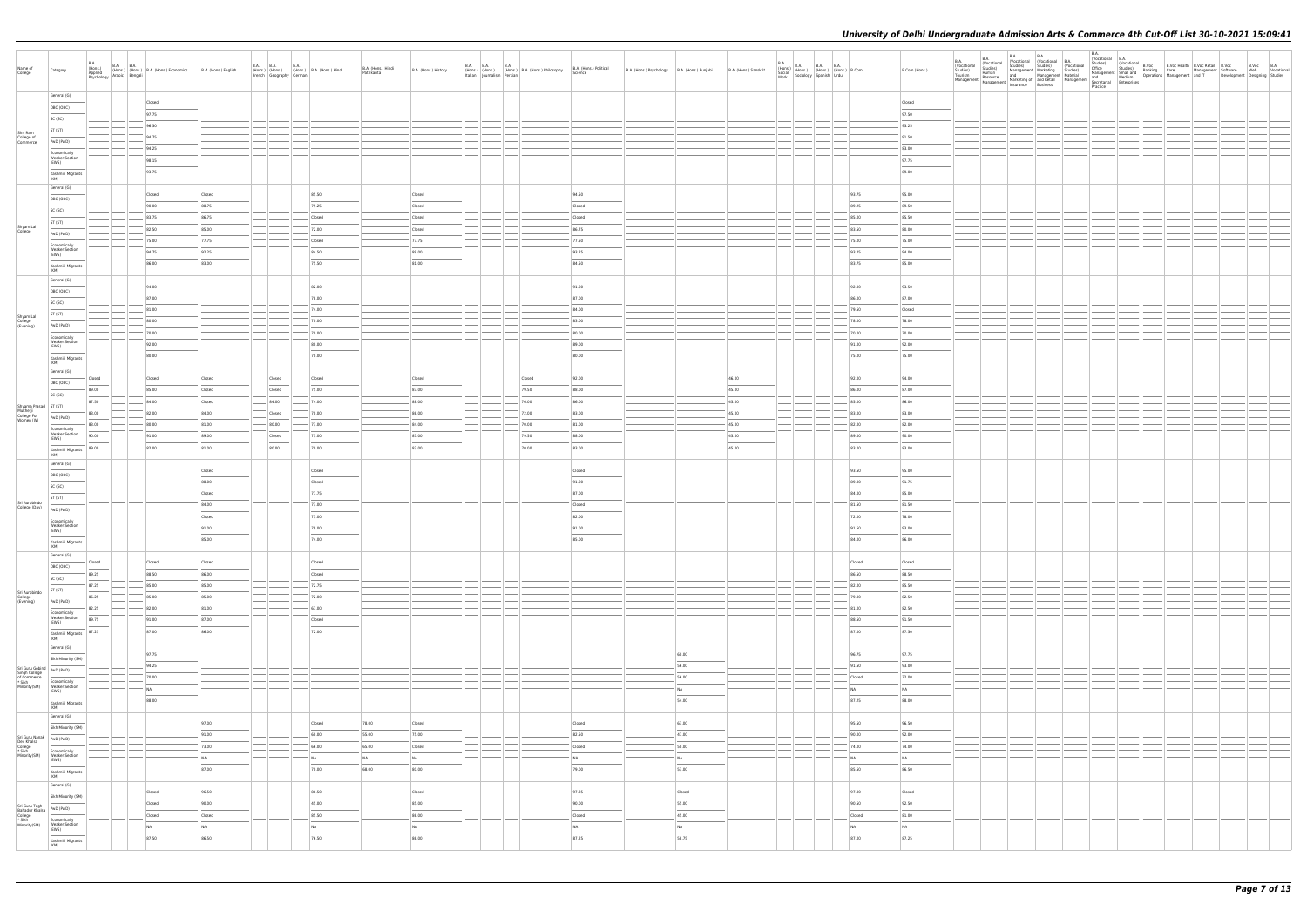| Name of<br>College                                                                                                                                                                                                                                                                          | Category                                            | B.A.<br>(Hons.)<br>Applied<br>Psychology | B.A. B.A. (Hons.) B.A. (Hons.) Economics B.A. (Hons.) English<br>av Arabic Bengali Responses B.A. (Hons.) English |           |                                                                                                                                                                                                                                                                                                                                                                                                                                                                            |                                                                                                                                                                                                                                                                                                                                                                                                                                                                                      | B.A. (Hons.) B.A. (Hons.) B.A. (Hons.) Hindi<br>French Geography German B.A. (Hons.) Hindi<br>French Geography German | B.A. (Hons.) Hindi<br>Patrikarita | B.A. (Hons.) History | Italian Journalism Persian | B.A. B.A. B.A. B.A. (Hons.) B.A. (Hons.) Philosophy | B.A. (Hons.) Political<br>Science | B.A. (Hons.) Psychology B.A. (Hons.) Punjabi |                                   | B.A. (Hons.) Sanskrit | B.A.<br>(Hons.)<br>Social<br>Work | i.) B.A. B.A. B.A. (Hons.)<br>(Hons.) (Hons.) (Hons.) B.Com<br>Sociology Spanish Urdu |        | B.Com (Hons.) | B.A.<br>(Vocational<br>$\begin{tabular}{l c c c c c c c c} \hline \textbf{g},\textbf{A} & \textbf{B.A} & \textbf{S.M} & \textbf{O} & \textbf{O} & \textbf{O} & \textbf{O} & \textbf{O} & \textbf{O} & \textbf{O} & \textbf{O} & \textbf{O} & \textbf{O} & \textbf{O} & \textbf{O} & \textbf{O} & \textbf{O} & \textbf{O} & \textbf{O} & \textbf{O} & \textbf{O} & \textbf{O} & \textbf{O} & \textbf{O} & \textbf{O} & \textbf{O} & \textbf$ | B.A. | <b>B.A.</b> |  |  | Development Designing Studies | B.Voc B.A<br>Web Vocational |
|---------------------------------------------------------------------------------------------------------------------------------------------------------------------------------------------------------------------------------------------------------------------------------------------|-----------------------------------------------------|------------------------------------------|-------------------------------------------------------------------------------------------------------------------|-----------|----------------------------------------------------------------------------------------------------------------------------------------------------------------------------------------------------------------------------------------------------------------------------------------------------------------------------------------------------------------------------------------------------------------------------------------------------------------------------|--------------------------------------------------------------------------------------------------------------------------------------------------------------------------------------------------------------------------------------------------------------------------------------------------------------------------------------------------------------------------------------------------------------------------------------------------------------------------------------|-----------------------------------------------------------------------------------------------------------------------|-----------------------------------|----------------------|----------------------------|-----------------------------------------------------|-----------------------------------|----------------------------------------------|-----------------------------------|-----------------------|-----------------------------------|---------------------------------------------------------------------------------------|--------|---------------|---------------------------------------------------------------------------------------------------------------------------------------------------------------------------------------------------------------------------------------------------------------------------------------------------------------------------------------------------------------------------------------------------------------------------------------------|------|-------------|--|--|-------------------------------|-----------------------------|
|                                                                                                                                                                                                                                                                                             | General (G)                                         |                                          | Closed                                                                                                            |           |                                                                                                                                                                                                                                                                                                                                                                                                                                                                            |                                                                                                                                                                                                                                                                                                                                                                                                                                                                                      |                                                                                                                       |                                   |                      |                            |                                                     |                                   |                                              |                                   |                       |                                   |                                                                                       |        | Closed        |                                                                                                                                                                                                                                                                                                                                                                                                                                             |      |             |  |  |                               |                             |
|                                                                                                                                                                                                                                                                                             | OBC (OBC)                                           |                                          | 97.75                                                                                                             |           |                                                                                                                                                                                                                                                                                                                                                                                                                                                                            |                                                                                                                                                                                                                                                                                                                                                                                                                                                                                      |                                                                                                                       |                                   |                      |                            |                                                     |                                   |                                              |                                   |                       |                                   |                                                                                       |        | 97.50         |                                                                                                                                                                                                                                                                                                                                                                                                                                             |      |             |  |  |                               |                             |
|                                                                                                                                                                                                                                                                                             | SC (SC)                                             |                                          |                                                                                                                   |           |                                                                                                                                                                                                                                                                                                                                                                                                                                                                            |                                                                                                                                                                                                                                                                                                                                                                                                                                                                                      |                                                                                                                       |                                   |                      |                            |                                                     |                                   |                                              |                                   |                       |                                   |                                                                                       |        |               |                                                                                                                                                                                                                                                                                                                                                                                                                                             |      |             |  |  |                               |                             |
|                                                                                                                                                                                                                                                                                             | ST (ST)                                             |                                          | 96.50                                                                                                             |           |                                                                                                                                                                                                                                                                                                                                                                                                                                                                            |                                                                                                                                                                                                                                                                                                                                                                                                                                                                                      |                                                                                                                       |                                   |                      |                            |                                                     |                                   |                                              |                                   |                       |                                   |                                                                                       |        | 95.25         |                                                                                                                                                                                                                                                                                                                                                                                                                                             |      |             |  |  |                               |                             |
| Shri Ram<br>College of<br>Commerce                                                                                                                                                                                                                                                          | PwD (PwD)                                           |                                          | 94.75                                                                                                             |           |                                                                                                                                                                                                                                                                                                                                                                                                                                                                            |                                                                                                                                                                                                                                                                                                                                                                                                                                                                                      |                                                                                                                       |                                   |                      |                            |                                                     |                                   |                                              |                                   |                       |                                   |                                                                                       |        | 91.50         |                                                                                                                                                                                                                                                                                                                                                                                                                                             |      |             |  |  |                               |                             |
|                                                                                                                                                                                                                                                                                             | Economically                                        |                                          | 94.25                                                                                                             |           |                                                                                                                                                                                                                                                                                                                                                                                                                                                                            |                                                                                                                                                                                                                                                                                                                                                                                                                                                                                      |                                                                                                                       |                                   |                      |                            |                                                     |                                   |                                              |                                   |                       |                                   |                                                                                       |        | 83.00         |                                                                                                                                                                                                                                                                                                                                                                                                                                             |      |             |  |  |                               |                             |
|                                                                                                                                                                                                                                                                                             | <b>Weaker Section</b><br>(EWS)                      |                                          | 98.15                                                                                                             |           |                                                                                                                                                                                                                                                                                                                                                                                                                                                                            |                                                                                                                                                                                                                                                                                                                                                                                                                                                                                      |                                                                                                                       |                                   |                      |                            |                                                     |                                   |                                              |                                   |                       |                                   |                                                                                       |        | 97.75         |                                                                                                                                                                                                                                                                                                                                                                                                                                             |      |             |  |  |                               |                             |
|                                                                                                                                                                                                                                                                                             | Kashmiri Migrants<br>(KM)                           |                                          | 93.75                                                                                                             |           |                                                                                                                                                                                                                                                                                                                                                                                                                                                                            |                                                                                                                                                                                                                                                                                                                                                                                                                                                                                      |                                                                                                                       |                                   |                      |                            |                                                     |                                   |                                              |                                   |                       |                                   |                                                                                       |        | 89.00         |                                                                                                                                                                                                                                                                                                                                                                                                                                             |      |             |  |  |                               |                             |
|                                                                                                                                                                                                                                                                                             | General (G)                                         |                                          |                                                                                                                   |           |                                                                                                                                                                                                                                                                                                                                                                                                                                                                            |                                                                                                                                                                                                                                                                                                                                                                                                                                                                                      |                                                                                                                       |                                   |                      |                            |                                                     |                                   |                                              |                                   |                       |                                   |                                                                                       |        |               |                                                                                                                                                                                                                                                                                                                                                                                                                                             |      |             |  |  |                               |                             |
|                                                                                                                                                                                                                                                                                             | OBC (OBC)                                           |                                          | Closed                                                                                                            | Closed    |                                                                                                                                                                                                                                                                                                                                                                                                                                                                            |                                                                                                                                                                                                                                                                                                                                                                                                                                                                                      | 85.50                                                                                                                 |                                   | Closed               |                            |                                                     | 94.50                             |                                              |                                   |                       |                                   |                                                                                       | 93.75  | 95.00         |                                                                                                                                                                                                                                                                                                                                                                                                                                             |      |             |  |  |                               |                             |
|                                                                                                                                                                                                                                                                                             | SC (SC)                                             |                                          | 90.00                                                                                                             | 88.75     |                                                                                                                                                                                                                                                                                                                                                                                                                                                                            |                                                                                                                                                                                                                                                                                                                                                                                                                                                                                      | 79.25                                                                                                                 |                                   | Closed               |                            |                                                     | Closed                            |                                              |                                   |                       |                                   |                                                                                       | 89.25  | 89.50         |                                                                                                                                                                                                                                                                                                                                                                                                                                             |      |             |  |  |                               |                             |
|                                                                                                                                                                                                                                                                                             | ST (ST)                                             |                                          | 83.75                                                                                                             | 86.75     |                                                                                                                                                                                                                                                                                                                                                                                                                                                                            |                                                                                                                                                                                                                                                                                                                                                                                                                                                                                      | Closed                                                                                                                |                                   | Closed               |                            |                                                     | Closed                            |                                              |                                   |                       |                                   |                                                                                       | 85.00  | 85.50         |                                                                                                                                                                                                                                                                                                                                                                                                                                             |      |             |  |  |                               |                             |
| Shyam Lal<br>College                                                                                                                                                                                                                                                                        | PwD (PwD)                                           |                                          | 82.50                                                                                                             | 85.00     |                                                                                                                                                                                                                                                                                                                                                                                                                                                                            |                                                                                                                                                                                                                                                                                                                                                                                                                                                                                      | 72.00                                                                                                                 |                                   | Closed               |                            |                                                     | 86.75                             |                                              |                                   |                       |                                   |                                                                                       | 83.50  | 80.00         |                                                                                                                                                                                                                                                                                                                                                                                                                                             |      |             |  |  |                               |                             |
|                                                                                                                                                                                                                                                                                             | Economically                                        |                                          | 75.00                                                                                                             | 77.75     | $\frac{1}{2}$                                                                                                                                                                                                                                                                                                                                                                                                                                                              |                                                                                                                                                                                                                                                                                                                                                                                                                                                                                      | Closed                                                                                                                |                                   | 77.75                |                            |                                                     | 77.50                             |                                              |                                   |                       |                                   |                                                                                       | 75.00  | 75.00         |                                                                                                                                                                                                                                                                                                                                                                                                                                             |      |             |  |  |                               |                             |
|                                                                                                                                                                                                                                                                                             | <b>Weaker Section</b><br>(EWS)                      |                                          | 94.75                                                                                                             | 92.25     |                                                                                                                                                                                                                                                                                                                                                                                                                                                                            |                                                                                                                                                                                                                                                                                                                                                                                                                                                                                      | 84.50                                                                                                                 |                                   | 89.00                |                            |                                                     | 93.25                             |                                              |                                   |                       |                                   |                                                                                       | 93.25  | 94.00         |                                                                                                                                                                                                                                                                                                                                                                                                                                             |      |             |  |  |                               |                             |
|                                                                                                                                                                                                                                                                                             | Kashmiri Migrants                                   |                                          | 86.00                                                                                                             | 83.00     |                                                                                                                                                                                                                                                                                                                                                                                                                                                                            |                                                                                                                                                                                                                                                                                                                                                                                                                                                                                      | 75.50                                                                                                                 |                                   | 81.00                |                            |                                                     | 84.50                             |                                              |                                   |                       |                                   |                                                                                       | 83.75  | 85.00         |                                                                                                                                                                                                                                                                                                                                                                                                                                             |      |             |  |  |                               |                             |
|                                                                                                                                                                                                                                                                                             | (KM)<br>General (G)                                 |                                          |                                                                                                                   |           |                                                                                                                                                                                                                                                                                                                                                                                                                                                                            |                                                                                                                                                                                                                                                                                                                                                                                                                                                                                      |                                                                                                                       |                                   |                      |                            |                                                     |                                   |                                              |                                   |                       |                                   |                                                                                       |        |               |                                                                                                                                                                                                                                                                                                                                                                                                                                             |      |             |  |  |                               |                             |
|                                                                                                                                                                                                                                                                                             | OBC (OBC)                                           |                                          | 94.00                                                                                                             |           |                                                                                                                                                                                                                                                                                                                                                                                                                                                                            |                                                                                                                                                                                                                                                                                                                                                                                                                                                                                      | 82.00                                                                                                                 |                                   |                      |                            |                                                     | 91.00                             |                                              |                                   |                       |                                   |                                                                                       | 92.00  | 93.50         |                                                                                                                                                                                                                                                                                                                                                                                                                                             |      |             |  |  |                               |                             |
|                                                                                                                                                                                                                                                                                             | SC (SC)                                             |                                          | 87.00                                                                                                             |           |                                                                                                                                                                                                                                                                                                                                                                                                                                                                            |                                                                                                                                                                                                                                                                                                                                                                                                                                                                                      | 78.00                                                                                                                 |                                   |                      |                            |                                                     | 87.00                             |                                              |                                   |                       |                                   |                                                                                       | 86.00  | 87.00         |                                                                                                                                                                                                                                                                                                                                                                                                                                             |      |             |  |  |                               |                             |
|                                                                                                                                                                                                                                                                                             | ST (ST)                                             |                                          | 81.00                                                                                                             |           |                                                                                                                                                                                                                                                                                                                                                                                                                                                                            |                                                                                                                                                                                                                                                                                                                                                                                                                                                                                      | 74.00                                                                                                                 |                                   |                      |                            |                                                     | 84.00                             |                                              |                                   |                       |                                   |                                                                                       | 79.50  | Closed        |                                                                                                                                                                                                                                                                                                                                                                                                                                             |      |             |  |  |                               |                             |
| Shyam Lal<br>College<br>(Evening)                                                                                                                                                                                                                                                           | PwD (PwD)                                           |                                          | 80.00                                                                                                             |           |                                                                                                                                                                                                                                                                                                                                                                                                                                                                            |                                                                                                                                                                                                                                                                                                                                                                                                                                                                                      | 70.00                                                                                                                 |                                   |                      |                            |                                                     | 83.00                             |                                              |                                   |                       |                                   |                                                                                       | 78.00  | 78.00         |                                                                                                                                                                                                                                                                                                                                                                                                                                             |      |             |  |  |                               |                             |
|                                                                                                                                                                                                                                                                                             | Economically                                        |                                          | 70.00                                                                                                             |           |                                                                                                                                                                                                                                                                                                                                                                                                                                                                            |                                                                                                                                                                                                                                                                                                                                                                                                                                                                                      | 70.00                                                                                                                 |                                   |                      |                            |                                                     | 80.00                             |                                              |                                   |                       |                                   |                                                                                       | 70.00  | 70.00         |                                                                                                                                                                                                                                                                                                                                                                                                                                             |      |             |  |  |                               |                             |
|                                                                                                                                                                                                                                                                                             | <b>Weaker Section</b><br>(EWS)                      |                                          | 92.00                                                                                                             |           |                                                                                                                                                                                                                                                                                                                                                                                                                                                                            |                                                                                                                                                                                                                                                                                                                                                                                                                                                                                      | 80.00                                                                                                                 |                                   |                      |                            |                                                     | 89.00                             |                                              |                                   |                       |                                   |                                                                                       | 91.00  | 92.00         |                                                                                                                                                                                                                                                                                                                                                                                                                                             |      |             |  |  |                               |                             |
|                                                                                                                                                                                                                                                                                             | Kashmiri Migrants                                   |                                          | 80.00                                                                                                             |           |                                                                                                                                                                                                                                                                                                                                                                                                                                                                            |                                                                                                                                                                                                                                                                                                                                                                                                                                                                                      | 70.00                                                                                                                 |                                   |                      |                            |                                                     | 80.00                             |                                              |                                   |                       |                                   |                                                                                       | 75.00  | 75.00         |                                                                                                                                                                                                                                                                                                                                                                                                                                             |      |             |  |  |                               |                             |
|                                                                                                                                                                                                                                                                                             | (KM)                                                |                                          |                                                                                                                   |           |                                                                                                                                                                                                                                                                                                                                                                                                                                                                            |                                                                                                                                                                                                                                                                                                                                                                                                                                                                                      |                                                                                                                       |                                   |                      |                            |                                                     |                                   |                                              |                                   |                       |                                   |                                                                                       |        |               |                                                                                                                                                                                                                                                                                                                                                                                                                                             |      |             |  |  |                               |                             |
|                                                                                                                                                                                                                                                                                             | General (G)<br>OBC (OBC)                            | Closed                                   | Closed                                                                                                            | Closed    |                                                                                                                                                                                                                                                                                                                                                                                                                                                                            | Closed                                                                                                                                                                                                                                                                                                                                                                                                                                                                               | Closed                                                                                                                |                                   | Closed               |                            | Closed                                              | 92.00                             |                                              |                                   | 46.00                 |                                   |                                                                                       | 92.00  | 94.00         |                                                                                                                                                                                                                                                                                                                                                                                                                                             |      |             |  |  |                               |                             |
|                                                                                                                                                                                                                                                                                             |                                                     | ___<br>89.00                             | 85.00                                                                                                             | Closed    |                                                                                                                                                                                                                                                                                                                                                                                                                                                                            | $\frac{1}{2} \left( \frac{1}{2} \right) \left( \frac{1}{2} \right) \left( \frac{1}{2} \right) \left( \frac{1}{2} \right) \left( \frac{1}{2} \right) \left( \frac{1}{2} \right) \left( \frac{1}{2} \right) \left( \frac{1}{2} \right) \left( \frac{1}{2} \right) \left( \frac{1}{2} \right) \left( \frac{1}{2} \right) \left( \frac{1}{2} \right) \left( \frac{1}{2} \right) \left( \frac{1}{2} \right) \left( \frac{1}{2} \right) \left( \frac{1}{2} \right) \left( \frac$<br>Closed | 75.00                                                                                                                 |                                   | 87.00                |                            | 79.50                                               | 88.00                             |                                              |                                   | 45.00                 |                                   |                                                                                       | 86.00  | 87.00         |                                                                                                                                                                                                                                                                                                                                                                                                                                             |      |             |  |  |                               |                             |
|                                                                                                                                                                                                                                                                                             | SC (SC)                                             | 87.50                                    | 84.00                                                                                                             | Closed    |                                                                                                                                                                                                                                                                                                                                                                                                                                                                            | 84.00                                                                                                                                                                                                                                                                                                                                                                                                                                                                                | 74.00                                                                                                                 |                                   | 88.00                |                            | 76.00                                               | 86.00                             |                                              |                                   | 45.00                 |                                   |                                                                                       | 85.00  | 86.00         |                                                                                                                                                                                                                                                                                                                                                                                                                                             |      |             |  |  |                               |                             |
| Shyama Prasad<br>Mukherji<br>College For<br>Women (W)<br>PwD (PwL<br>PwD (PwL                                                                                                                                                                                                               |                                                     | 83.00                                    | 82.00                                                                                                             | 84.00     |                                                                                                                                                                                                                                                                                                                                                                                                                                                                            | Closed                                                                                                                                                                                                                                                                                                                                                                                                                                                                               | 70.00                                                                                                                 |                                   | 86.00                |                            | 72.00                                               | 83.00                             |                                              |                                   | 45.00                 |                                   |                                                                                       | 83.00  | 83.00         |                                                                                                                                                                                                                                                                                                                                                                                                                                             |      |             |  |  |                               |                             |
|                                                                                                                                                                                                                                                                                             | PwD (PwD)                                           | 83.00                                    | 80.00                                                                                                             | 81.00     |                                                                                                                                                                                                                                                                                                                                                                                                                                                                            | $-$ 80.00                                                                                                                                                                                                                                                                                                                                                                                                                                                                            | $-73.00$                                                                                                              |                                   | 84.00                |                            | 70.00                                               | 81.00                             |                                              |                                   | 45.00                 |                                   |                                                                                       | 82.00  | 82.00         |                                                                                                                                                                                                                                                                                                                                                                                                                                             |      |             |  |  |                               |                             |
|                                                                                                                                                                                                                                                                                             | Economically<br><b>Weaker Section</b><br>(EWS)      | 90.00                                    | 91.00                                                                                                             | 89.00     |                                                                                                                                                                                                                                                                                                                                                                                                                                                                            | Closed                                                                                                                                                                                                                                                                                                                                                                                                                                                                               | 75.00                                                                                                                 |                                   | 87.00                |                            | 79.50                                               | 88.00                             |                                              |                                   | 45.00                 |                                   |                                                                                       | 89.00  | 90.00         |                                                                                                                                                                                                                                                                                                                                                                                                                                             |      |             |  |  |                               |                             |
|                                                                                                                                                                                                                                                                                             | Kashmiri Migrants                                   | 89.00                                    | 82.00                                                                                                             | 81.00     |                                                                                                                                                                                                                                                                                                                                                                                                                                                                            | 80.00                                                                                                                                                                                                                                                                                                                                                                                                                                                                                | 70.00                                                                                                                 |                                   | 83.00                |                            | 70.00                                               | 83.00                             |                                              |                                   | 45.00                 |                                   |                                                                                       | 83.00  | 83.00         |                                                                                                                                                                                                                                                                                                                                                                                                                                             |      |             |  |  |                               |                             |
|                                                                                                                                                                                                                                                                                             | (KM)                                                |                                          |                                                                                                                   |           |                                                                                                                                                                                                                                                                                                                                                                                                                                                                            |                                                                                                                                                                                                                                                                                                                                                                                                                                                                                      |                                                                                                                       |                                   |                      |                            |                                                     |                                   |                                              |                                   |                       |                                   |                                                                                       |        |               |                                                                                                                                                                                                                                                                                                                                                                                                                                             |      |             |  |  |                               |                             |
|                                                                                                                                                                                                                                                                                             | General (G)                                         |                                          |                                                                                                                   | Closed    |                                                                                                                                                                                                                                                                                                                                                                                                                                                                            |                                                                                                                                                                                                                                                                                                                                                                                                                                                                                      | Closed                                                                                                                |                                   |                      |                            |                                                     | Closed                            |                                              |                                   |                       |                                   |                                                                                       | 93.50  | 95.00         |                                                                                                                                                                                                                                                                                                                                                                                                                                             |      |             |  |  |                               |                             |
|                                                                                                                                                                                                                                                                                             | OBC (OBC)                                           |                                          |                                                                                                                   | 88.00     |                                                                                                                                                                                                                                                                                                                                                                                                                                                                            |                                                                                                                                                                                                                                                                                                                                                                                                                                                                                      | Closed                                                                                                                |                                   |                      |                            |                                                     | 91.00                             |                                              |                                   |                       |                                   |                                                                                       | 89.00  | 91.75         |                                                                                                                                                                                                                                                                                                                                                                                                                                             |      |             |  |  |                               |                             |
|                                                                                                                                                                                                                                                                                             | SC (SC)                                             |                                          |                                                                                                                   | Closed    |                                                                                                                                                                                                                                                                                                                                                                                                                                                                            |                                                                                                                                                                                                                                                                                                                                                                                                                                                                                      | 77.75                                                                                                                 |                                   |                      |                            |                                                     | 87.00                             |                                              |                                   |                       |                                   |                                                                                       | 84.00  | 85.00         |                                                                                                                                                                                                                                                                                                                                                                                                                                             |      |             |  |  |                               |                             |
| Sri Aurobindo<br>College (Day)                                                                                                                                                                                                                                                              | ST (ST)                                             |                                          |                                                                                                                   | 84.00     |                                                                                                                                                                                                                                                                                                                                                                                                                                                                            |                                                                                                                                                                                                                                                                                                                                                                                                                                                                                      | 73.00                                                                                                                 |                                   |                      |                            |                                                     | Closed                            |                                              |                                   |                       |                                   |                                                                                       | 81.50  | 81.50         |                                                                                                                                                                                                                                                                                                                                                                                                                                             |      |             |  |  |                               |                             |
|                                                                                                                                                                                                                                                                                             | PwD (PwD)                                           |                                          |                                                                                                                   | Closed    |                                                                                                                                                                                                                                                                                                                                                                                                                                                                            |                                                                                                                                                                                                                                                                                                                                                                                                                                                                                      | $-73.00$                                                                                                              |                                   |                      |                            |                                                     | 82.00                             |                                              |                                   |                       |                                   |                                                                                       | 72.00  | 78.00         |                                                                                                                                                                                                                                                                                                                                                                                                                                             |      |             |  |  |                               |                             |
|                                                                                                                                                                                                                                                                                             | Economically<br><b>Weaker Section</b><br>(EWS)      |                                          |                                                                                                                   | 91.00     |                                                                                                                                                                                                                                                                                                                                                                                                                                                                            |                                                                                                                                                                                                                                                                                                                                                                                                                                                                                      | 79.00                                                                                                                 |                                   |                      |                            |                                                     | 91.00                             |                                              |                                   |                       |                                   |                                                                                       | 91.50  | 93.00         |                                                                                                                                                                                                                                                                                                                                                                                                                                             |      |             |  |  |                               |                             |
|                                                                                                                                                                                                                                                                                             |                                                     |                                          |                                                                                                                   | 85.00     |                                                                                                                                                                                                                                                                                                                                                                                                                                                                            |                                                                                                                                                                                                                                                                                                                                                                                                                                                                                      | 74.00                                                                                                                 |                                   |                      |                            |                                                     | 85.00                             |                                              |                                   |                       |                                   |                                                                                       | 84.00  | 86.00         |                                                                                                                                                                                                                                                                                                                                                                                                                                             |      |             |  |  |                               |                             |
|                                                                                                                                                                                                                                                                                             | Kashmiri Migrants<br>(KM)                           |                                          |                                                                                                                   |           |                                                                                                                                                                                                                                                                                                                                                                                                                                                                            |                                                                                                                                                                                                                                                                                                                                                                                                                                                                                      |                                                                                                                       |                                   |                      |                            |                                                     |                                   |                                              |                                   |                       |                                   |                                                                                       |        |               |                                                                                                                                                                                                                                                                                                                                                                                                                                             |      |             |  |  |                               |                             |
|                                                                                                                                                                                                                                                                                             | General (G)                                         | Closed                                   | Closed                                                                                                            | Closed    |                                                                                                                                                                                                                                                                                                                                                                                                                                                                            |                                                                                                                                                                                                                                                                                                                                                                                                                                                                                      | Closed                                                                                                                |                                   |                      |                            |                                                     |                                   |                                              |                                   |                       |                                   |                                                                                       | Closed | Closed        |                                                                                                                                                                                                                                                                                                                                                                                                                                             |      |             |  |  |                               |                             |
|                                                                                                                                                                                                                                                                                             | OBC (OBC)                                           | 89.25                                    | 88.50                                                                                                             | 86.00     |                                                                                                                                                                                                                                                                                                                                                                                                                                                                            |                                                                                                                                                                                                                                                                                                                                                                                                                                                                                      | Closed                                                                                                                |                                   |                      |                            |                                                     |                                   |                                              |                                   |                       |                                   |                                                                                       | 86.50  | 88.50         |                                                                                                                                                                                                                                                                                                                                                                                                                                             |      |             |  |  |                               |                             |
|                                                                                                                                                                                                                                                                                             | SC (SC)                                             | 87.25                                    | 85.00                                                                                                             | 85.00     |                                                                                                                                                                                                                                                                                                                                                                                                                                                                            |                                                                                                                                                                                                                                                                                                                                                                                                                                                                                      | 72.75                                                                                                                 |                                   |                      |                            |                                                     |                                   |                                              |                                   |                       |                                   |                                                                                       | 82.00  | 85.50         |                                                                                                                                                                                                                                                                                                                                                                                                                                             |      |             |  |  |                               |                             |
| Sri Aurobindo<br>College<br>(Evening)                                                                                                                                                                                                                                                       | ST (ST)                                             | 86.25                                    | 85.00                                                                                                             | 85.00     | $\frac{1}{2} \left( \frac{1}{2} \right) \left( \frac{1}{2} \right) \left( \frac{1}{2} \right) \left( \frac{1}{2} \right) \left( \frac{1}{2} \right) \left( \frac{1}{2} \right) \left( \frac{1}{2} \right) \left( \frac{1}{2} \right) \left( \frac{1}{2} \right) \left( \frac{1}{2} \right) \left( \frac{1}{2} \right) \left( \frac{1}{2} \right) \left( \frac{1}{2} \right) \left( \frac{1}{2} \right) \left( \frac{1}{2} \right) \left( \frac{1}{2} \right) \left( \frac$ |                                                                                                                                                                                                                                                                                                                                                                                                                                                                                      | 72.00                                                                                                                 |                                   |                      |                            |                                                     |                                   |                                              |                                   |                       |                                   |                                                                                       | 79.00  | 82.50         |                                                                                                                                                                                                                                                                                                                                                                                                                                             |      |             |  |  |                               |                             |
|                                                                                                                                                                                                                                                                                             | PwD (PwD)                                           | 82.25                                    | 82.00                                                                                                             | 81.00     | $\hspace{0.1cm} -\hspace{0.1cm}$                                                                                                                                                                                                                                                                                                                                                                                                                                           |                                                                                                                                                                                                                                                                                                                                                                                                                                                                                      | $-67.00$                                                                                                              |                                   |                      |                            |                                                     |                                   |                                              |                                   |                       |                                   |                                                                                       | 81.00  | 82.50         |                                                                                                                                                                                                                                                                                                                                                                                                                                             |      |             |  |  |                               |                             |
|                                                                                                                                                                                                                                                                                             | Economically<br><b>Weaker Section</b>               | 89.75                                    | 91.00                                                                                                             | 87.00     |                                                                                                                                                                                                                                                                                                                                                                                                                                                                            |                                                                                                                                                                                                                                                                                                                                                                                                                                                                                      | Closed                                                                                                                |                                   |                      |                            |                                                     |                                   |                                              |                                   |                       |                                   |                                                                                       | 88.50  | 91.50         |                                                                                                                                                                                                                                                                                                                                                                                                                                             |      |             |  |  |                               |                             |
|                                                                                                                                                                                                                                                                                             | (EWS)<br>$\sim$                                     | 87.25                                    | 87.00                                                                                                             | 86.00     |                                                                                                                                                                                                                                                                                                                                                                                                                                                                            |                                                                                                                                                                                                                                                                                                                                                                                                                                                                                      | 72.00                                                                                                                 |                                   |                      |                            |                                                     |                                   |                                              |                                   |                       |                                   |                                                                                       | 87.00  | 87.50         |                                                                                                                                                                                                                                                                                                                                                                                                                                             |      |             |  |  |                               |                             |
|                                                                                                                                                                                                                                                                                             | Kashmiri Migrants<br>(KM)                           |                                          |                                                                                                                   |           |                                                                                                                                                                                                                                                                                                                                                                                                                                                                            |                                                                                                                                                                                                                                                                                                                                                                                                                                                                                      |                                                                                                                       |                                   |                      |                            |                                                     |                                   |                                              |                                   |                       |                                   |                                                                                       |        |               |                                                                                                                                                                                                                                                                                                                                                                                                                                             |      |             |  |  |                               |                             |
|                                                                                                                                                                                                                                                                                             | General (G)                                         |                                          | 97.75                                                                                                             |           |                                                                                                                                                                                                                                                                                                                                                                                                                                                                            |                                                                                                                                                                                                                                                                                                                                                                                                                                                                                      |                                                                                                                       |                                   |                      |                            |                                                     |                                   |                                              | 60.00                             |                       |                                   |                                                                                       | 96.75  | 97.75         |                                                                                                                                                                                                                                                                                                                                                                                                                                             |      |             |  |  |                               |                             |
|                                                                                                                                                                                                                                                                                             | Sikh Minority (SM)                                  |                                          | 94.25                                                                                                             |           |                                                                                                                                                                                                                                                                                                                                                                                                                                                                            |                                                                                                                                                                                                                                                                                                                                                                                                                                                                                      |                                                                                                                       |                                   |                      |                            |                                                     |                                   |                                              | 56.00                             |                       |                                   |                                                                                       | 91.50  | 93.00         |                                                                                                                                                                                                                                                                                                                                                                                                                                             |      |             |  |  |                               |                             |
|                                                                                                                                                                                                                                                                                             |                                                     |                                          | 70.00                                                                                                             |           |                                                                                                                                                                                                                                                                                                                                                                                                                                                                            |                                                                                                                                                                                                                                                                                                                                                                                                                                                                                      |                                                                                                                       |                                   |                      |                            |                                                     |                                   |                                              | 56.00                             |                       |                                   |                                                                                       | Closed | 72.00         |                                                                                                                                                                                                                                                                                                                                                                                                                                             |      |             |  |  |                               |                             |
| Sri Guru Gobind<br>Singh College<br>of Commerce<br>* Sikh<br>Minority(SM)<br>$\begin{array}{r} \n\hline\n\text{FWD (PWD)}\n\end{array}$<br>$\begin{array}{r} \n\hline\n\text{Economically} \n\end{array}$<br>Minority(SM)<br>$\begin{array}{r} \n\hline\n\text{Economically} \n\end{array}$ | Economically<br>Weaker Section<br>(EWS)             |                                          | NA                                                                                                                |           |                                                                                                                                                                                                                                                                                                                                                                                                                                                                            |                                                                                                                                                                                                                                                                                                                                                                                                                                                                                      |                                                                                                                       |                                   |                      |                            |                                                     |                                   |                                              | NA                                |                       |                                   |                                                                                       | NA     | <b>NA</b>     |                                                                                                                                                                                                                                                                                                                                                                                                                                             |      |             |  |  |                               |                             |
|                                                                                                                                                                                                                                                                                             | $\overline{\phantom{a}}$                            |                                          | 88.00                                                                                                             |           |                                                                                                                                                                                                                                                                                                                                                                                                                                                                            |                                                                                                                                                                                                                                                                                                                                                                                                                                                                                      |                                                                                                                       |                                   |                      |                            |                                                     |                                   |                                              | $\overline{\phantom{a}}$<br>54.00 |                       |                                   |                                                                                       | 87.25  | 88.00         |                                                                                                                                                                                                                                                                                                                                                                                                                                             |      |             |  |  |                               |                             |
|                                                                                                                                                                                                                                                                                             | Kashmiri Migrants<br>(KM)                           |                                          |                                                                                                                   |           |                                                                                                                                                                                                                                                                                                                                                                                                                                                                            |                                                                                                                                                                                                                                                                                                                                                                                                                                                                                      |                                                                                                                       |                                   |                      |                            |                                                     |                                   |                                              |                                   |                       |                                   |                                                                                       |        |               |                                                                                                                                                                                                                                                                                                                                                                                                                                             |      |             |  |  |                               |                             |
|                                                                                                                                                                                                                                                                                             | General (G)                                         |                                          |                                                                                                                   | 97.00     |                                                                                                                                                                                                                                                                                                                                                                                                                                                                            |                                                                                                                                                                                                                                                                                                                                                                                                                                                                                      | Closed                                                                                                                | 78.00                             | Closed               |                            |                                                     | Closed                            |                                              | 63.00                             |                       |                                   |                                                                                       | 95.50  | 96.50         |                                                                                                                                                                                                                                                                                                                                                                                                                                             |      |             |  |  |                               |                             |
|                                                                                                                                                                                                                                                                                             | Sikh Minority (SM)                                  |                                          |                                                                                                                   | 91.00     |                                                                                                                                                                                                                                                                                                                                                                                                                                                                            |                                                                                                                                                                                                                                                                                                                                                                                                                                                                                      | 60.00                                                                                                                 | 55.00                             | 75.00                |                            |                                                     | 82.50                             |                                              | 47.00                             |                       |                                   |                                                                                       | 90.00  | 92.00         |                                                                                                                                                                                                                                                                                                                                                                                                                                             |      |             |  |  |                               |                             |
| Sri Guru Nanak<br>Dev Khalsa<br>College<br>* Sikh<br>Minority(SM)                                                                                                                                                                                                                           | PwD (PwD)                                           |                                          |                                                                                                                   | 73.00     |                                                                                                                                                                                                                                                                                                                                                                                                                                                                            |                                                                                                                                                                                                                                                                                                                                                                                                                                                                                      | 66.00                                                                                                                 | 65.00                             | Closed               |                            |                                                     | Closed                            |                                              | 50.00                             |                       |                                   |                                                                                       | 74.00  | 74.00         |                                                                                                                                                                                                                                                                                                                                                                                                                                             |      |             |  |  |                               |                             |
|                                                                                                                                                                                                                                                                                             | Economically                                        |                                          |                                                                                                                   | <b>NA</b> |                                                                                                                                                                                                                                                                                                                                                                                                                                                                            |                                                                                                                                                                                                                                                                                                                                                                                                                                                                                      | <b>NA</b>                                                                                                             | NA                                | <b>NA</b>            |                            |                                                     | NA                                |                                              | NA                                |                       |                                   |                                                                                       | NA     | <b>NA</b>     |                                                                                                                                                                                                                                                                                                                                                                                                                                             |      |             |  |  |                               |                             |
|                                                                                                                                                                                                                                                                                             | Weaker Section<br>(EWS)<br>$\frac{1}{2}$            |                                          |                                                                                                                   |           |                                                                                                                                                                                                                                                                                                                                                                                                                                                                            |                                                                                                                                                                                                                                                                                                                                                                                                                                                                                      |                                                                                                                       |                                   |                      |                            |                                                     | 79.00                             |                                              |                                   |                       |                                   |                                                                                       |        |               |                                                                                                                                                                                                                                                                                                                                                                                                                                             |      |             |  |  |                               |                             |
|                                                                                                                                                                                                                                                                                             | Kashmiri Migrants<br>(KM)                           |                                          |                                                                                                                   | 87.00     |                                                                                                                                                                                                                                                                                                                                                                                                                                                                            |                                                                                                                                                                                                                                                                                                                                                                                                                                                                                      | 70.00                                                                                                                 | 68.00                             | 80.00                |                            |                                                     |                                   |                                              | 53.00                             |                       |                                   |                                                                                       | 85.50  | 86.50         |                                                                                                                                                                                                                                                                                                                                                                                                                                             |      |             |  |  |                               |                             |
|                                                                                                                                                                                                                                                                                             | General (G)                                         |                                          |                                                                                                                   |           |                                                                                                                                                                                                                                                                                                                                                                                                                                                                            |                                                                                                                                                                                                                                                                                                                                                                                                                                                                                      |                                                                                                                       |                                   |                      |                            |                                                     |                                   |                                              |                                   |                       |                                   |                                                                                       |        |               |                                                                                                                                                                                                                                                                                                                                                                                                                                             |      |             |  |  |                               |                             |
|                                                                                                                                                                                                                                                                                             | Sikh Minority (SM)                                  |                                          | Closed                                                                                                            | 96.50     |                                                                                                                                                                                                                                                                                                                                                                                                                                                                            |                                                                                                                                                                                                                                                                                                                                                                                                                                                                                      | 86.50                                                                                                                 |                                   | Closed               |                            |                                                     | 97.25                             |                                              | Closed                            |                       |                                   |                                                                                       | 97.00  | Closed        |                                                                                                                                                                                                                                                                                                                                                                                                                                             |      |             |  |  |                               |                             |
|                                                                                                                                                                                                                                                                                             | PwD (PwD)                                           |                                          | Closed                                                                                                            | 90.00     |                                                                                                                                                                                                                                                                                                                                                                                                                                                                            |                                                                                                                                                                                                                                                                                                                                                                                                                                                                                      | 45.00                                                                                                                 |                                   | 85.00                |                            |                                                     | 90.00                             |                                              | 55.00                             |                       |                                   |                                                                                       | 90.50  | 92.50         |                                                                                                                                                                                                                                                                                                                                                                                                                                             |      |             |  |  |                               |                             |
| Sri Guru Tegh<br>Bahadur Khalsa<br>College<br>* Sikh<br>Minority(SM)                                                                                                                                                                                                                        | Economically                                        |                                          | Closed                                                                                                            | Closed    |                                                                                                                                                                                                                                                                                                                                                                                                                                                                            |                                                                                                                                                                                                                                                                                                                                                                                                                                                                                      | 85.50                                                                                                                 |                                   | 86.00                |                            |                                                     | Closed                            |                                              | 45.00                             |                       |                                   |                                                                                       | Closed | 81.00         |                                                                                                                                                                                                                                                                                                                                                                                                                                             |      |             |  |  |                               |                             |
|                                                                                                                                                                                                                                                                                             | Weaker Section<br>(EWS)<br>$\overline{\phantom{a}}$ |                                          | NA                                                                                                                | <b>NA</b> |                                                                                                                                                                                                                                                                                                                                                                                                                                                                            |                                                                                                                                                                                                                                                                                                                                                                                                                                                                                      | NA                                                                                                                    |                                   | N <sub>A</sub>       |                            |                                                     | NA                                |                                              | NA                                |                       |                                   |                                                                                       | NA     | NA            |                                                                                                                                                                                                                                                                                                                                                                                                                                             |      |             |  |  |                               |                             |
|                                                                                                                                                                                                                                                                                             | Kashmiri Migrants<br>(KM)                           |                                          | 87.50                                                                                                             | 86.50     |                                                                                                                                                                                                                                                                                                                                                                                                                                                                            |                                                                                                                                                                                                                                                                                                                                                                                                                                                                                      | 76.50                                                                                                                 |                                   | 86.00                |                            |                                                     | 87.25                             |                                              | 58.75                             |                       |                                   |                                                                                       | 87.00  | 87.25         |                                                                                                                                                                                                                                                                                                                                                                                                                                             |      |             |  |  |                               |                             |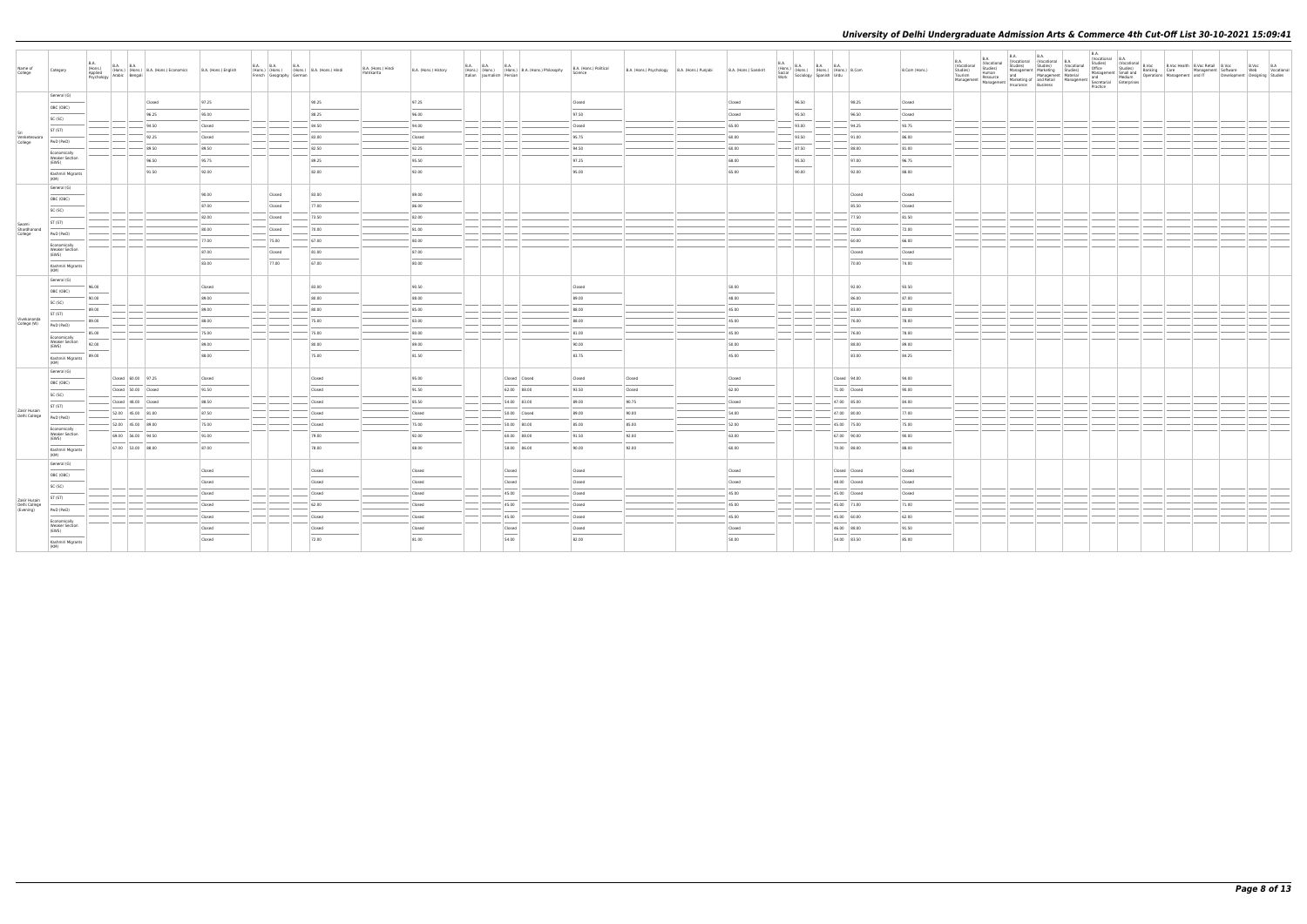| Name of<br>College                         | Category                                       | <b>B.A.</b><br>B.A. (Hons.) B.A. B.A. (Hons.) (B.A. (Hons.) Economics (Hons.) (Hons.) B.A. (Hons.) Economics Psychology Arabic Bengali |        | B.A. (Hons.) English | <b>B.A. B.A.</b><br><b>B.A.</b><br>(Hons.) (Hons.) (Hons.) B.A. (Hons.) Hindi<br>French Geography German |        | B.A. (Hons.) Hindi<br>Patrikarita | B.A. (Hons.) History | <b>B.A. B.A.</b> | <b>B.A.</b>   | (Hons.) (Hons.) (Hons.) B.A. (Hons.) Philosophy<br>Italian Journalism Persian | B.A. (Hons.) Political<br>Science | B.A. (Hons.) Psychology B.A. (Hons.) Punjabi | B.A. (Hons.) Sanskrit | $\begin{array}{ l l } \hline \text{B.A.} \\ \text{(Hons.)} \\ \text{Social} \\ \hline \text{Work} \end{array} \hspace{1mm} \begin{array}{ l } \hline \text{B.A.} \\ \text{(Hons.)} \\ \hline \text{(Hons.)} \end{array} \hspace{1mm} \begin{array}{ l } \hline \text{B.A.} \\ \text{(Hons.)} \\ \hline \text{(Hons.)} \end{array} \hspace{1mm} \begin{array}{ l } \hline \text{B.A.} \\ \text{(Hons.)} \\ \hline \text{Urdu} \end{array} \hspace{1mm} \begin{array}{ l } \hline$ |               | B.Com (Hons.) | B.A.<br>(Vocational<br>Studies)<br>Tourism<br>Management | <b>B.A.</b><br>(Vocational<br>Studies)<br>Human<br>Resource | Management   Management   Management   Musical Business | B.A. |  |  | t Software Web Vocational<br>Development Designing Studies | B.Voc B.A |  |
|--------------------------------------------|------------------------------------------------|----------------------------------------------------------------------------------------------------------------------------------------|--------|----------------------|----------------------------------------------------------------------------------------------------------|--------|-----------------------------------|----------------------|------------------|---------------|-------------------------------------------------------------------------------|-----------------------------------|----------------------------------------------|-----------------------|----------------------------------------------------------------------------------------------------------------------------------------------------------------------------------------------------------------------------------------------------------------------------------------------------------------------------------------------------------------------------------------------------------------------------------------------------------------------------------|---------------|---------------|----------------------------------------------------------|-------------------------------------------------------------|---------------------------------------------------------|------|--|--|------------------------------------------------------------|-----------|--|
|                                            | General (G)                                    |                                                                                                                                        | Closed | 97.25                |                                                                                                          | 90.25  |                                   | 97.25                |                  |               |                                                                               | Closed                            |                                              | Closed                | 96.50                                                                                                                                                                                                                                                                                                                                                                                                                                                                            | 98.25         | Closed        |                                                          |                                                             |                                                         |      |  |  |                                                            |           |  |
|                                            | OBC (OBC)                                      |                                                                                                                                        | 96.25  | 95.00                |                                                                                                          | 88.25  |                                   | 96.00                |                  |               |                                                                               | 97.50                             |                                              | Closed                | 95.50                                                                                                                                                                                                                                                                                                                                                                                                                                                                            | 96.50         | Closed        |                                                          |                                                             |                                                         |      |  |  |                                                            |           |  |
|                                            | SC (SC)                                        |                                                                                                                                        | 94.50  | Closed               |                                                                                                          | 84.50  |                                   | 94.00                |                  |               |                                                                               | Closed                            |                                              | 65.00                 | 93.00                                                                                                                                                                                                                                                                                                                                                                                                                                                                            | 94.25         | 93.75         |                                                          |                                                             |                                                         |      |  |  |                                                            |           |  |
| Venketeswara                               | ST (ST)                                        |                                                                                                                                        | 92.25  | Closed               |                                                                                                          | 83.00  |                                   | Closed               |                  |               |                                                                               | 95.75                             |                                              | 60.00                 | 93.50                                                                                                                                                                                                                                                                                                                                                                                                                                                                            | 91.00         | 86.00         |                                                          |                                                             |                                                         |      |  |  |                                                            |           |  |
| College                                    | PwD (PwD)                                      |                                                                                                                                        | 89.50  | 89.50                |                                                                                                          | 82.50  |                                   | 92.25                |                  |               |                                                                               | 94.50                             |                                              | 60.00                 | 87.50                                                                                                                                                                                                                                                                                                                                                                                                                                                                            | 88.00         | 81.00         |                                                          |                                                             |                                                         |      |  |  |                                                            |           |  |
|                                            | Economically<br><b>Weaker Section</b>          |                                                                                                                                        | 96.50  | 95.75                |                                                                                                          | 89.25  |                                   | 95.50                |                  |               |                                                                               | 97.25                             |                                              | 68.00                 | 95.50                                                                                                                                                                                                                                                                                                                                                                                                                                                                            | 97.00         | 96.75         |                                                          |                                                             |                                                         |      |  |  |                                                            |           |  |
|                                            | (EWS)                                          |                                                                                                                                        | 91.50  | 92.00                |                                                                                                          | 82.00  |                                   | 92.00                |                  |               |                                                                               | 95.00                             |                                              | 65.00                 | 90.00                                                                                                                                                                                                                                                                                                                                                                                                                                                                            | 92.00         | 88.00         |                                                          |                                                             |                                                         |      |  |  |                                                            |           |  |
|                                            | Kashmiri Migrants<br>(KM)                      |                                                                                                                                        |        |                      |                                                                                                          |        |                                   |                      |                  |               |                                                                               |                                   |                                              |                       |                                                                                                                                                                                                                                                                                                                                                                                                                                                                                  |               |               |                                                          |                                                             |                                                         |      |  |  |                                                            |           |  |
|                                            | General (G)                                    |                                                                                                                                        |        | 90.00                | Closed                                                                                                   | 83.00  |                                   | 89.00                |                  |               |                                                                               |                                   |                                              |                       |                                                                                                                                                                                                                                                                                                                                                                                                                                                                                  | Closed        | Closed        |                                                          |                                                             |                                                         |      |  |  |                                                            |           |  |
|                                            | OBC (OBC)                                      |                                                                                                                                        |        | 87.00                | Closed                                                                                                   | 77.00  |                                   | 86.00                |                  |               |                                                                               |                                   |                                              |                       |                                                                                                                                                                                                                                                                                                                                                                                                                                                                                  | 85.50         | Closed        |                                                          |                                                             |                                                         |      |  |  |                                                            |           |  |
|                                            | SC (SC)                                        |                                                                                                                                        |        | 82.00                | Closed                                                                                                   | 73.50  |                                   | 82.00                |                  |               |                                                                               |                                   |                                              |                       |                                                                                                                                                                                                                                                                                                                                                                                                                                                                                  | 77.50         | 81.50         |                                                          |                                                             |                                                         |      |  |  |                                                            |           |  |
| Swami<br>Shardhanand                       | ST (ST)                                        |                                                                                                                                        |        | 80.00                | Closed                                                                                                   | 70.00  |                                   | 81.00                |                  |               |                                                                               |                                   |                                              |                       |                                                                                                                                                                                                                                                                                                                                                                                                                                                                                  | 70.00         | 72.00         |                                                          |                                                             |                                                         |      |  |  |                                                            |           |  |
| College                                    | PwD (PwD)                                      |                                                                                                                                        |        | 77.00                | 75.00                                                                                                    | 67.00  |                                   | 80.00                |                  |               |                                                                               |                                   |                                              |                       |                                                                                                                                                                                                                                                                                                                                                                                                                                                                                  | 60.00         | 66.00         |                                                          |                                                             |                                                         |      |  |  |                                                            |           |  |
|                                            | Economically<br><b>Weaker Section</b><br>(EWS) |                                                                                                                                        |        | 87.00                | Closed                                                                                                   | 81.00  |                                   | 87.00                |                  |               |                                                                               |                                   |                                              |                       |                                                                                                                                                                                                                                                                                                                                                                                                                                                                                  | Closed        | Closed        |                                                          |                                                             |                                                         |      |  |  |                                                            |           |  |
|                                            | Kashmiri Migrants                              |                                                                                                                                        |        | 83.00                | 77.00                                                                                                    | 67.00  |                                   | 80.00                |                  |               |                                                                               |                                   |                                              |                       |                                                                                                                                                                                                                                                                                                                                                                                                                                                                                  | 70.00         | 74.00         |                                                          |                                                             |                                                         |      |  |  |                                                            |           |  |
|                                            | (KM)                                           |                                                                                                                                        |        |                      |                                                                                                          |        |                                   |                      |                  |               |                                                                               |                                   |                                              |                       |                                                                                                                                                                                                                                                                                                                                                                                                                                                                                  |               |               |                                                          |                                                             |                                                         |      |  |  |                                                            |           |  |
|                                            | General (G)                                    | 96.00                                                                                                                                  |        | Closed               |                                                                                                          | 83.00  |                                   | 90.50                |                  |               |                                                                               | Closed                            |                                              | 50.00                 |                                                                                                                                                                                                                                                                                                                                                                                                                                                                                  | 92.00         | 93.50         |                                                          |                                                             |                                                         |      |  |  |                                                            |           |  |
|                                            | OBC (OBC)                                      | 90.00                                                                                                                                  |        | 89.00                |                                                                                                          | 80.00  |                                   | 88.00                |                  |               |                                                                               | 89.00                             |                                              | 48.00                 |                                                                                                                                                                                                                                                                                                                                                                                                                                                                                  | 86.00         | 87.00         |                                                          |                                                             |                                                         |      |  |  |                                                            |           |  |
|                                            | SC (SC)                                        | 89.00                                                                                                                                  |        | 89.00                |                                                                                                          | 80.00  |                                   | 85.00                |                  |               |                                                                               | 88.00                             |                                              | 45.00                 |                                                                                                                                                                                                                                                                                                                                                                                                                                                                                  | 83.00         | 83.00         |                                                          |                                                             |                                                         |      |  |  |                                                            |           |  |
| Vivekananda<br>College (W)                 | ST (ST)<br>PwD (PwD)                           | 89.00                                                                                                                                  |        | 88.00                |                                                                                                          | 75.00  |                                   | 83.00                |                  |               |                                                                               | 88.00                             |                                              | 45.00                 |                                                                                                                                                                                                                                                                                                                                                                                                                                                                                  | 76.00         | 78.00         |                                                          |                                                             |                                                         |      |  |  |                                                            |           |  |
|                                            |                                                | 85.00                                                                                                                                  |        | 75.00                |                                                                                                          | 75.00  |                                   | 80.00                |                  |               |                                                                               | 81.00                             |                                              | 45.00                 |                                                                                                                                                                                                                                                                                                                                                                                                                                                                                  | 76.00         | 78.00         |                                                          |                                                             |                                                         |      |  |  |                                                            |           |  |
|                                            | Economically<br>Weaker Section<br>(EWS)        | 92.00                                                                                                                                  |        | 89.00                |                                                                                                          | 80.00  |                                   | 89.00                |                  |               |                                                                               | 90.00                             |                                              | 50.00                 |                                                                                                                                                                                                                                                                                                                                                                                                                                                                                  | 88.00         | 89.00         |                                                          |                                                             |                                                         |      |  |  |                                                            |           |  |
|                                            | Kashmiri Migrants                              | 89.00                                                                                                                                  |        | 88.00                |                                                                                                          | 75.00  |                                   | 81.50                |                  |               |                                                                               | 83.75                             |                                              | 45.00                 |                                                                                                                                                                                                                                                                                                                                                                                                                                                                                  | 83.00         | 84.25         |                                                          |                                                             |                                                         |      |  |  |                                                            |           |  |
|                                            | (KM)<br>General (G)                            |                                                                                                                                        |        |                      |                                                                                                          |        |                                   |                      |                  |               |                                                                               |                                   |                                              |                       |                                                                                                                                                                                                                                                                                                                                                                                                                                                                                  |               |               |                                                          |                                                             |                                                         |      |  |  |                                                            |           |  |
|                                            | OBC (OBC)                                      | Closed 60.00 97.25                                                                                                                     |        | Closed               |                                                                                                          | Closed |                                   | 95.00                |                  | Closed Closed |                                                                               | Closed                            | Closed                                       | Closed                |                                                                                                                                                                                                                                                                                                                                                                                                                                                                                  | Closed 94.00  | 94.00         |                                                          |                                                             |                                                         |      |  |  |                                                            |           |  |
|                                            | SC (SC)                                        | Closed 50.00 Closed                                                                                                                    |        | 91.50                |                                                                                                          | Closed |                                   | 91.50                |                  | 62.00 88.00   |                                                                               | 93.50                             | Closed                                       | 62.00                 |                                                                                                                                                                                                                                                                                                                                                                                                                                                                                  | 71.00 Closed  | 90.00         |                                                          |                                                             |                                                         |      |  |  |                                                            |           |  |
|                                            | ST (ST)                                        | Closed 48.00 Closed                                                                                                                    |        | 88.50                |                                                                                                          | Closed |                                   | 85.50                |                  | 54.00 83.00   |                                                                               | 89.00                             | 90.75                                        | Closed                |                                                                                                                                                                                                                                                                                                                                                                                                                                                                                  | 47.00 85.00   | 84.00         |                                                          |                                                             |                                                         |      |  |  |                                                            |           |  |
| Zakir Husain<br>Delhi College              | PwD (PwD)                                      | 52.00 45.00 81.00                                                                                                                      |        | 87.50                |                                                                                                          | Closed |                                   | Closed               |                  | 50.00 Closed  |                                                                               | 89.00                             | 90.00                                        | 54.00                 |                                                                                                                                                                                                                                                                                                                                                                                                                                                                                  | 47.00 80.00   | 77.00         |                                                          |                                                             |                                                         |      |  |  |                                                            |           |  |
|                                            | Economically                                   | 52.00 45.00 89.00                                                                                                                      |        | 75.00                |                                                                                                          | Closed |                                   | 75.00                |                  | 50.00 80.00   |                                                                               | 85.00                             | 85.00                                        | 52.00                 |                                                                                                                                                                                                                                                                                                                                                                                                                                                                                  | 45.00 75.00   | 75.00         |                                                          |                                                             |                                                         |      |  |  |                                                            |           |  |
|                                            | <b>Weaker Section</b><br>(EWS)                 | 69.00 56.00 94.50                                                                                                                      |        | 91.00                |                                                                                                          | 79.00  |                                   | 92.00                |                  | 60.00 88.00   |                                                                               | 91.50                             | 92.00                                        | 63.00                 |                                                                                                                                                                                                                                                                                                                                                                                                                                                                                  | 67.00 90.00   | 90.00         |                                                          |                                                             |                                                         |      |  |  |                                                            |           |  |
|                                            | Kashmiri Migrants                              | 67.00 53.00 88.00                                                                                                                      |        | 87.00                |                                                                                                          | 78.00  |                                   | 88.00                |                  | 58.00 86.00   |                                                                               | 90.00                             | 92.00                                        | 60.00                 |                                                                                                                                                                                                                                                                                                                                                                                                                                                                                  | 70.00 88.00   | 88.00         |                                                          |                                                             |                                                         |      |  |  |                                                            |           |  |
|                                            | (KM)<br>General (G)                            |                                                                                                                                        |        |                      |                                                                                                          |        |                                   |                      |                  |               |                                                                               |                                   |                                              |                       |                                                                                                                                                                                                                                                                                                                                                                                                                                                                                  |               |               |                                                          |                                                             |                                                         |      |  |  |                                                            |           |  |
|                                            | OBC (OBC)                                      |                                                                                                                                        |        | Closed               |                                                                                                          | Closed |                                   | Closed               |                  | Closed        |                                                                               | Closed                            |                                              | Closed                |                                                                                                                                                                                                                                                                                                                                                                                                                                                                                  | Closed Closed | Closed        |                                                          |                                                             |                                                         |      |  |  |                                                            |           |  |
|                                            | SC (SC)                                        |                                                                                                                                        |        | Closed               |                                                                                                          | Closed |                                   | Closed               |                  | Closed        |                                                                               | Closed                            |                                              | Closed                |                                                                                                                                                                                                                                                                                                                                                                                                                                                                                  | 48.00 Closed  | Closed        |                                                          |                                                             |                                                         |      |  |  |                                                            |           |  |
|                                            | ST (ST)                                        |                                                                                                                                        |        | Closed               |                                                                                                          | Closed |                                   | Closed               |                  | 45.00         |                                                                               | Closed                            |                                              | 45.00                 |                                                                                                                                                                                                                                                                                                                                                                                                                                                                                  | 45.00 Closed  | Closed        |                                                          |                                                             |                                                         |      |  |  |                                                            |           |  |
| Zakir Husain<br>Delhi College<br>(Evening) | PwD (PwD)                                      |                                                                                                                                        |        | Closed               |                                                                                                          | 62.00  |                                   | Closed               |                  | 45.00         |                                                                               | Closed                            |                                              | 45.00                 |                                                                                                                                                                                                                                                                                                                                                                                                                                                                                  | 45.00 71.00   | 71.00         |                                                          |                                                             |                                                         |      |  |  |                                                            |           |  |
|                                            | Economically                                   |                                                                                                                                        |        | Closed               |                                                                                                          | Closed |                                   | Closed               |                  | 45.00         |                                                                               | Closed                            |                                              | 45.00                 |                                                                                                                                                                                                                                                                                                                                                                                                                                                                                  | 45.00 60.00   | 62.00         |                                                          |                                                             |                                                         |      |  |  |                                                            |           |  |
|                                            | <b>Weaker Section</b><br>(EWS)                 |                                                                                                                                        |        | Closed               |                                                                                                          | Closed |                                   | Closed               |                  | Closed        |                                                                               | Closed                            |                                              | Closed                |                                                                                                                                                                                                                                                                                                                                                                                                                                                                                  | 46.00 88.00   | 91.50         |                                                          |                                                             |                                                         |      |  |  |                                                            |           |  |
|                                            | Kashmiri Migrants<br>(KM)                      |                                                                                                                                        |        | Closed               |                                                                                                          | 72.00  |                                   | 81.00                |                  | 54.00         |                                                                               | 82.00                             |                                              | 50.00                 |                                                                                                                                                                                                                                                                                                                                                                                                                                                                                  | 54.00 83.50   | 85.00         |                                                          |                                                             |                                                         |      |  |  |                                                            |           |  |
|                                            |                                                |                                                                                                                                        |        |                      |                                                                                                          |        |                                   |                      |                  |               |                                                                               |                                   |                                              |                       |                                                                                                                                                                                                                                                                                                                                                                                                                                                                                  |               |               |                                                          |                                                             |                                                         |      |  |  |                                                            |           |  |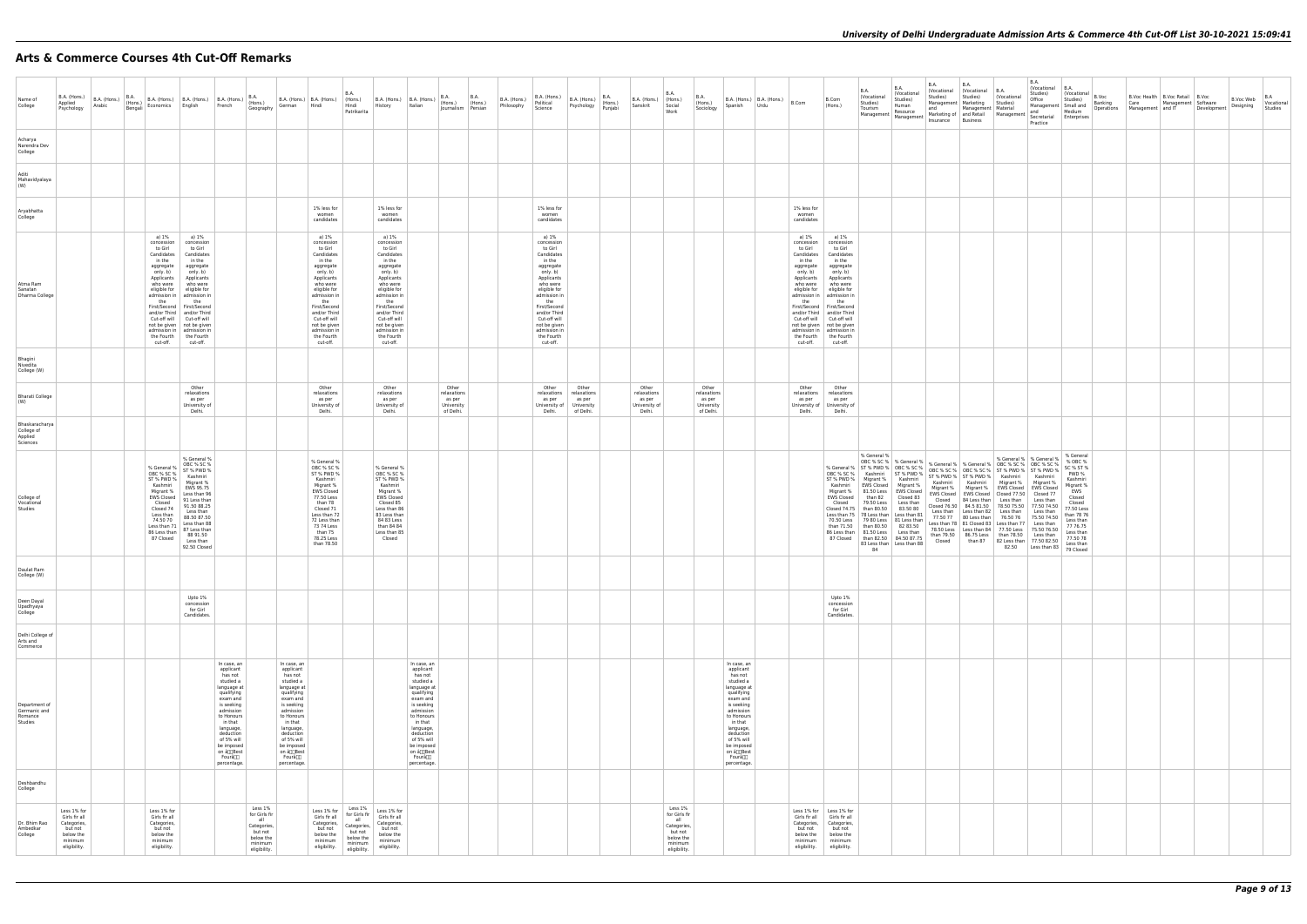# **Arts & Commerce Courses 4th Cut-Off Remarks**

| Name of<br>College                                                                                                                    |  |                                                                                                                                                                                    |                                                                                                                                                                                                                                                                                                                                                                                   | B.A. (Hons.) B.A. (Hons.) B.A. (Hons.) B.A. (Hons.) B.A. (Hons.) B.A. (Hons.) B.A. (Hons.) (Hons.) B.A. (Hons.) (Hons.) B.A. (Hons.) B.A. (Hons.) B.A. (Hons.) B.A. (Hons.) B.A. (Hons.) B.A. (Hons.) B.A. (Hons.) B.A. (Hons.             | German Hindi                                                                                                                                                                                                                                |                                                                                                                                                                                                                                                            | <b>B.A.</b><br>Hindi                                                                              | History Italian                                                                                                                                                                                                                                            | B.A. (Hons.) B.A. (Hons.) $\begin{vmatrix} 6.4 & 6.4 \\ 1 & 1 \end{vmatrix}$ B.A. (Hons.) B.A. (Hons.) $\begin{vmatrix} 6.4 & 6.4 \\ 1 & 1 \end{vmatrix}$ (Hons.) $\begin{vmatrix} 6.4 & 6.4 \\ 1 & 1 \end{vmatrix}$ (Hons.) $\begin{vmatrix} 6.4 & 6.4 \\ 1 & 1 \end{vmatrix}$ (Hons.) $\begin{vmatrix} 6.4 & 6.4 \\ 1 & 1 \end{$ | Journalism Persian                                        | B.A. (Hons.)<br>Philosophy | B.A. (Hons.)<br>Political<br>Science                                                                                                                                                                                                                       |                                                                                     | $B.A.$ (Hons.) $\begin{bmatrix} 1 & 0 & 0 \\ 0 & 0 & 0 \\ 0 & 0 & 0 \end{bmatrix}$<br>Psychology Punjabi | B.A. (Hons.) (Hons.)<br>Sanskrit Social                   | <b>B.A.</b>                                                                                       | <b>B.A.</b><br>(Hons.)<br>Sociology                       | B.A. (Hons.) $\Big $ B.A. (Hons.) $\Big $ B.Com<br>Spanish<br>Urdu                                                                                                                                                                            |                                                                                                                  | B.Com<br>(Hons.)                                                                                                                                                                                                                                                                                                                                                                | <b>B.A.</b><br>(Vocational<br>Studies)<br>Tourism                                                                                                                                                                                                                                                                   | B.A.<br>Vocational<br>Studies)<br>Human                                                                           | <b>B.A.</b><br>Studies)<br>and                                                                                                                                                                                                                                                                                                                                                                                                                                                                                                                                                                                                                                                                                | <b>B.A.</b><br>(Vocational (Vocational B.A.<br>Studies)<br>Management Marketing Studies)<br>Management Material | (Vocational                          | <b>B.A.</b><br>(Vocational B.A.<br>Studies)<br>Office                                                                                                                                                                                                                                                                                                                                                                                                                                                                                                                                   | $\left  \begin{array}{c} 0.75 \\ (Vocational \\ 0.11 \end{array} \right $ B.Voc<br>Studies)                                                                                 | B.Voc Health   B.Voc Retail   B.Voc<br>Umce B.Voc Web Vocation:<br>Management Small and Deprations Management and IT Development Designing Studies<br>and Medium Operations Management and IT Development Designing Studies |  | B.Voc Web Vocational |  |
|---------------------------------------------------------------------------------------------------------------------------------------|--|------------------------------------------------------------------------------------------------------------------------------------------------------------------------------------|-----------------------------------------------------------------------------------------------------------------------------------------------------------------------------------------------------------------------------------------------------------------------------------------------------------------------------------------------------------------------------------|--------------------------------------------------------------------------------------------------------------------------------------------------------------------------------------------------------------------------------------------|---------------------------------------------------------------------------------------------------------------------------------------------------------------------------------------------------------------------------------------------|------------------------------------------------------------------------------------------------------------------------------------------------------------------------------------------------------------------------------------------------------------|---------------------------------------------------------------------------------------------------|------------------------------------------------------------------------------------------------------------------------------------------------------------------------------------------------------------------------------------------------------------|------------------------------------------------------------------------------------------------------------------------------------------------------------------------------------------------------------------------------------------------------------------------------------------------------------------------------------|-----------------------------------------------------------|----------------------------|------------------------------------------------------------------------------------------------------------------------------------------------------------------------------------------------------------------------------------------------------------|-------------------------------------------------------------------------------------|----------------------------------------------------------------------------------------------------------|-----------------------------------------------------------|---------------------------------------------------------------------------------------------------|-----------------------------------------------------------|-----------------------------------------------------------------------------------------------------------------------------------------------------------------------------------------------------------------------------------------------|------------------------------------------------------------------------------------------------------------------|---------------------------------------------------------------------------------------------------------------------------------------------------------------------------------------------------------------------------------------------------------------------------------------------------------------------------------------------------------------------------------|---------------------------------------------------------------------------------------------------------------------------------------------------------------------------------------------------------------------------------------------------------------------------------------------------------------------|-------------------------------------------------------------------------------------------------------------------|---------------------------------------------------------------------------------------------------------------------------------------------------------------------------------------------------------------------------------------------------------------------------------------------------------------------------------------------------------------------------------------------------------------------------------------------------------------------------------------------------------------------------------------------------------------------------------------------------------------------------------------------------------------------------------------------------------------|-----------------------------------------------------------------------------------------------------------------|--------------------------------------|-----------------------------------------------------------------------------------------------------------------------------------------------------------------------------------------------------------------------------------------------------------------------------------------------------------------------------------------------------------------------------------------------------------------------------------------------------------------------------------------------------------------------------------------------------------------------------------------|-----------------------------------------------------------------------------------------------------------------------------------------------------------------------------|-----------------------------------------------------------------------------------------------------------------------------------------------------------------------------------------------------------------------------|--|----------------------|--|
| Acharya                                                                                                                               |  |                                                                                                                                                                                    |                                                                                                                                                                                                                                                                                                                                                                                   |                                                                                                                                                                                                                                            |                                                                                                                                                                                                                                             |                                                                                                                                                                                                                                                            | Patrikarita                                                                                       |                                                                                                                                                                                                                                                            |                                                                                                                                                                                                                                                                                                                                    |                                                           |                            |                                                                                                                                                                                                                                                            |                                                                                     |                                                                                                          |                                                           | Work                                                                                              |                                                           |                                                                                                                                                                                                                                               |                                                                                                                  |                                                                                                                                                                                                                                                                                                                                                                                 | Management   Management                                                                                                                                                                                                                                                                                             | Resource                                                                                                          | Insurance Business                                                                                                                                                                                                                                                                                                                                                                                                                                                                                                                                                                                                                                                                                            |                                                                                                                 |                                      | $\mid$ Marketing of $\mid$ and Retail $\mid$ Management $\mid$ Secretarial $\mid$ Enterprises<br>Practice                                                                                                                                                                                                                                                                                                                                                                                                                                                                               | Medium                                                                                                                                                                      |                                                                                                                                                                                                                             |  |                      |  |
| Narendra Dev<br>College                                                                                                               |  |                                                                                                                                                                                    |                                                                                                                                                                                                                                                                                                                                                                                   |                                                                                                                                                                                                                                            |                                                                                                                                                                                                                                             |                                                                                                                                                                                                                                                            |                                                                                                   |                                                                                                                                                                                                                                                            |                                                                                                                                                                                                                                                                                                                                    |                                                           |                            |                                                                                                                                                                                                                                                            |                                                                                     |                                                                                                          |                                                           |                                                                                                   |                                                           |                                                                                                                                                                                                                                               |                                                                                                                  |                                                                                                                                                                                                                                                                                                                                                                                 |                                                                                                                                                                                                                                                                                                                     |                                                                                                                   |                                                                                                                                                                                                                                                                                                                                                                                                                                                                                                                                                                                                                                                                                                               |                                                                                                                 |                                      |                                                                                                                                                                                                                                                                                                                                                                                                                                                                                                                                                                                         |                                                                                                                                                                             |                                                                                                                                                                                                                             |  |                      |  |
| Aditi<br>Mahavidyalaya<br>(W)                                                                                                         |  |                                                                                                                                                                                    |                                                                                                                                                                                                                                                                                                                                                                                   |                                                                                                                                                                                                                                            |                                                                                                                                                                                                                                             |                                                                                                                                                                                                                                                            |                                                                                                   |                                                                                                                                                                                                                                                            |                                                                                                                                                                                                                                                                                                                                    |                                                           |                            |                                                                                                                                                                                                                                                            |                                                                                     |                                                                                                          |                                                           |                                                                                                   |                                                           |                                                                                                                                                                                                                                               |                                                                                                                  |                                                                                                                                                                                                                                                                                                                                                                                 |                                                                                                                                                                                                                                                                                                                     |                                                                                                                   |                                                                                                                                                                                                                                                                                                                                                                                                                                                                                                                                                                                                                                                                                                               |                                                                                                                 |                                      |                                                                                                                                                                                                                                                                                                                                                                                                                                                                                                                                                                                         |                                                                                                                                                                             |                                                                                                                                                                                                                             |  |                      |  |
| Aryabhatta<br>College                                                                                                                 |  |                                                                                                                                                                                    |                                                                                                                                                                                                                                                                                                                                                                                   |                                                                                                                                                                                                                                            |                                                                                                                                                                                                                                             | 1% less for<br>women<br>candidates                                                                                                                                                                                                                         |                                                                                                   | 1% less for<br>women<br>candidates                                                                                                                                                                                                                         |                                                                                                                                                                                                                                                                                                                                    |                                                           |                            | 1% less for<br>women<br>candidates                                                                                                                                                                                                                         |                                                                                     |                                                                                                          |                                                           |                                                                                                   |                                                           |                                                                                                                                                                                                                                               | 1% less for<br>women<br>candidates                                                                               |                                                                                                                                                                                                                                                                                                                                                                                 |                                                                                                                                                                                                                                                                                                                     |                                                                                                                   |                                                                                                                                                                                                                                                                                                                                                                                                                                                                                                                                                                                                                                                                                                               |                                                                                                                 |                                      |                                                                                                                                                                                                                                                                                                                                                                                                                                                                                                                                                                                         |                                                                                                                                                                             |                                                                                                                                                                                                                             |  |                      |  |
| Atma Ram<br>Sanatan<br>Dharma College                                                                                                 |  | a) 1%<br>concession<br>to Girl<br>Candidates<br>in the<br>aggregate<br>only. b)<br>Applicants<br>the<br>cut-off.                                                                   | a) 1%<br>concession<br>to Girl<br>Candidates<br>in the<br>aggregate<br>only. b)<br>Applicants<br>who were who were<br>eligible for eligible for<br>admission in   admission in<br>the<br>First/Second First/Second<br>and/or Third   and/or Third<br>Cut-off will Cut-off will<br>not be given   not be given<br>admission in   admission in<br>the Fourth the Fourth<br>cut-off. |                                                                                                                                                                                                                                            |                                                                                                                                                                                                                                             | a) 1%<br>concession<br>to Girl<br>Candidates<br>in the<br>aggregate<br>only, b)<br>Applicants<br>who were<br>eligible for<br>admission in<br>the<br>First/Second<br>and/or Third<br>Cut-off will<br>not be given<br>admission in<br>the Fourth<br>cut-off. |                                                                                                   | a) 1%<br>concession<br>to Girl<br>Candidates<br>in the<br>aggregate<br>only. b)<br>Applicants<br>who were<br>eligible for<br>admission in<br>the<br>First/Second<br>and/or Third<br>Cut-off will<br>not be given<br>admission in<br>the Fourth<br>cut-off. |                                                                                                                                                                                                                                                                                                                                    |                                                           |                            | a) 1%<br>concession<br>to Girl<br>Candidates<br>in the<br>aggregate<br>only. b)<br>Applicants<br>who were<br>eligible for<br>admission in<br>the<br>First/Second<br>and/or Third<br>Cut-off will<br>not be given<br>admission in<br>the Fourth<br>cut-off. |                                                                                     |                                                                                                          |                                                           |                                                                                                   |                                                           |                                                                                                                                                                                                                                               | a) 1%<br>concession<br>to Girl<br>Candidates<br>in the<br>aggregate<br>only. b)<br>Applicants<br>the<br>cut-off. | a) 1%<br>concession<br>to Girl<br>Candidates<br>in the<br>aggregate<br>only. b)<br>Applicants<br>who were who were<br>eligible for eligible for<br>admission in   admission in<br>the<br>First/Second First/Second<br>and/or Third and/or Third<br>Cut-off will Cut-off will<br>not be given   not be given<br>admission in   admission in<br>the Fourth the Fourth<br>cut-off. |                                                                                                                                                                                                                                                                                                                     |                                                                                                                   |                                                                                                                                                                                                                                                                                                                                                                                                                                                                                                                                                                                                                                                                                                               |                                                                                                                 |                                      |                                                                                                                                                                                                                                                                                                                                                                                                                                                                                                                                                                                         |                                                                                                                                                                             |                                                                                                                                                                                                                             |  |                      |  |
| Bhagini<br>Nivedita<br>College (W)                                                                                                    |  |                                                                                                                                                                                    |                                                                                                                                                                                                                                                                                                                                                                                   |                                                                                                                                                                                                                                            |                                                                                                                                                                                                                                             |                                                                                                                                                                                                                                                            |                                                                                                   |                                                                                                                                                                                                                                                            |                                                                                                                                                                                                                                                                                                                                    |                                                           |                            |                                                                                                                                                                                                                                                            |                                                                                     |                                                                                                          |                                                           |                                                                                                   |                                                           |                                                                                                                                                                                                                                               |                                                                                                                  |                                                                                                                                                                                                                                                                                                                                                                                 |                                                                                                                                                                                                                                                                                                                     |                                                                                                                   |                                                                                                                                                                                                                                                                                                                                                                                                                                                                                                                                                                                                                                                                                                               |                                                                                                                 |                                      |                                                                                                                                                                                                                                                                                                                                                                                                                                                                                                                                                                                         |                                                                                                                                                                             |                                                                                                                                                                                                                             |  |                      |  |
| <b>Bharati College</b><br>(W)                                                                                                         |  |                                                                                                                                                                                    | Other<br>relaxations<br>as per<br>University of<br>Delhi.                                                                                                                                                                                                                                                                                                                         |                                                                                                                                                                                                                                            |                                                                                                                                                                                                                                             | Other<br>relaxations<br>as per<br>University of<br>Delhi.                                                                                                                                                                                                  |                                                                                                   | Other<br>relaxations<br>as per<br>University of<br>Delhi.                                                                                                                                                                                                  |                                                                                                                                                                                                                                                                                                                                    | Other<br>relaxations<br>as per<br>University<br>of Delhi. |                            | Other<br>as per<br>Delhi.                                                                                                                                                                                                                                  | Other<br>relaxations relaxations<br>as per<br>University of University<br>of Delhi. |                                                                                                          | Other<br>relaxations<br>as per<br>University of<br>Delhi. |                                                                                                   | Other<br>relaxations<br>as per<br>University<br>of Delhi. |                                                                                                                                                                                                                                               | Other<br>relaxations<br>as per<br>Delhi.                                                                         | Other<br>relaxations<br>as per<br>University of   University of<br>Delhi.                                                                                                                                                                                                                                                                                                       |                                                                                                                                                                                                                                                                                                                     |                                                                                                                   |                                                                                                                                                                                                                                                                                                                                                                                                                                                                                                                                                                                                                                                                                                               |                                                                                                                 |                                      |                                                                                                                                                                                                                                                                                                                                                                                                                                                                                                                                                                                         |                                                                                                                                                                             |                                                                                                                                                                                                                             |  |                      |  |
| Bhaskaracharya<br>College of<br>Applied<br>Sciences                                                                                   |  |                                                                                                                                                                                    |                                                                                                                                                                                                                                                                                                                                                                                   |                                                                                                                                                                                                                                            |                                                                                                                                                                                                                                             |                                                                                                                                                                                                                                                            |                                                                                                   |                                                                                                                                                                                                                                                            |                                                                                                                                                                                                                                                                                                                                    |                                                           |                            |                                                                                                                                                                                                                                                            |                                                                                     |                                                                                                          |                                                           |                                                                                                   |                                                           |                                                                                                                                                                                                                                               |                                                                                                                  |                                                                                                                                                                                                                                                                                                                                                                                 |                                                                                                                                                                                                                                                                                                                     |                                                                                                                   |                                                                                                                                                                                                                                                                                                                                                                                                                                                                                                                                                                                                                                                                                                               |                                                                                                                 |                                      |                                                                                                                                                                                                                                                                                                                                                                                                                                                                                                                                                                                         |                                                                                                                                                                             |                                                                                                                                                                                                                             |  |                      |  |
| College of<br>Vocational<br>Studies                                                                                                   |  | % General %<br>OBC % SC %<br>ST % PWD %<br>Kashmiri<br>Migrant %<br><b>EWS Closed</b><br>Closed<br>Closed 74<br>Less than<br>74.50 70<br>Less than 71<br>86 Less than<br>87 Closed | % General %<br>OBC % SC %<br>ST % PWD %<br>Kashmiri<br>Migrant %<br>EWS 95.75<br>Less than 96<br>91 Less than<br>91.50 88.25<br>Less than<br>88.50 87.50<br>Less than 88<br>87 Less than<br>88 91.50<br>Less than<br>92.50 Closed                                                                                                                                                 |                                                                                                                                                                                                                                            |                                                                                                                                                                                                                                             | % General %<br>OBC % SC %<br>ST % PWD %<br>Kashmiri<br>Migrant %<br>EWS Closed<br>77.50 Less<br>than 78<br>Closed 71<br>Less than 72<br>72 Less than<br>73 74 Less<br>than 75<br>78.25 Less<br>than 78.50                                                  |                                                                                                   | % General %<br>OBC % SC %<br>ST % PWD %<br>Kashmiri<br>Migrant %<br><b>EWS Closed</b><br>Closed 85<br>Less than 86<br>83 Less than<br>84 83 Less<br>than 84 84<br>Less than 85<br>Closed                                                                   |                                                                                                                                                                                                                                                                                                                                    |                                                           |                            |                                                                                                                                                                                                                                                            |                                                                                     |                                                                                                          |                                                           |                                                                                                   |                                                           |                                                                                                                                                                                                                                               |                                                                                                                  | Kashmiri<br><b>EWS Closed</b><br>Closed<br>87 Closed                                                                                                                                                                                                                                                                                                                            | % General %<br>ST % PWD %   Migrant %   Kashmiri<br><b>EWS Closed</b><br>Migrant % 81.50 Less   EWS Closed<br>Closed 74.75   than 80.50   83.50 80<br>Less than 75 78 Less than Less than 81<br>70.50 Less 79 80 Less 81 Less than<br>than 71.50 than 80.50 82 83.50<br>86 Less than   81.50 Less   Less than<br>84 | Migrant %<br>than 82 Closed 83<br>79.50 Less   Less than<br>than 82.50 84.50 87.75<br>83 Less than   Less than 88 | OBC % SC %   % General %   % General %   % General %   0BC % SC %   0BC % SC %   0BC % SC %   0BC % SC %   0BC % SC %   0BC % SC %   0BC % SC %   0BC % SC %   0BC % SC %   0BC % SC %   0BC % SC %   0BC % SC %   0BC % SC %<br>% General % ST % PWD % 06C % SC % 08C % SC % 06C % SC % 06C % SC % 06C % SC % 06C % SC % 06C % SC % 06C % SC % 06C % SC % 06C % SC % 06C % SC % 06C % SC % 06C % SC % 06C % SC % 06C % SC % 06C % SC % 06C % SC % 06C % SC % 0<br>OBC % SC %   Kashmiri   ST % PWD %   ST % PWD %   ST % PWD %   Kashmiri   Kashmiri   Kashmiri   Kashmiri   Kashmiri   Kashmiri   Kashmiri   Kashmiri   Kashmiri   Kashmiri   Kashmiri   Kashmiri   Kashmiri   Kashmiri   Kashm<br>Kashmiri |                                                                                                                 | Less than   Less than 82   Less than | % General %   % General %  <br>Kashmiri   Migrant %   Migrant %<br>Migrant %   Migrant %   EWS Closed   EWS Closed<br>EWS Closed   EWS Closed   Closed 77.50   Closed 77<br>Closed 84 Less than Less than Less than<br>Closed 76.50 84.5 81.50 78.50 75.50 77.50 74.50<br>Less than<br>77.50 77 80 Less than 76.50 76 75.50 74.50<br>Less than 78   81 Closed 83   Less than 77   Less than<br>78.50 Less   Less than 84   77.50 Less   75.50 76.50  <br>than 79.50 86.75 Less than 78.50 Less than<br>Closed   than 87   82 Less than   77.50 82.50<br>82.50 Eless than 83 2 Less than | % General<br>% OBC %<br>SC % ST %<br>PWD %<br>Kashmiri<br>Migrant %<br>EWS<br>Closed<br>Closed<br>77.50 Less<br>than 78 76<br>Less than<br>77 76.75<br>Less than<br>77.5078 |                                                                                                                                                                                                                             |  |                      |  |
| Daulat Ram<br>College (W)                                                                                                             |  |                                                                                                                                                                                    |                                                                                                                                                                                                                                                                                                                                                                                   |                                                                                                                                                                                                                                            |                                                                                                                                                                                                                                             |                                                                                                                                                                                                                                                            |                                                                                                   |                                                                                                                                                                                                                                                            |                                                                                                                                                                                                                                                                                                                                    |                                                           |                            |                                                                                                                                                                                                                                                            |                                                                                     |                                                                                                          |                                                           |                                                                                                   |                                                           |                                                                                                                                                                                                                                               |                                                                                                                  |                                                                                                                                                                                                                                                                                                                                                                                 |                                                                                                                                                                                                                                                                                                                     |                                                                                                                   |                                                                                                                                                                                                                                                                                                                                                                                                                                                                                                                                                                                                                                                                                                               |                                                                                                                 |                                      |                                                                                                                                                                                                                                                                                                                                                                                                                                                                                                                                                                                         |                                                                                                                                                                             |                                                                                                                                                                                                                             |  |                      |  |
| Deen Dayal<br>Upadhyaya<br>  College                                                                                                  |  |                                                                                                                                                                                    | Upto 1%<br>concession<br>for Girl<br>Candidates.                                                                                                                                                                                                                                                                                                                                  |                                                                                                                                                                                                                                            |                                                                                                                                                                                                                                             |                                                                                                                                                                                                                                                            |                                                                                                   |                                                                                                                                                                                                                                                            |                                                                                                                                                                                                                                                                                                                                    |                                                           |                            |                                                                                                                                                                                                                                                            |                                                                                     |                                                                                                          |                                                           |                                                                                                   |                                                           |                                                                                                                                                                                                                                               |                                                                                                                  | Upto 1%<br>concession<br>for Girl<br>Candidates.                                                                                                                                                                                                                                                                                                                                |                                                                                                                                                                                                                                                                                                                     |                                                                                                                   |                                                                                                                                                                                                                                                                                                                                                                                                                                                                                                                                                                                                                                                                                                               |                                                                                                                 |                                      |                                                                                                                                                                                                                                                                                                                                                                                                                                                                                                                                                                                         |                                                                                                                                                                             |                                                                                                                                                                                                                             |  |                      |  |
| Delhi College of<br>Arts and<br>Commerce                                                                                              |  |                                                                                                                                                                                    |                                                                                                                                                                                                                                                                                                                                                                                   |                                                                                                                                                                                                                                            |                                                                                                                                                                                                                                             |                                                                                                                                                                                                                                                            |                                                                                                   |                                                                                                                                                                                                                                                            |                                                                                                                                                                                                                                                                                                                                    |                                                           |                            |                                                                                                                                                                                                                                                            |                                                                                     |                                                                                                          |                                                           |                                                                                                   |                                                           |                                                                                                                                                                                                                                               |                                                                                                                  |                                                                                                                                                                                                                                                                                                                                                                                 |                                                                                                                                                                                                                                                                                                                     |                                                                                                                   |                                                                                                                                                                                                                                                                                                                                                                                                                                                                                                                                                                                                                                                                                                               |                                                                                                                 |                                      |                                                                                                                                                                                                                                                                                                                                                                                                                                                                                                                                                                                         |                                                                                                                                                                             |                                                                                                                                                                                                                             |  |                      |  |
| Department of<br>Germanic and<br>Romance<br>Studies                                                                                   |  |                                                                                                                                                                                    |                                                                                                                                                                                                                                                                                                                                                                                   | In case, an<br>applicant<br>has not<br>studied a<br>language at<br>qualifying<br>exam and<br>is seeking<br>admission<br>to Honours<br>in that<br>language,<br>deduction<br>of 5% will<br>be imposed<br>on â∏Best<br>Fourâ∏∏<br>percentage. | In case, an<br>applicant<br>has not<br>studied a<br>language at<br>qualifying<br>exam and<br>is seeking<br>admission<br>to Honours<br>in that<br>language,<br>deduction<br>of 5% will<br>be imposed<br>on â∏∏Best<br>Fourâ∏∏<br>percentage. |                                                                                                                                                                                                                                                            |                                                                                                   |                                                                                                                                                                                                                                                            | In case, an<br>applicant<br>has not<br>studied a<br>language at<br>qualifying<br>exam and<br>is seeking<br>admission<br>to Honours<br>in that<br>language,<br>deduction<br>of 5% will<br>be imposed<br>on â∏]Best<br>Fourâ∏∏<br>percentage.                                                                                        |                                                           |                            |                                                                                                                                                                                                                                                            |                                                                                     |                                                                                                          |                                                           |                                                                                                   |                                                           | In case, an<br>applicant<br>has not<br>studied a<br>language at<br>qualifying<br>exam and<br>is seeking<br>admission<br>to Honours<br>in that<br>language,<br>deduction<br>of 5% will<br>be imposed<br>∣ on â∏∏Best<br>Fourâ∏∏<br>percentage. |                                                                                                                  |                                                                                                                                                                                                                                                                                                                                                                                 |                                                                                                                                                                                                                                                                                                                     |                                                                                                                   |                                                                                                                                                                                                                                                                                                                                                                                                                                                                                                                                                                                                                                                                                                               |                                                                                                                 |                                      |                                                                                                                                                                                                                                                                                                                                                                                                                                                                                                                                                                                         |                                                                                                                                                                             |                                                                                                                                                                                                                             |  |                      |  |
| Deshbandhu<br>College                                                                                                                 |  |                                                                                                                                                                                    |                                                                                                                                                                                                                                                                                                                                                                                   |                                                                                                                                                                                                                                            |                                                                                                                                                                                                                                             |                                                                                                                                                                                                                                                            |                                                                                                   |                                                                                                                                                                                                                                                            |                                                                                                                                                                                                                                                                                                                                    |                                                           |                            |                                                                                                                                                                                                                                                            |                                                                                     |                                                                                                          |                                                           |                                                                                                   |                                                           |                                                                                                                                                                                                                                               |                                                                                                                  |                                                                                                                                                                                                                                                                                                                                                                                 |                                                                                                                                                                                                                                                                                                                     |                                                                                                                   |                                                                                                                                                                                                                                                                                                                                                                                                                                                                                                                                                                                                                                                                                                               |                                                                                                                 |                                      |                                                                                                                                                                                                                                                                                                                                                                                                                                                                                                                                                                                         |                                                                                                                                                                             |                                                                                                                                                                                                                             |  |                      |  |
| Less 1% for<br>Girls fir all<br>Dr. Bhim Rao<br>Categories,<br>Ambedkar<br>but not<br>College<br>below the<br>minimum<br>eligibility. |  | Less 1% for<br>Girls fir all<br>Categories,<br>but not<br>below the<br>minimum<br>eligibility.                                                                                     |                                                                                                                                                                                                                                                                                                                                                                                   | Less 1%<br>for Girls fir<br>all<br>Categories,<br>but not<br>below the<br>minimum<br>eligibility.                                                                                                                                          |                                                                                                                                                                                                                                             | Less 1% for<br>Girls fir all<br>Categories,<br>but not<br>below the<br>minimum<br>eligibility.                                                                                                                                                             | Less 1%<br>for Girls fir<br>all<br>Categories,<br>but not<br>below the<br>minimum<br>eligibility. | Less 1% for<br>Girls fir all<br>Categories,<br>but not<br>below the<br>minimum<br>eligibility.                                                                                                                                                             |                                                                                                                                                                                                                                                                                                                                    |                                                           |                            |                                                                                                                                                                                                                                                            |                                                                                     |                                                                                                          |                                                           | Less 1%<br>for Girls fir<br>all<br>Categories,<br>but not<br>below the<br>minimum<br>eligibility. |                                                           |                                                                                                                                                                                                                                               | Categories,<br>but not<br>below the<br>minimum<br>eligibility.                                                   | Less 1% for Less 1% for<br>Girls fir all Girls fir all<br>Categories,<br>but not<br>below the<br>minimum<br>eligibility.                                                                                                                                                                                                                                                        |                                                                                                                                                                                                                                                                                                                     |                                                                                                                   |                                                                                                                                                                                                                                                                                                                                                                                                                                                                                                                                                                                                                                                                                                               |                                                                                                                 |                                      |                                                                                                                                                                                                                                                                                                                                                                                                                                                                                                                                                                                         |                                                                                                                                                                             |                                                                                                                                                                                                                             |  |                      |  |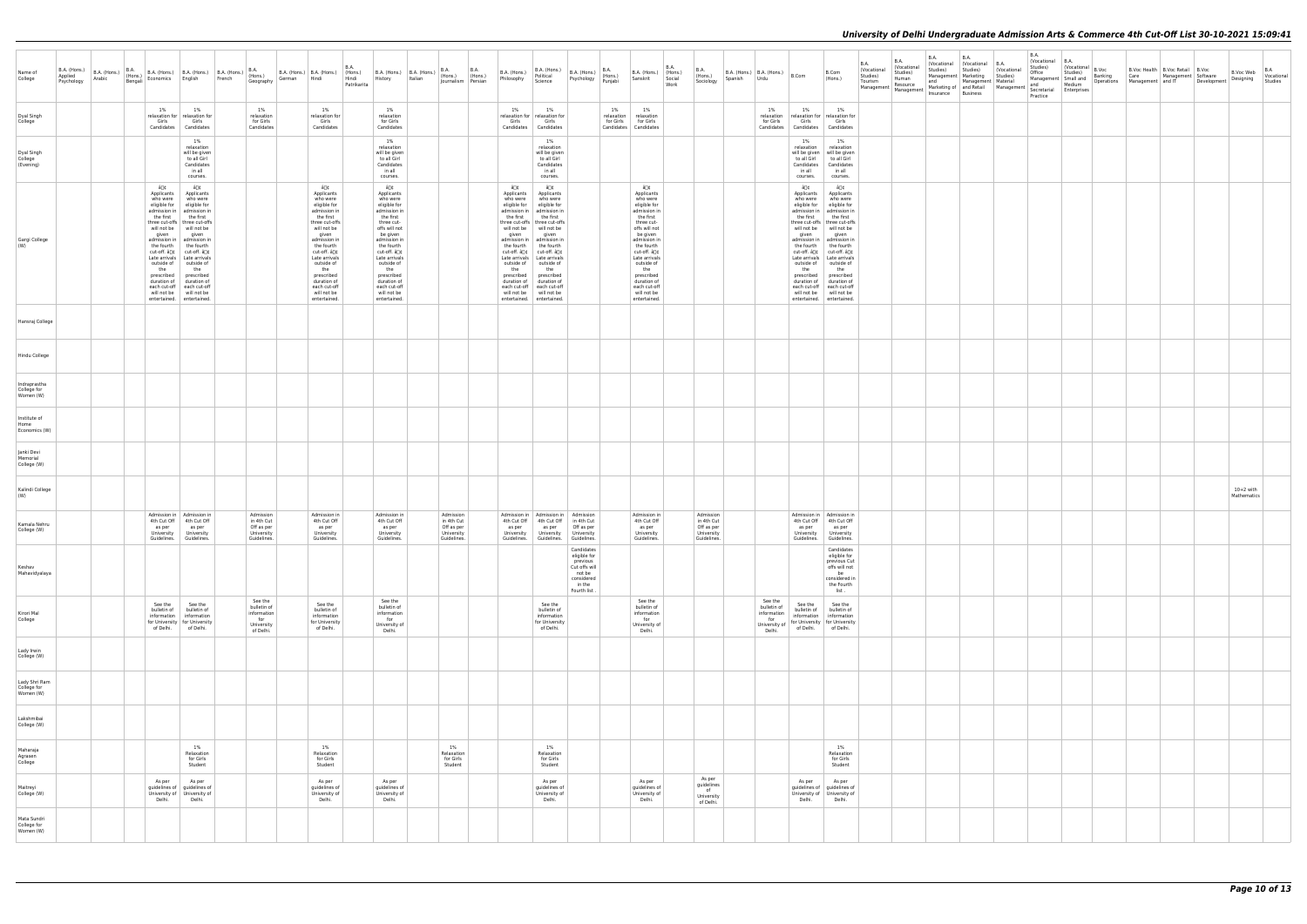| Name of<br>College                        | B.A. (Hons.)<br>Applied Arabic Bengali |  |                     | B.A. (Hons.) B.A. (Hons.) B.A. (Hons.) B.A. (Hons.) B.A. (Hons.) Arabic (Hons.) Eengali Economics English French (Hons.) Geography                                                                                                                                                                                                                                                                                                                                                                           |                                                                         |                                                                                                                                                                                                                                                                                      | B.A.<br>Patrikarita | B.A. (Hons.) B.A. (Hons.) $\begin{vmatrix} 6.0 & 1 \\ 1 & 6.0 \end{vmatrix}$ B.A. (Hons.) B.A. (Hons.) B.A. (Hons.) $\begin{vmatrix} 6.0 & 1 \\ 1 & 6.0 \end{vmatrix}$ (Hons.) $\begin{vmatrix} 6.0 & 1 \\ 1 & 6.0 \end{vmatrix}$ (Hons.) $\begin{vmatrix} 6.0 & 1 \\ 1 & 6.0 \end{vmatrix}$<br>German Hindi Hindi History Italian |                                                                    | <b>B.A. B.A.</b><br>Journalism Persian | B.A. (Hons.)<br>Philosophy                                                               | B.A. (Hons.)<br>Political<br>Science                                                                                                                                                                                                                                                                                                                                                                                                                     | B.A. (Hons.) $\left  \begin{array}{c} 0.75 \\ \text{(Hons.}) \end{array} \right $<br>Psychology Punjabi   |    | B.A. (Hons.) (Hons.)<br>Sanskrit                                                                                                                                                                                                                                                      | B.A.<br>Social<br>Work | <b>B.A.</b><br>(Hons.)<br>Sociology                                | Spanish | B.A. (Hons.) B.A. (Hons.) B.Com<br>Urdu         |                                                                              | B.Com<br>(Hons.)                                                                                                                                                                                                                                                                                                                                                                                                                                                  | <b>B.A.</b><br>(Vocational<br>Studies)<br>Tourism | <b>B.A.</b><br>(Vocational<br>Studies)<br>Human | <b>B.A.</b><br>Studies)<br>and<br>Management Management Markeuny or Management Management Management Markeuny or Management | <b>B.A.</b><br>(Vocational (Vocational B.A.<br>Studies)<br>Management Marketing Studies)<br>Management Material | Vocational<br>Marketing of and Retail Management   Becretarial   Marketing of   and Retail Management   Secretarial   Marketing Secretarial | <b>B.A.</b><br>(Vocational B.A.<br>Studies)<br>Office<br>Practice | Vocational B.Voc<br>Studies)<br>Medium | Banking | B.Voc Health   B.Voc Retail   B.Voc<br>Care Management Software<br>Management Small and Banking<br>- Management Small and Deprations Management and IT Development | B.Voc Web Vocational<br>Designing Vyconome |  |
|-------------------------------------------|----------------------------------------|--|---------------------|--------------------------------------------------------------------------------------------------------------------------------------------------------------------------------------------------------------------------------------------------------------------------------------------------------------------------------------------------------------------------------------------------------------------------------------------------------------------------------------------------------------|-------------------------------------------------------------------------|--------------------------------------------------------------------------------------------------------------------------------------------------------------------------------------------------------------------------------------------------------------------------------------|---------------------|------------------------------------------------------------------------------------------------------------------------------------------------------------------------------------------------------------------------------------------------------------------------------------------------------------------------------------|--------------------------------------------------------------------|----------------------------------------|------------------------------------------------------------------------------------------|----------------------------------------------------------------------------------------------------------------------------------------------------------------------------------------------------------------------------------------------------------------------------------------------------------------------------------------------------------------------------------------------------------------------------------------------------------|-----------------------------------------------------------------------------------------------------------|----|---------------------------------------------------------------------------------------------------------------------------------------------------------------------------------------------------------------------------------------------------------------------------------------|------------------------|--------------------------------------------------------------------|---------|-------------------------------------------------|------------------------------------------------------------------------------|-------------------------------------------------------------------------------------------------------------------------------------------------------------------------------------------------------------------------------------------------------------------------------------------------------------------------------------------------------------------------------------------------------------------------------------------------------------------|---------------------------------------------------|-------------------------------------------------|-----------------------------------------------------------------------------------------------------------------------------|-----------------------------------------------------------------------------------------------------------------|---------------------------------------------------------------------------------------------------------------------------------------------|-------------------------------------------------------------------|----------------------------------------|---------|--------------------------------------------------------------------------------------------------------------------------------------------------------------------|--------------------------------------------|--|
| Dyal Singh<br>College                     |                                        |  | $1\%$               | 1%<br>relaxation for relaxation for<br>Girls Girls<br>Candidates Candidates                                                                                                                                                                                                                                                                                                                                                                                                                                  | 1%<br>relaxation<br>for Girls<br>Candidates                             | 1%<br>relaxation for<br>Girls<br>Candidates                                                                                                                                                                                                                                          |                     | 1%<br>relaxation<br>for Girls<br>Candidates                                                                                                                                                                                                                                                                                        |                                                                    |                                        | 1%<br>Girls                                                                              | 1%<br>relaxation for relaxation for<br>Girls<br>Candidates Candidates                                                                                                                                                                                                                                                                                                                                                                                    |                                                                                                           | 1% | 1%<br>relaxation relaxation<br>for Girls for Girls<br>Candidates Candidates                                                                                                                                                                                                           |                        |                                                                    |         | 1%<br>for Girls                                 | 1%<br>Girls<br>Candidates Candidates                                         | 1%<br>relaxation relaxation for relaxation for<br>Girls<br>Candidates                                                                                                                                                                                                                                                                                                                                                                                             |                                                   |                                                 |                                                                                                                             |                                                                                                                 |                                                                                                                                             |                                                                   |                                        |         |                                                                                                                                                                    |                                            |  |
| Dyal Singh<br>College<br>(Evening)        |                                        |  |                     | 1%<br>relaxation<br>will be given<br>to all Girl<br>Candidates<br>in all<br>courses.                                                                                                                                                                                                                                                                                                                                                                                                                         |                                                                         |                                                                                                                                                                                                                                                                                      |                     | 1%<br>relaxation<br>will be given<br>to all Girl<br>Candidates<br>in all<br>courses.                                                                                                                                                                                                                                               |                                                                    |                                        |                                                                                          | 1%<br>relaxation<br>will be given<br>to all Girl<br>Candidates<br>in all<br>courses.                                                                                                                                                                                                                                                                                                                                                                     |                                                                                                           |    |                                                                                                                                                                                                                                                                                       |                        |                                                                    |         |                                                 | $1\%$<br>relaxation<br>Candidates<br>in all<br>courses.                      | 1%<br>relaxation<br>will be given   will be given<br>to all Girl to all Girl<br>Candidates<br>in all<br>courses.                                                                                                                                                                                                                                                                                                                                                  |                                                   |                                                 |                                                                                                                             |                                                                                                                 |                                                                                                                                             |                                                                   |                                        |         |                                                                                                                                                                    |                                            |  |
| Gargi College<br>(W)                      |                                        |  | â∏¢<br>given<br>the | â∏¢<br>Applicants Applicants<br>who were who were<br>eligible for eligible for<br>admission in admission in<br>the first the first<br>three cut-offs   three cut-offs<br>will not be will not be<br>given<br>admission in   admission in<br>the fourth the fourth<br>cut-off. â[]¢   cut-off. â[]¢<br>Late arrivals   Late arrivals<br>outside of outside of<br>the<br>prescribed prescribed<br>duration of duration of<br>each cut-off each cut-off<br>will not be will not be<br>entertained. entertained. |                                                                         | â∏¢<br>Applicants<br>who were<br>eligible for<br>admission in<br>the first<br>three cut-offs<br>will not be<br>given<br>admission in<br>the fourth<br>cut-off. â∏¢<br>Late arrivals<br>outside of<br>the<br>prescribed<br>duration of<br>each cut-off<br>will not be<br>entertained. |                     | â∏¢<br>Applicants<br>who were<br>eligible for<br>admission in<br>the first<br>three cut-<br>offs will not<br>be given<br>admission in<br>the fourth<br>cut-off. â∏¢<br>Late arrivals<br>outside of<br>the<br>prescribed<br>duration of<br>each cut-off<br>will not be<br>entertained.                                              |                                                                    |                                        | â∏¢<br>Applicants<br>who were<br>eligible for<br>the first<br>given<br>the<br>prescribed | â∏¢<br>Applicants<br>who were<br>eligible for<br>admission in   admission in<br>the first<br>three cut-offs   three cut-offs<br>will not be will not be<br>given<br>admission in   admission in<br>the fourth the fourth<br>cut-off. â[]¢   cut-off. â[]¢<br>Late arrivals   Late arrivals<br>outside of outside of<br>the<br>prescribed<br>duration of duration of<br>each cut-off each cut-off<br>will not be will not be<br>entertained. entertained. |                                                                                                           |    | â∏¢<br>Applicants<br>who were<br>eligible for<br>admission in<br>the first<br>three cut-<br>offs will not<br>be given<br>admission in<br>the fourth<br>cut-off. â∏¢<br>Late arrivals<br>outside of<br>the<br>prescribed<br>duration of<br>each cut-off<br>will not be<br>entertained. |                        |                                                                    |         |                                                 | â∏¢<br>Applicants<br>eligible for<br>the first<br>given<br>the<br>prescribed | â∏¢<br>Applicants<br>who were who were<br>eligible for<br>admission in   admission in<br>the first<br>three cut-offs   three cut-offs<br>will not be will not be<br>given<br>admission in   admission in<br>the fourth the fourth<br>cut-off. â[]¢   cut-off. â[]¢<br>Late arrivals   Late arrivals<br>outside of outside of<br>the<br>prescribed<br>duration of duration of<br>each cut-off each cut-off<br>will not be will not be<br>entertained. entertained. |                                                   |                                                 |                                                                                                                             |                                                                                                                 |                                                                                                                                             |                                                                   |                                        |         |                                                                                                                                                                    |                                            |  |
| Hansraj College                           |                                        |  |                     |                                                                                                                                                                                                                                                                                                                                                                                                                                                                                                              |                                                                         |                                                                                                                                                                                                                                                                                      |                     |                                                                                                                                                                                                                                                                                                                                    |                                                                    |                                        |                                                                                          |                                                                                                                                                                                                                                                                                                                                                                                                                                                          |                                                                                                           |    |                                                                                                                                                                                                                                                                                       |                        |                                                                    |         |                                                 |                                                                              |                                                                                                                                                                                                                                                                                                                                                                                                                                                                   |                                                   |                                                 |                                                                                                                             |                                                                                                                 |                                                                                                                                             |                                                                   |                                        |         |                                                                                                                                                                    |                                            |  |
| Hindu College                             |                                        |  |                     |                                                                                                                                                                                                                                                                                                                                                                                                                                                                                                              |                                                                         |                                                                                                                                                                                                                                                                                      |                     |                                                                                                                                                                                                                                                                                                                                    |                                                                    |                                        |                                                                                          |                                                                                                                                                                                                                                                                                                                                                                                                                                                          |                                                                                                           |    |                                                                                                                                                                                                                                                                                       |                        |                                                                    |         |                                                 |                                                                              |                                                                                                                                                                                                                                                                                                                                                                                                                                                                   |                                                   |                                                 |                                                                                                                             |                                                                                                                 |                                                                                                                                             |                                                                   |                                        |         |                                                                                                                                                                    |                                            |  |
| Indraprastha<br>College for<br>Women (W)  |                                        |  |                     |                                                                                                                                                                                                                                                                                                                                                                                                                                                                                                              |                                                                         |                                                                                                                                                                                                                                                                                      |                     |                                                                                                                                                                                                                                                                                                                                    |                                                                    |                                        |                                                                                          |                                                                                                                                                                                                                                                                                                                                                                                                                                                          |                                                                                                           |    |                                                                                                                                                                                                                                                                                       |                        |                                                                    |         |                                                 |                                                                              |                                                                                                                                                                                                                                                                                                                                                                                                                                                                   |                                                   |                                                 |                                                                                                                             |                                                                                                                 |                                                                                                                                             |                                                                   |                                        |         |                                                                                                                                                                    |                                            |  |
| Institute of<br>Home<br>Economics (W)     |                                        |  |                     |                                                                                                                                                                                                                                                                                                                                                                                                                                                                                                              |                                                                         |                                                                                                                                                                                                                                                                                      |                     |                                                                                                                                                                                                                                                                                                                                    |                                                                    |                                        |                                                                                          |                                                                                                                                                                                                                                                                                                                                                                                                                                                          |                                                                                                           |    |                                                                                                                                                                                                                                                                                       |                        |                                                                    |         |                                                 |                                                                              |                                                                                                                                                                                                                                                                                                                                                                                                                                                                   |                                                   |                                                 |                                                                                                                             |                                                                                                                 |                                                                                                                                             |                                                                   |                                        |         |                                                                                                                                                                    |                                            |  |
| Janki Devi<br>Memorial<br>College (W)     |                                        |  |                     |                                                                                                                                                                                                                                                                                                                                                                                                                                                                                                              |                                                                         |                                                                                                                                                                                                                                                                                      |                     |                                                                                                                                                                                                                                                                                                                                    |                                                                    |                                        |                                                                                          |                                                                                                                                                                                                                                                                                                                                                                                                                                                          |                                                                                                           |    |                                                                                                                                                                                                                                                                                       |                        |                                                                    |         |                                                 |                                                                              |                                                                                                                                                                                                                                                                                                                                                                                                                                                                   |                                                   |                                                 |                                                                                                                             |                                                                                                                 |                                                                                                                                             |                                                                   |                                        |         |                                                                                                                                                                    |                                            |  |
| Kalindi College<br>(W)                    |                                        |  |                     |                                                                                                                                                                                                                                                                                                                                                                                                                                                                                                              |                                                                         |                                                                                                                                                                                                                                                                                      |                     |                                                                                                                                                                                                                                                                                                                                    |                                                                    |                                        |                                                                                          |                                                                                                                                                                                                                                                                                                                                                                                                                                                          |                                                                                                           |    |                                                                                                                                                                                                                                                                                       |                        |                                                                    |         |                                                 |                                                                              |                                                                                                                                                                                                                                                                                                                                                                                                                                                                   |                                                   |                                                 |                                                                                                                             |                                                                                                                 |                                                                                                                                             |                                                                   |                                        |         |                                                                                                                                                                    | $10+2$ with<br>Mathematics                 |  |
| Kamala Nehru<br>College (W)               |                                        |  |                     | Admission in   Admission in<br>4th Cut Off 4th Cut Off<br>as per as per<br>University University<br>Guidelines. Guidelines.                                                                                                                                                                                                                                                                                                                                                                                  | Admission<br>in 4th Cut<br>Off as per<br>University<br>Guidelines.      | Admission in<br>4th Cut Off<br>as per<br>University<br>Guidelines.                                                                                                                                                                                                                   |                     | Admission in<br>4th Cut Off<br>as per<br>University<br>Guidelines.                                                                                                                                                                                                                                                                 | Admission<br>in 4th Cut<br>Off as per<br>University<br>Guidelines. |                                        | as per                                                                                   | Admission in   Admission in   Admission<br>4th Cut Off 4th Cut Off in 4th Cut<br>University University University<br>Guidelines. Guidelines.                                                                                                                                                                                                                                                                                                             | as per Off as per<br>Guidelines.                                                                          |    | Admission in<br>4th Cut Off<br>as per<br>University<br>Guidelines.                                                                                                                                                                                                                    |                        | Admission<br>in 4th Cut<br>Off as per<br>University<br>Guidelines. |         |                                                 | as per<br>Guidelines.                                                        | Admission in   Admission in<br>4th Cut Off 4th Cut Off<br>as per<br>University   University<br>Guidelines.                                                                                                                                                                                                                                                                                                                                                        |                                                   |                                                 |                                                                                                                             |                                                                                                                 |                                                                                                                                             |                                                                   |                                        |         |                                                                                                                                                                    |                                            |  |
| Keshav<br>Mahavidyalaya                   |                                        |  |                     |                                                                                                                                                                                                                                                                                                                                                                                                                                                                                                              |                                                                         |                                                                                                                                                                                                                                                                                      |                     |                                                                                                                                                                                                                                                                                                                                    |                                                                    |                                        |                                                                                          |                                                                                                                                                                                                                                                                                                                                                                                                                                                          | Candidates<br>eligible for<br>previous<br>Cut offs will<br>not be<br>considered<br>in the<br>Fourth list. |    |                                                                                                                                                                                                                                                                                       |                        |                                                                    |         |                                                 |                                                                              | Candidates<br>eligible for<br>previous Cut<br>offs will not<br>be<br>considered in<br>the Fourth<br>list.                                                                                                                                                                                                                                                                                                                                                         |                                                   |                                                 |                                                                                                                             |                                                                                                                 |                                                                                                                                             |                                                                   |                                        |         |                                                                                                                                                                    |                                            |  |
| Kirori Mal<br>College                     |                                        |  | See the             | See the<br>bulletin of bulletin of<br>information   information<br>for University   for University<br>of Delhi. of Delhi.                                                                                                                                                                                                                                                                                                                                                                                    | See the<br>bulletin of<br>information<br>for<br>University<br>of Delhi. | See the<br>bulletin of<br>information<br>for University<br>of Delhi.                                                                                                                                                                                                                 |                     | See the<br>bulletin of<br>information<br>for<br>University of<br>Delhi.                                                                                                                                                                                                                                                            |                                                                    |                                        |                                                                                          | See the<br>bulletin of<br>information<br>for University<br>of Delhi.                                                                                                                                                                                                                                                                                                                                                                                     |                                                                                                           |    | See the<br>bulletin of<br>information<br>for<br>University of<br>Delhi.                                                                                                                                                                                                               |                        |                                                                    |         | See the<br>bulletin of<br>information<br>Delhi. | See the                                                                      | See the<br>bulletin of bulletin of<br>information   information<br>University of $\left  \begin{array}{c} 0 & \ldots & \ldots & \ldots \\ \text{University of} & \text{for University} & \text{for University} \end{array} \right $<br>of Delhi. of Delhi.                                                                                                                                                                                                        |                                                   |                                                 |                                                                                                                             |                                                                                                                 |                                                                                                                                             |                                                                   |                                        |         |                                                                                                                                                                    |                                            |  |
| Lady Irwin<br>College (W)                 |                                        |  |                     |                                                                                                                                                                                                                                                                                                                                                                                                                                                                                                              |                                                                         |                                                                                                                                                                                                                                                                                      |                     |                                                                                                                                                                                                                                                                                                                                    |                                                                    |                                        |                                                                                          |                                                                                                                                                                                                                                                                                                                                                                                                                                                          |                                                                                                           |    |                                                                                                                                                                                                                                                                                       |                        |                                                                    |         |                                                 |                                                                              |                                                                                                                                                                                                                                                                                                                                                                                                                                                                   |                                                   |                                                 |                                                                                                                             |                                                                                                                 |                                                                                                                                             |                                                                   |                                        |         |                                                                                                                                                                    |                                            |  |
| Lady Shri Ram<br>College for<br>Women (W) |                                        |  |                     |                                                                                                                                                                                                                                                                                                                                                                                                                                                                                                              |                                                                         |                                                                                                                                                                                                                                                                                      |                     |                                                                                                                                                                                                                                                                                                                                    |                                                                    |                                        |                                                                                          |                                                                                                                                                                                                                                                                                                                                                                                                                                                          |                                                                                                           |    |                                                                                                                                                                                                                                                                                       |                        |                                                                    |         |                                                 |                                                                              |                                                                                                                                                                                                                                                                                                                                                                                                                                                                   |                                                   |                                                 |                                                                                                                             |                                                                                                                 |                                                                                                                                             |                                                                   |                                        |         |                                                                                                                                                                    |                                            |  |
| Lakshmibai<br>College (W)                 |                                        |  |                     |                                                                                                                                                                                                                                                                                                                                                                                                                                                                                                              |                                                                         |                                                                                                                                                                                                                                                                                      |                     |                                                                                                                                                                                                                                                                                                                                    |                                                                    |                                        |                                                                                          |                                                                                                                                                                                                                                                                                                                                                                                                                                                          |                                                                                                           |    |                                                                                                                                                                                                                                                                                       |                        |                                                                    |         |                                                 |                                                                              |                                                                                                                                                                                                                                                                                                                                                                                                                                                                   |                                                   |                                                 |                                                                                                                             |                                                                                                                 |                                                                                                                                             |                                                                   |                                        |         |                                                                                                                                                                    |                                            |  |
| Maharaja<br>Agrasen<br>College            |                                        |  |                     | 1%<br>Relaxation<br>for Girls<br>Student                                                                                                                                                                                                                                                                                                                                                                                                                                                                     |                                                                         | 1%<br>Relaxation<br>for Girls<br>Student                                                                                                                                                                                                                                             |                     |                                                                                                                                                                                                                                                                                                                                    | 1%<br>Relaxation<br>for Girls<br>Student                           |                                        |                                                                                          | 1%<br>Relaxation<br>for Girls<br>Student                                                                                                                                                                                                                                                                                                                                                                                                                 |                                                                                                           |    |                                                                                                                                                                                                                                                                                       |                        |                                                                    |         |                                                 |                                                                              | 1%<br>Relaxation<br>for Girls<br>Student                                                                                                                                                                                                                                                                                                                                                                                                                          |                                                   |                                                 |                                                                                                                             |                                                                                                                 |                                                                                                                                             |                                                                   |                                        |         |                                                                                                                                                                    |                                            |  |
| Maitreyi<br>College (W)                   |                                        |  | As per              | As per<br>guidelines of guidelines of<br>University of University of<br>Delhi.   Delhi.                                                                                                                                                                                                                                                                                                                                                                                                                      |                                                                         | As per<br>guidelines of<br>University of<br>Delhi.                                                                                                                                                                                                                                   |                     | As per<br>guidelines of<br>University of<br>Delhi.                                                                                                                                                                                                                                                                                 |                                                                    |                                        |                                                                                          | As per<br>guidelines of<br>University of<br>Delhi.                                                                                                                                                                                                                                                                                                                                                                                                       |                                                                                                           |    | As per<br>guidelines of<br>University of<br>Delhi.                                                                                                                                                                                                                                    |                        | As per<br>guidelines<br>of<br>University<br>of Delhi.              |         |                                                 | As per<br>Delhi.                                                             | As per<br>guidelines of guidelines of<br>University of   University of<br>Delhi.                                                                                                                                                                                                                                                                                                                                                                                  |                                                   |                                                 |                                                                                                                             |                                                                                                                 |                                                                                                                                             |                                                                   |                                        |         |                                                                                                                                                                    |                                            |  |
| Mata Sundri<br>College for<br>Women (W)   |                                        |  |                     |                                                                                                                                                                                                                                                                                                                                                                                                                                                                                                              |                                                                         |                                                                                                                                                                                                                                                                                      |                     |                                                                                                                                                                                                                                                                                                                                    |                                                                    |                                        |                                                                                          |                                                                                                                                                                                                                                                                                                                                                                                                                                                          |                                                                                                           |    |                                                                                                                                                                                                                                                                                       |                        |                                                                    |         |                                                 |                                                                              |                                                                                                                                                                                                                                                                                                                                                                                                                                                                   |                                                   |                                                 |                                                                                                                             |                                                                                                                 |                                                                                                                                             |                                                                   |                                        |         |                                                                                                                                                                    |                                            |  |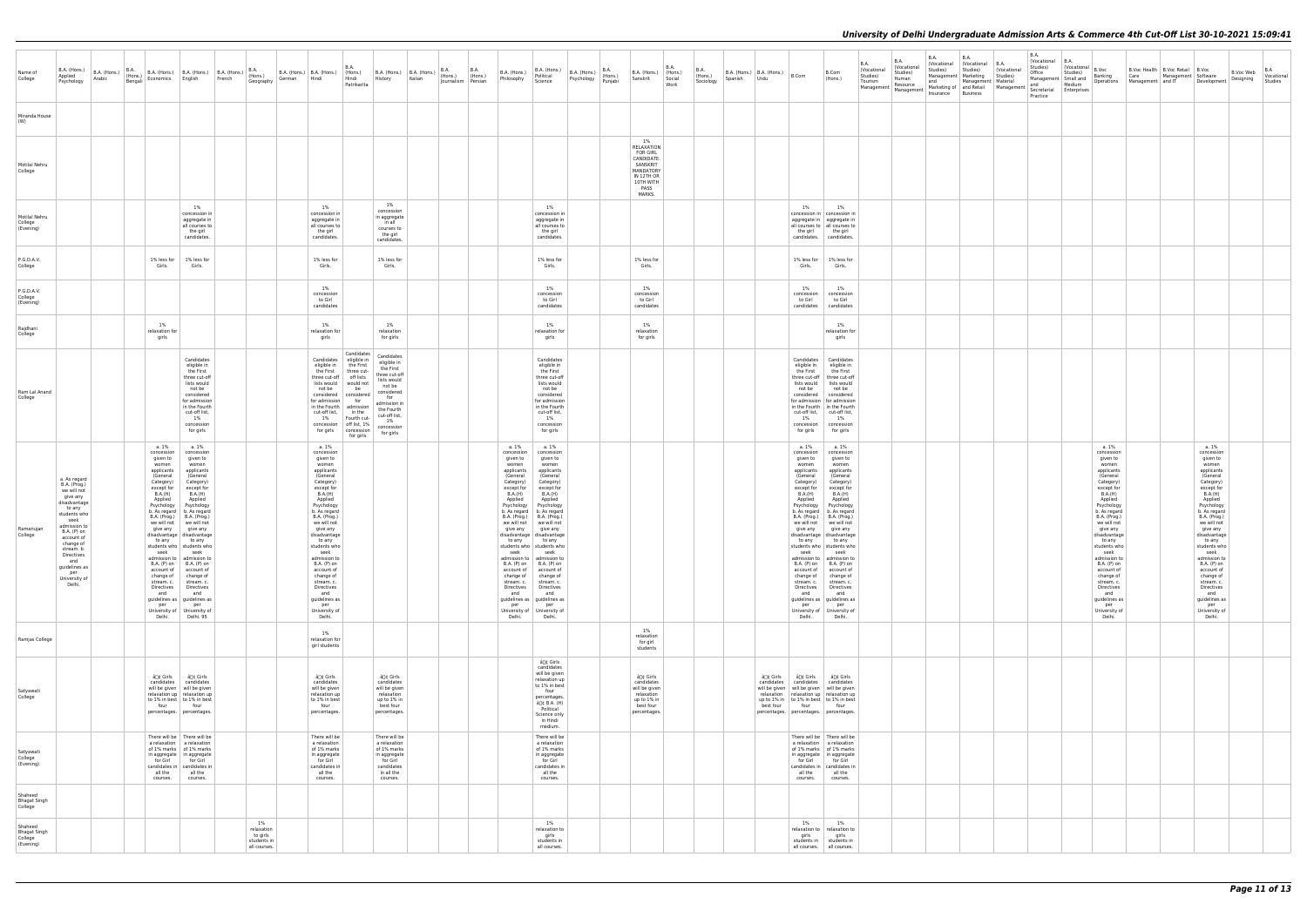|                                                        |                                                                                                                                                                                                                                                           |  |                                                                                                                                    |                                                                                                                                                                                                                                                                                                                                                                                                                                                                                                                                                                                                               |                                                                                                                                                                                                                                                                                                                           |        |                                                                                                                                                                                                                                                                                                                                                                                                |                                                                                                                                                                                                                                                                  |                                                                                                                                                                                       |         |                                                                                                                                                                                                                                                                                                                                                                                      |                                                                                                                                                       |                                                                                                                                                                                                                                                                                                                                                                                                                                                                                                                                                                                                        |                                                                                                     |                                                                                                                  |                               |                                     |         |                                           |                                                                                                                                                                                                                                      |                                                                                                                                                                                                                                                                                                                                                                                                                                                                                                                                | <b>B.A.</b>                                      | <b>B.A.</b>                                                | <b>B.A.</b>     | <b>B.A.</b><br>(Vocational (Vocational B.A.                                       |                                                               | <b>B.A.</b><br>Vocational             | B.A.                                                                                 |                                                                                                                                                                                                                                                                                                                                                                                                |                                                                                 |                                                                                                                                                                                                                                                                                                                                                                                                |                                                   |         |
|--------------------------------------------------------|-----------------------------------------------------------------------------------------------------------------------------------------------------------------------------------------------------------------------------------------------------------|--|------------------------------------------------------------------------------------------------------------------------------------|---------------------------------------------------------------------------------------------------------------------------------------------------------------------------------------------------------------------------------------------------------------------------------------------------------------------------------------------------------------------------------------------------------------------------------------------------------------------------------------------------------------------------------------------------------------------------------------------------------------|---------------------------------------------------------------------------------------------------------------------------------------------------------------------------------------------------------------------------------------------------------------------------------------------------------------------------|--------|------------------------------------------------------------------------------------------------------------------------------------------------------------------------------------------------------------------------------------------------------------------------------------------------------------------------------------------------------------------------------------------------|------------------------------------------------------------------------------------------------------------------------------------------------------------------------------------------------------------------------------------------------------------------|---------------------------------------------------------------------------------------------------------------------------------------------------------------------------------------|---------|--------------------------------------------------------------------------------------------------------------------------------------------------------------------------------------------------------------------------------------------------------------------------------------------------------------------------------------------------------------------------------------|-------------------------------------------------------------------------------------------------------------------------------------------------------|--------------------------------------------------------------------------------------------------------------------------------------------------------------------------------------------------------------------------------------------------------------------------------------------------------------------------------------------------------------------------------------------------------------------------------------------------------------------------------------------------------------------------------------------------------------------------------------------------------|-----------------------------------------------------------------------------------------------------|------------------------------------------------------------------------------------------------------------------|-------------------------------|-------------------------------------|---------|-------------------------------------------|--------------------------------------------------------------------------------------------------------------------------------------------------------------------------------------------------------------------------------------|--------------------------------------------------------------------------------------------------------------------------------------------------------------------------------------------------------------------------------------------------------------------------------------------------------------------------------------------------------------------------------------------------------------------------------------------------------------------------------------------------------------------------------|--------------------------------------------------|------------------------------------------------------------|-----------------|-----------------------------------------------------------------------------------|---------------------------------------------------------------|---------------------------------------|--------------------------------------------------------------------------------------|------------------------------------------------------------------------------------------------------------------------------------------------------------------------------------------------------------------------------------------------------------------------------------------------------------------------------------------------------------------------------------------------|---------------------------------------------------------------------------------|------------------------------------------------------------------------------------------------------------------------------------------------------------------------------------------------------------------------------------------------------------------------------------------------------------------------------------------------------------------------------------------------|---------------------------------------------------|---------|
| Name of<br>College                                     | B.A. (Hons.)<br>Applied<br>Psychology                                                                                                                                                                                                                     |  |                                                                                                                                    |                                                                                                                                                                                                                                                                                                                                                                                                                                                                                                                                                                                                               | $\begin{array}{ l c c c c c } \hline \text{B.A. (Hons.)} & \text{B.A. (Hons.)} & \text{B.A. (Hons.)} & \text{B.A. (Hons.)} & \text{B.A. (Hons.)} & \text{B.A. (Hons.)} \\ \hline \text{Arabic} & \text{Bengali} & \text{Economics} & \text{English} & \text{French} & \text{Geograbtu} \\\hline \end{array}$<br>Geography | German | Hindi                                                                                                                                                                                                                                                                                                                                                                                          | <b>B.A.</b><br>Hindi<br>Patrikarita                                                                                                                                                                                                                              | History                                                                                                                                                                               | Italian | B.A. (Hons.) B.A. (Hons.) $\begin{vmatrix} B & B & B \\ C & D & D \end{vmatrix}$ B.A. (Hons.) B.A. (Hons.) $\begin{vmatrix} B & B & C \\ D & D & D \end{vmatrix}$ (Hons.) $\begin{vmatrix} B & B & C \\ D & D & D \end{vmatrix}$ (Hons.) $\begin{vmatrix} B & B & C \\ D & D & D \end{vmatrix}$ (Hons.) $\begin{vmatrix} B & B & C \\ D & D & D \end{vmatrix}$<br>Journalism Persian | B.A. (Hons.)<br>Philosophy                                                                                                                            | B.A. (Hons.)<br>Political<br>Science                                                                                                                                                                                                                                                                                                                                                                                                                                                                                                                                                                   | $B.A.$ (Hons.) $\left  \begin{array}{c} 0.111 \\ (Hons.) \end{array} \right $<br>Psychology Punjabi | B.A. (Hons.) (Hons.)<br>Sanskrit                                                                                 | <b>B.A.</b><br>Social<br>Work | <b>B.A.</b><br>(Hons.)<br>Sociology | Spanish | B.A. (Hons.) B.A. (Hons.) $B.Com$<br>Urdu |                                                                                                                                                                                                                                      | B.Com<br>(Hons.)                                                                                                                                                                                                                                                                                                                                                                                                                                                                                                               | (Vocational<br>Studies)<br>Tourism<br>Management | (Vocational<br>Studies)<br>Human<br>Resource<br>Management | Studies)<br>and | Studies)<br>Management   Marketing<br>Management   Material<br>Insurance Business | (Vocational<br>Studies)<br>Marketing of and Retail Management | Studies)<br>Office<br>and<br>Practice | (Vocational<br>Studies)<br>Management Small and<br>Medium<br>Secretarial Enterprises | B.Voc<br>Banking                                                                                                                                                                                                                                                                                                                                                                               | B.Voc Health   B.Voc Retail   B.Voc<br>Care<br>Operations   Management   and IT | Management Software<br>Development                                                                                                                                                                                                                                                                                                                                                             | $\vert$ B.Voc Web $\vert$ Vocational<br>Designing | Studies |
| Miranda House<br>(W)                                   |                                                                                                                                                                                                                                                           |  |                                                                                                                                    |                                                                                                                                                                                                                                                                                                                                                                                                                                                                                                                                                                                                               |                                                                                                                                                                                                                                                                                                                           |        |                                                                                                                                                                                                                                                                                                                                                                                                |                                                                                                                                                                                                                                                                  |                                                                                                                                                                                       |         |                                                                                                                                                                                                                                                                                                                                                                                      |                                                                                                                                                       |                                                                                                                                                                                                                                                                                                                                                                                                                                                                                                                                                                                                        |                                                                                                     |                                                                                                                  |                               |                                     |         |                                           |                                                                                                                                                                                                                                      |                                                                                                                                                                                                                                                                                                                                                                                                                                                                                                                                |                                                  |                                                            |                 |                                                                                   |                                                               |                                       |                                                                                      |                                                                                                                                                                                                                                                                                                                                                                                                |                                                                                 |                                                                                                                                                                                                                                                                                                                                                                                                |                                                   |         |
| Motilal Nehru<br>College                               |                                                                                                                                                                                                                                                           |  |                                                                                                                                    |                                                                                                                                                                                                                                                                                                                                                                                                                                                                                                                                                                                                               |                                                                                                                                                                                                                                                                                                                           |        |                                                                                                                                                                                                                                                                                                                                                                                                |                                                                                                                                                                                                                                                                  |                                                                                                                                                                                       |         |                                                                                                                                                                                                                                                                                                                                                                                      |                                                                                                                                                       |                                                                                                                                                                                                                                                                                                                                                                                                                                                                                                                                                                                                        |                                                                                                     | 1%<br>RELAXATION<br>FOR GIRL<br>CANDIDATE.<br>SANSKRIT<br>MANDATORY<br>IN 12TH OR<br>10TH WITH<br>PASS<br>MARKS. |                               |                                     |         |                                           |                                                                                                                                                                                                                                      |                                                                                                                                                                                                                                                                                                                                                                                                                                                                                                                                |                                                  |                                                            |                 |                                                                                   |                                                               |                                       |                                                                                      |                                                                                                                                                                                                                                                                                                                                                                                                |                                                                                 |                                                                                                                                                                                                                                                                                                                                                                                                |                                                   |         |
| Motilal Nehru<br>College<br>(Evening)                  |                                                                                                                                                                                                                                                           |  |                                                                                                                                    | 1%<br>concession in<br>aggregate in<br>all courses to<br>the girl<br>candidates.                                                                                                                                                                                                                                                                                                                                                                                                                                                                                                                              |                                                                                                                                                                                                                                                                                                                           |        | 1%<br>concession in<br>aggregate in<br>all courses to<br>the girl<br>candidates.                                                                                                                                                                                                                                                                                                               |                                                                                                                                                                                                                                                                  | 1%<br>concession<br>in aggregate<br>in all<br>courses to<br>the girl<br>candidates.                                                                                                   |         |                                                                                                                                                                                                                                                                                                                                                                                      |                                                                                                                                                       | 1%<br>concession in<br>aggregate in<br>all courses to<br>the girl<br>candidates.                                                                                                                                                                                                                                                                                                                                                                                                                                                                                                                       |                                                                                                     |                                                                                                                  |                               |                                     |         |                                           | 1%                                                                                                                                                                                                                                   | 1%<br>concession in   concession in<br>aggregate in   aggregate in<br>all courses to all courses to<br>the girl the girl<br>candidates. candidates.                                                                                                                                                                                                                                                                                                                                                                            |                                                  |                                                            |                 |                                                                                   |                                                               |                                       |                                                                                      |                                                                                                                                                                                                                                                                                                                                                                                                |                                                                                 |                                                                                                                                                                                                                                                                                                                                                                                                |                                                   |         |
| P.G.D.A.V.<br>College                                  |                                                                                                                                                                                                                                                           |  | Girls.                                                                                                                             | 1% less for 1% less for<br>Girls.                                                                                                                                                                                                                                                                                                                                                                                                                                                                                                                                                                             |                                                                                                                                                                                                                                                                                                                           |        | 1% less for<br>Girls.                                                                                                                                                                                                                                                                                                                                                                          |                                                                                                                                                                                                                                                                  | 1% less for<br>Girls.                                                                                                                                                                 |         |                                                                                                                                                                                                                                                                                                                                                                                      |                                                                                                                                                       | 1% less for<br>Girls.                                                                                                                                                                                                                                                                                                                                                                                                                                                                                                                                                                                  |                                                                                                     | 1% less for<br>Girls.                                                                                            |                               |                                     |         |                                           | Girls.                                                                                                                                                                                                                               | 1% less for 1% less for<br>Girls.                                                                                                                                                                                                                                                                                                                                                                                                                                                                                              |                                                  |                                                            |                 |                                                                                   |                                                               |                                       |                                                                                      |                                                                                                                                                                                                                                                                                                                                                                                                |                                                                                 |                                                                                                                                                                                                                                                                                                                                                                                                |                                                   |         |
| P.G.D.A.V.<br>College<br>(Evening)                     |                                                                                                                                                                                                                                                           |  |                                                                                                                                    |                                                                                                                                                                                                                                                                                                                                                                                                                                                                                                                                                                                                               |                                                                                                                                                                                                                                                                                                                           |        | 1%<br>concession<br>to Girl<br>candidates                                                                                                                                                                                                                                                                                                                                                      |                                                                                                                                                                                                                                                                  |                                                                                                                                                                                       |         |                                                                                                                                                                                                                                                                                                                                                                                      |                                                                                                                                                       | 1%<br>concession<br>to Girl<br>candidates                                                                                                                                                                                                                                                                                                                                                                                                                                                                                                                                                              |                                                                                                     | 1%<br>concession<br>to Girl<br>candidates                                                                        |                               |                                     |         |                                           | 1%<br>concession<br>to Girl<br>candidates                                                                                                                                                                                            | 1%<br>concession<br>to Girl<br>candidates                                                                                                                                                                                                                                                                                                                                                                                                                                                                                      |                                                  |                                                            |                 |                                                                                   |                                                               |                                       |                                                                                      |                                                                                                                                                                                                                                                                                                                                                                                                |                                                                                 |                                                                                                                                                                                                                                                                                                                                                                                                |                                                   |         |
| Rajdhani<br>College                                    |                                                                                                                                                                                                                                                           |  | 1%<br>relaxation for<br>girls                                                                                                      |                                                                                                                                                                                                                                                                                                                                                                                                                                                                                                                                                                                                               |                                                                                                                                                                                                                                                                                                                           |        | 1%<br>relaxation for<br>girls                                                                                                                                                                                                                                                                                                                                                                  |                                                                                                                                                                                                                                                                  | 1%<br>relaxation<br>for girls                                                                                                                                                         |         |                                                                                                                                                                                                                                                                                                                                                                                      |                                                                                                                                                       | 1%<br>relaxation for<br>girls                                                                                                                                                                                                                                                                                                                                                                                                                                                                                                                                                                          |                                                                                                     | 1%<br>relaxation<br>for girls                                                                                    |                               |                                     |         |                                           |                                                                                                                                                                                                                                      | 1%<br>relaxation for<br>girls                                                                                                                                                                                                                                                                                                                                                                                                                                                                                                  |                                                  |                                                            |                 |                                                                                   |                                                               |                                       |                                                                                      |                                                                                                                                                                                                                                                                                                                                                                                                |                                                                                 |                                                                                                                                                                                                                                                                                                                                                                                                |                                                   |         |
| Ram Lal Anand<br>College                               |                                                                                                                                                                                                                                                           |  |                                                                                                                                    | Candidates<br>eligible in<br>the First<br>three cut-off<br>lists would<br>not be<br>considered<br>for admission<br>in the Fourth<br>cut-off list,<br>1%<br>concession<br>for girls                                                                                                                                                                                                                                                                                                                                                                                                                            |                                                                                                                                                                                                                                                                                                                           |        | three cut-off<br>lists would<br>not be<br>considered<br>for admission<br>cut-off list,<br>1%                                                                                                                                                                                                                                                                                                   | Candidates<br>Candidates eligible in<br>eligible in the First<br>the First   three cut-<br>off lists<br>would not<br>be<br>considered<br>for<br>in the Fourth admission<br>in the<br>Fourth cut-<br>concession off list, 1%<br>for girls concession<br>for girls | Candidates<br>eligible in<br>the First<br>three cut-off<br>lists would<br>not be<br>considered<br>for<br>admission in<br>the Fourth<br>cut-off list,<br>1%<br>concession<br>for girls |         |                                                                                                                                                                                                                                                                                                                                                                                      |                                                                                                                                                       | Candidates<br>eligible in<br>the First<br>three cut-off<br>lists would<br>not be<br>considered<br>for admission<br>in the Fourth<br>cut-off list,<br>1%<br>concession<br>for girls                                                                                                                                                                                                                                                                                                                                                                                                                     |                                                                                                     |                                                                                                                  |                               |                                     |         |                                           | eligible in<br>the First<br>three cut-off<br>lists would<br>not be<br>1%<br>concession<br>for girls                                                                                                                                  | Candidates Candidates<br>eligible in<br>the First<br>three cut-off<br>lists would<br>not be<br>considered considered<br>for admission   for admission<br>in the Fourth $ $ in the Fourth<br>cut-off list, cut-off list,<br>1%<br>concession<br>for girls                                                                                                                                                                                                                                                                       |                                                  |                                                            |                 |                                                                                   |                                                               |                                       |                                                                                      |                                                                                                                                                                                                                                                                                                                                                                                                |                                                                                 |                                                                                                                                                                                                                                                                                                                                                                                                |                                                   |         |
| Ramanujan<br>College                                   | a. As regard<br>B.A. (Prog.)<br>we will not<br>give any<br>disadvantage<br>to any<br>students who<br>seek<br>admission to<br>B.A. (P) on<br>account of<br>change of<br>stream. b.<br>Directives<br>and<br>guidelines as<br>per<br>University of<br>Delhi. |  | a. 1%<br>concession<br>given to<br>women<br>applicants<br>(General<br>Category)<br>B.A.(H)<br>Applied<br>Psychology<br>seek<br>per | a. 1%<br>concession<br>given to<br>women<br>applicants<br>(General<br>Category)<br>except for except for<br>B.A.(H)<br>Applied<br>Psychology<br>b. As regard   b. As regard<br>B.A. (Prog.)   B.A. (Prog.)<br>we will not we will not<br>give any give any<br>disadvantage disadvantage<br>to any to any<br>students who   students who<br>seek<br>admission to admission to<br>B.A. (P) on B.A. (P) on<br>account of account of<br>change of change of<br>stream.c. stream.c.<br>Directives Directives<br>and and<br>guidelines as guidelines as<br>per<br>University of   University of<br>Delhi. Delhi. 95 |                                                                                                                                                                                                                                                                                                                           |        | a. 1%<br>concession<br>given to<br>women<br>applicants<br>(General<br>Category)<br>except for<br>B.A.(H)<br>Applied<br>Psychology<br>b. As regard<br>B.A. (Prog.)<br>we will not<br>give any<br>disadvantage<br>to any<br>students who<br>seek<br>admission to<br>B.A. (P) on<br>account of<br>change of<br>stream. c.<br>Directives<br>and<br>guidelines as<br>per<br>University of<br>Delhi. |                                                                                                                                                                                                                                                                  |                                                                                                                                                                                       |         |                                                                                                                                                                                                                                                                                                                                                                                      | a. 1%<br>concession<br>given to<br>women<br>applicants<br>(General<br>Category)<br>except for<br>B.A.(H)<br>Applied<br>Psychology<br>to any<br>Delhi. | a. 1%<br>concession<br>given to<br>women<br>applicants<br>(General<br>Category)<br>except for<br>B.A.(H)<br>Applied<br>Psychology<br>b. As regard   b. As regard<br>B.A. (Prog.)   B.A. (Prog.)<br>we will not   we will not<br>give any give any<br>disadvantage disadvantage<br>to any<br>students who   students who<br>seek<br>seek<br>admission to admission to<br>B.A. (P) on B.A. (P) on<br>account of account of<br>change of change of<br>stream. c. stream. c.<br>Directives Directives<br>and and<br>guidelines as guidelines as<br>per  <br>per<br>University of   University of<br>Delhi. |                                                                                                     |                                                                                                                  |                               |                                     |         |                                           | a. 1%<br>concession<br>given to<br>women<br>applicants<br>(General<br>Category)<br>except for<br>B.A.(H)<br>Applied<br>Psychology<br>B.A. (Prog.)<br>we will not<br>give any<br>to any<br>seek<br>Directives<br>and<br>per<br>Delhi. | a. 1%<br>concession<br>given to<br>women<br>applicants<br>(General<br>Category)<br>except for<br>B.A.(H)<br>Applied<br>Psychology<br>b. As regard   b. As regard<br>B.A. (Prog.)<br>we will not<br>give any<br>disadvantage disadvantage<br>to any<br>students who   students who<br>seek<br>admission to admission to<br>B.A. (P) on B.A. (P) on<br>account of account of<br>change of change of<br>stream.c. stream.c.<br>Directives<br>and<br>guidelines as guidelines as<br>per<br>University of   University of<br>Delhi. |                                                  |                                                            |                 |                                                                                   |                                                               |                                       |                                                                                      | a. 1%<br>concession<br>given to<br>women<br>applicants<br>(General<br>Category)<br>except for<br>B.A.(H)<br>Applied<br>Psychology<br>b. As regard<br>B.A. (Prog.)<br>we will not<br>give any<br>disadvantage<br>to any<br>students who<br>seek<br>admission to<br>B.A. (P) on<br>account of<br>change of<br>stream. c.<br>Directives<br>and<br>guidelines as<br>per<br>University of<br>Delhi. |                                                                                 | a. 1%<br>concession<br>given to<br>women<br>applicants<br>(General<br>Category)<br>except for<br>B.A.(H)<br>Applied<br>Psychology<br>b. As regard<br>B.A. (Prog.)<br>we will not<br>give any<br>disadvantage<br>to any<br>students who<br>seek<br>admission to<br>B.A. (P) on<br>account of<br>change of<br>stream. c.<br>Directives<br>and<br>guidelines as<br>per<br>University of<br>Delhi. |                                                   |         |
| Ramjas College                                         |                                                                                                                                                                                                                                                           |  |                                                                                                                                    |                                                                                                                                                                                                                                                                                                                                                                                                                                                                                                                                                                                                               |                                                                                                                                                                                                                                                                                                                           |        | 1%<br>relaxation for<br>girl students                                                                                                                                                                                                                                                                                                                                                          |                                                                                                                                                                                                                                                                  |                                                                                                                                                                                       |         |                                                                                                                                                                                                                                                                                                                                                                                      |                                                                                                                                                       |                                                                                                                                                                                                                                                                                                                                                                                                                                                                                                                                                                                                        |                                                                                                     | 1%<br>relaxation<br>for girl<br>students                                                                         |                               |                                     |         |                                           |                                                                                                                                                                                                                                      |                                                                                                                                                                                                                                                                                                                                                                                                                                                                                                                                |                                                  |                                                            |                 |                                                                                   |                                                               |                                       |                                                                                      |                                                                                                                                                                                                                                                                                                                                                                                                |                                                                                 |                                                                                                                                                                                                                                                                                                                                                                                                |                                                   |         |
| Satyawati<br>College                                   |                                                                                                                                                                                                                                                           |  |                                                                                                                                    | â∏¢ Girls   â∏¢ Girls<br>candidates candidates<br>will be given   will be given<br>relaxation up   relaxation up<br>to 1% in best   to 1% in best<br>four   four<br>percentages. percentages.                                                                                                                                                                                                                                                                                                                                                                                                                 |                                                                                                                                                                                                                                                                                                                           |        | â∏¢ Girls<br>candidates<br>will be given<br>relaxation up<br>to 1% in best<br>four<br>percentages.                                                                                                                                                                                                                                                                                             |                                                                                                                                                                                                                                                                  | â∏¢ Girls<br>candidates<br>will be given<br>relaxation<br>up to 1% in<br>best four<br>percentages.                                                                                    |         |                                                                                                                                                                                                                                                                                                                                                                                      |                                                                                                                                                       | â∏¢ Girls<br>candidates<br>will be given<br>relaxation up<br>to 1% in best<br>four<br>percentages.<br>â∏¢ B.A. (H)<br>Political<br>Science only<br>in Hindi<br>medium.                                                                                                                                                                                                                                                                                                                                                                                                                                 |                                                                                                     | â∏¢ Girls<br>candidates<br>will be given<br>relaxation<br>up to 1% in<br>best four<br>percentages.               |                               |                                     |         |                                           | best four   four   four                                                                                                                                                                                                              | â∏¢ Girls   â∏¢ Girls   â∏¢ Girls<br>candidates candidates candidates<br>will be given   will be given   will be given<br>relaxation relaxation up relaxation up<br>up to 1% in   to 1% in best   to 1% in best<br>percentages. percentages. percentages.                                                                                                                                                                                                                                                                      |                                                  |                                                            |                 |                                                                                   |                                                               |                                       |                                                                                      |                                                                                                                                                                                                                                                                                                                                                                                                |                                                                                 |                                                                                                                                                                                                                                                                                                                                                                                                |                                                   |         |
| Satyawati<br>College<br>(Evening)                      |                                                                                                                                                                                                                                                           |  | all the<br>courses.                                                                                                                | There will be   There will be<br>a relaxation a relaxation<br>of 1% marks   of 1% marks<br>in aggregate in aggregate<br>for Girl   for Girl<br>candidates in $ $ candidates in<br>all the<br>courses.                                                                                                                                                                                                                                                                                                                                                                                                         |                                                                                                                                                                                                                                                                                                                           |        | There will be<br>a relaxation<br>of 1% marks<br>in aggregate<br>for Girl<br>candidates in<br>all the<br>courses.                                                                                                                                                                                                                                                                               |                                                                                                                                                                                                                                                                  | There will be<br>a relaxation<br>of 1% marks<br>in aggregate<br>for Girl<br>candidates<br>in all the<br>courses.                                                                      |         |                                                                                                                                                                                                                                                                                                                                                                                      |                                                                                                                                                       | There will be<br>a relaxation<br>of 1% marks<br>in aggregate<br>for Girl<br>candidates in<br>all the<br>courses.                                                                                                                                                                                                                                                                                                                                                                                                                                                                                       |                                                                                                     |                                                                                                                  |                               |                                     |         |                                           | for Girl<br>all the<br>courses.                                                                                                                                                                                                      | There will be   There will be<br>a relaxation a relaxation<br>of 1% marks   of 1% marks<br>in aggregate   in aggregate<br>for Girl<br>candidates in   candidates in<br>all the<br>courses.                                                                                                                                                                                                                                                                                                                                     |                                                  |                                                            |                 |                                                                                   |                                                               |                                       |                                                                                      |                                                                                                                                                                                                                                                                                                                                                                                                |                                                                                 |                                                                                                                                                                                                                                                                                                                                                                                                |                                                   |         |
| Shaheed<br><b>Bhagat Singh</b><br>College              |                                                                                                                                                                                                                                                           |  |                                                                                                                                    |                                                                                                                                                                                                                                                                                                                                                                                                                                                                                                                                                                                                               |                                                                                                                                                                                                                                                                                                                           |        |                                                                                                                                                                                                                                                                                                                                                                                                |                                                                                                                                                                                                                                                                  |                                                                                                                                                                                       |         |                                                                                                                                                                                                                                                                                                                                                                                      |                                                                                                                                                       |                                                                                                                                                                                                                                                                                                                                                                                                                                                                                                                                                                                                        |                                                                                                     |                                                                                                                  |                               |                                     |         |                                           |                                                                                                                                                                                                                                      |                                                                                                                                                                                                                                                                                                                                                                                                                                                                                                                                |                                                  |                                                            |                 |                                                                                   |                                                               |                                       |                                                                                      |                                                                                                                                                                                                                                                                                                                                                                                                |                                                                                 |                                                                                                                                                                                                                                                                                                                                                                                                |                                                   |         |
| Shaheed<br><b>Bhagat Singh</b><br>College<br>(Evening) |                                                                                                                                                                                                                                                           |  |                                                                                                                                    |                                                                                                                                                                                                                                                                                                                                                                                                                                                                                                                                                                                                               | 1%<br>relaxation<br>to girls<br>students in<br>all courses.                                                                                                                                                                                                                                                               |        |                                                                                                                                                                                                                                                                                                                                                                                                |                                                                                                                                                                                                                                                                  |                                                                                                                                                                                       |         |                                                                                                                                                                                                                                                                                                                                                                                      |                                                                                                                                                       | 1%<br>relaxation to<br>girls<br>students in<br>all courses.                                                                                                                                                                                                                                                                                                                                                                                                                                                                                                                                            |                                                                                                     |                                                                                                                  |                               |                                     |         |                                           | $1\%$<br>girls                                                                                                                                                                                                                       | 1%<br>relaxation to relaxation to<br>girls<br>students in students in<br>all courses.   all courses.                                                                                                                                                                                                                                                                                                                                                                                                                           |                                                  |                                                            |                 |                                                                                   |                                                               |                                       |                                                                                      |                                                                                                                                                                                                                                                                                                                                                                                                |                                                                                 |                                                                                                                                                                                                                                                                                                                                                                                                |                                                   |         |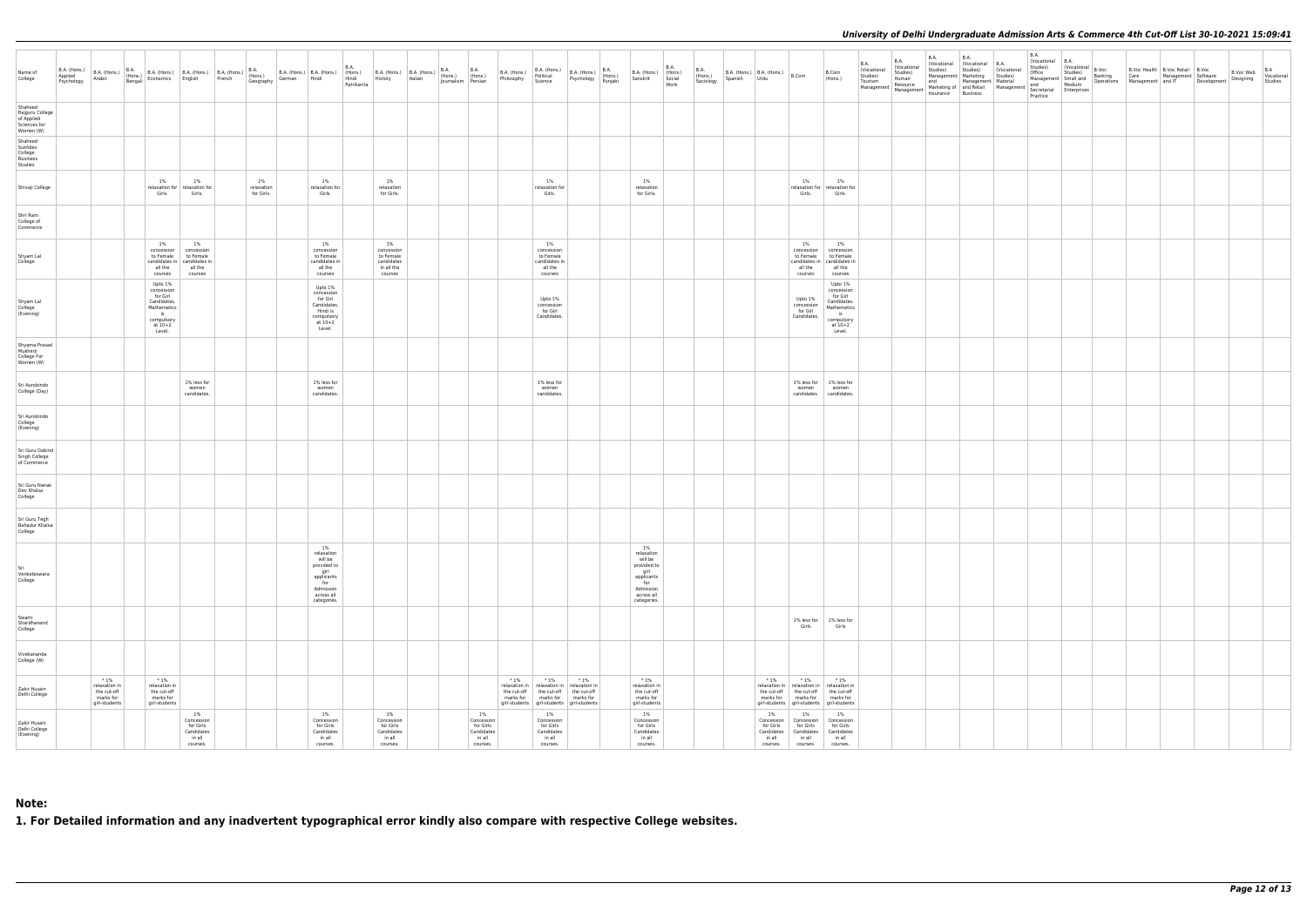| Name of<br>College                                                    |                                                                     |                                                                                                          | B.A. (Hons.) B.A. (Hons.) B.A. (Hons.) B.A. (Hons.) B.A. (Hons.) B.A. (Hons.) B.A. (Hons.) B.A. (Hons.) B.A. (Hons.) B.A. (Hons.) B.A. (Hons.) B.A. (Hons.) B.A. (Hons.) B.A. (Hons.) B.A. (Hons.) B.A. (Hons.) B.A. (Hons.) ( |                                |                                                                                                                   | <b>B.A.</b> |                                                                      |  |                                                                   |        |                                                                                                                                                                                  |        | B.A. (Hons.)<br>Psychology (Hons.)<br>Punjabi | B.A. (Hons.) (Hons.)<br>Sanskrit Social                                                                           | <b>B.A.</b> | B.A.<br>(Hons.)<br>Sociology | B.A. (Hons.)   B.A. (Hons.)   B.Com<br>Spanish Urdu |                                                                                                                                                                              | B.Com<br>(Hons.)                                                                                              | <b>B.A.</b><br>(Vocational<br>Studies) | <b>B.A.</b><br>(Vocational<br>Studies)<br>Human | <b>B.A.</b><br>Tourism Human<br>Tourism Resource and Management Material and Medium<br>Management Management Marketing of and<br>Management Insurance Business<br>Practice Partice Desiness<br>Practice Partice Practice | <b>B.A.</b><br>(Vocational (Vocational B.A.<br>Studies) Studies) (Vocational<br>Management   Marketing   Studies) | <b>B.A.</b><br>Vocational B.A.<br>Studies)<br>Office<br>Practice | $\begin{array}{c c} \mathsf{b}.\mathsf{m}.\end{array}$ (Vocational $\mathsf{B}.\mathsf{Voc}$<br>Studies) |  | B.Voc Health   B.Voc Retail   B.Voc<br>Office Studies)<br>Management Small and Danking Care Management Software B. P.V. We Wocational<br>and Designing Madium Operations Management and IT Development Designing Studies | $\big $ B.Voc Web $\big $ Vocational |
|-----------------------------------------------------------------------|---------------------------------------------------------------------|----------------------------------------------------------------------------------------------------------|--------------------------------------------------------------------------------------------------------------------------------------------------------------------------------------------------------------------------------|--------------------------------|-------------------------------------------------------------------------------------------------------------------|-------------|----------------------------------------------------------------------|--|-------------------------------------------------------------------|--------|----------------------------------------------------------------------------------------------------------------------------------------------------------------------------------|--------|-----------------------------------------------|-------------------------------------------------------------------------------------------------------------------|-------------|------------------------------|-----------------------------------------------------|------------------------------------------------------------------------------------------------------------------------------------------------------------------------------|---------------------------------------------------------------------------------------------------------------|----------------------------------------|-------------------------------------------------|--------------------------------------------------------------------------------------------------------------------------------------------------------------------------------------------------------------------------|-------------------------------------------------------------------------------------------------------------------|------------------------------------------------------------------|----------------------------------------------------------------------------------------------------------|--|--------------------------------------------------------------------------------------------------------------------------------------------------------------------------------------------------------------------------|--------------------------------------|
| Shaheed<br>Rajguru College<br>of Applied<br>Sciences for<br>Women (W) |                                                                     |                                                                                                          |                                                                                                                                                                                                                                |                                |                                                                                                                   |             |                                                                      |  |                                                                   |        |                                                                                                                                                                                  |        |                                               |                                                                                                                   |             |                              |                                                     |                                                                                                                                                                              |                                                                                                               |                                        |                                                 |                                                                                                                                                                                                                          |                                                                                                                   |                                                                  |                                                                                                          |  |                                                                                                                                                                                                                          |                                      |
| Shaheed<br>Sukhdev<br>College<br>Business<br>Studies                  |                                                                     |                                                                                                          |                                                                                                                                                                                                                                |                                |                                                                                                                   |             |                                                                      |  |                                                                   |        |                                                                                                                                                                                  |        |                                               |                                                                                                                   |             |                              |                                                     |                                                                                                                                                                              |                                                                                                               |                                        |                                                 |                                                                                                                                                                                                                          |                                                                                                                   |                                                                  |                                                                                                          |  |                                                                                                                                                                                                                          |                                      |
| Shivaji College                                                       |                                                                     | 1%<br>Girls.                                                                                             | 1%<br>relaxation for relaxation for<br>Girls.                                                                                                                                                                                  | 1%<br>relaxation<br>for Girls. | 1%<br>relaxation for<br>Girls.                                                                                    |             | 1%<br>relaxation<br>for Girls.                                       |  |                                                                   |        | 1%<br>relaxation for<br>Girls.                                                                                                                                                   |        |                                               | 1%<br>relaxation<br>for Girls.                                                                                    |             |                              |                                                     | 1%<br>Girls.                                                                                                                                                                 | 1%<br>relaxation for relaxation for<br>Girls.                                                                 |                                        |                                                 |                                                                                                                                                                                                                          |                                                                                                                   |                                                                  |                                                                                                          |  |                                                                                                                                                                                                                          |                                      |
| Shri Ram<br>College of<br>Commerce                                    |                                                                     |                                                                                                          |                                                                                                                                                                                                                                |                                |                                                                                                                   |             |                                                                      |  |                                                                   |        |                                                                                                                                                                                  |        |                                               |                                                                                                                   |             |                              |                                                     |                                                                                                                                                                              |                                                                                                               |                                        |                                                 |                                                                                                                                                                                                                          |                                                                                                                   |                                                                  |                                                                                                          |  |                                                                                                                                                                                                                          |                                      |
| Shyam Lal<br>College                                                  |                                                                     | 1%<br>all the<br>courses                                                                                 | 1%<br>concession concession<br>to Female to Female<br>candidates in   candidates in<br>all the<br>courses                                                                                                                      |                                | 1%<br>concession<br>to Female<br>candidates in<br>all the<br>courses                                              |             | 1%<br>concession<br>to Female<br>candidates<br>in all the<br>courses |  |                                                                   |        | 1%<br>concession<br>to Female<br>candidates in<br>all the<br>courses                                                                                                             |        |                                               |                                                                                                                   |             |                              |                                                     | 1%<br>concession<br>to Female<br>all the<br>courses                                                                                                                          | 1%<br>concession<br>to Female<br>candidates in   candidates in<br>all the<br>courses                          |                                        |                                                 |                                                                                                                                                                                                                          |                                                                                                                   |                                                                  |                                                                                                          |  |                                                                                                                                                                                                                          |                                      |
| Shyam Lal<br>College<br>(Evening)                                     |                                                                     | Upto 1%<br>concession<br>for Girl<br>Candidates.<br>Mathematics<br>iS<br>compulsory<br>at 10+2<br>Level. |                                                                                                                                                                                                                                |                                | Upto 1%<br>concession<br>for Girl<br>Candidates.<br>Hindi is<br>compulsory<br>at 10+2<br>Level.                   |             |                                                                      |  |                                                                   |        | Upto 1%<br>concession<br>for Girl<br>Candidates.                                                                                                                                 |        |                                               |                                                                                                                   |             |                              |                                                     | Upto 1%<br>concession<br>for Girl<br>Candidates.                                                                                                                             | Upto 1%<br>concession<br>for Girl<br>Candidates.<br>Mathematics<br>$i$ s<br>compulsory<br>at $10+2$<br>Level. |                                        |                                                 |                                                                                                                                                                                                                          |                                                                                                                   |                                                                  |                                                                                                          |  |                                                                                                                                                                                                                          |                                      |
| Shyama Prasad<br>Mukherji<br>College For<br>Women (W)                 |                                                                     |                                                                                                          |                                                                                                                                                                                                                                |                                |                                                                                                                   |             |                                                                      |  |                                                                   |        |                                                                                                                                                                                  |        |                                               |                                                                                                                   |             |                              |                                                     |                                                                                                                                                                              |                                                                                                               |                                        |                                                 |                                                                                                                                                                                                                          |                                                                                                                   |                                                                  |                                                                                                          |  |                                                                                                                                                                                                                          |                                      |
| Sri Aurobindo<br>College (Day)                                        |                                                                     |                                                                                                          | 1% less for<br>women<br>candidates.                                                                                                                                                                                            |                                | 1% less for<br>women<br>candidates.                                                                               |             |                                                                      |  |                                                                   |        | 1% less for<br>women<br>candidates.                                                                                                                                              |        |                                               |                                                                                                                   |             |                              |                                                     | women                                                                                                                                                                        | 1% less for 1% less for<br>women<br>candidates. candidates.                                                   |                                        |                                                 |                                                                                                                                                                                                                          |                                                                                                                   |                                                                  |                                                                                                          |  |                                                                                                                                                                                                                          |                                      |
| Sri Aurobindo<br>College<br>(Evening)                                 |                                                                     |                                                                                                          |                                                                                                                                                                                                                                |                                |                                                                                                                   |             |                                                                      |  |                                                                   |        |                                                                                                                                                                                  |        |                                               |                                                                                                                   |             |                              |                                                     |                                                                                                                                                                              |                                                                                                               |                                        |                                                 |                                                                                                                                                                                                                          |                                                                                                                   |                                                                  |                                                                                                          |  |                                                                                                                                                                                                                          |                                      |
| Sri Guru Gobind<br>Singh College<br>of Commerce                       |                                                                     |                                                                                                          |                                                                                                                                                                                                                                |                                |                                                                                                                   |             |                                                                      |  |                                                                   |        |                                                                                                                                                                                  |        |                                               |                                                                                                                   |             |                              |                                                     |                                                                                                                                                                              |                                                                                                               |                                        |                                                 |                                                                                                                                                                                                                          |                                                                                                                   |                                                                  |                                                                                                          |  |                                                                                                                                                                                                                          |                                      |
| Sri Guru Nanak<br>Dev Khalsa<br>College                               |                                                                     |                                                                                                          |                                                                                                                                                                                                                                |                                |                                                                                                                   |             |                                                                      |  |                                                                   |        |                                                                                                                                                                                  |        |                                               |                                                                                                                   |             |                              |                                                     |                                                                                                                                                                              |                                                                                                               |                                        |                                                 |                                                                                                                                                                                                                          |                                                                                                                   |                                                                  |                                                                                                          |  |                                                                                                                                                                                                                          |                                      |
| Sri Guru Tegh<br>Bahadur Khalsa<br>College                            |                                                                     |                                                                                                          |                                                                                                                                                                                                                                |                                |                                                                                                                   |             |                                                                      |  |                                                                   |        |                                                                                                                                                                                  |        |                                               |                                                                                                                   |             |                              |                                                     |                                                                                                                                                                              |                                                                                                               |                                        |                                                 |                                                                                                                                                                                                                          |                                                                                                                   |                                                                  |                                                                                                          |  |                                                                                                                                                                                                                          |                                      |
| Sri<br>Venketeswara<br>College                                        |                                                                     |                                                                                                          |                                                                                                                                                                                                                                |                                | 1%<br>relaxation<br>will be<br>provided to<br>girl<br>applicants<br>for<br>Admission<br>across all<br>categories. |             |                                                                      |  |                                                                   |        |                                                                                                                                                                                  |        |                                               | 1%<br>relaxation<br>will be<br>provided to<br>girl<br>applicants<br>for<br>Admission<br>across all<br>categories. |             |                              |                                                     |                                                                                                                                                                              |                                                                                                               |                                        |                                                 |                                                                                                                                                                                                                          |                                                                                                                   |                                                                  |                                                                                                          |  |                                                                                                                                                                                                                          |                                      |
| Swami<br>Shardhanand<br>College                                       |                                                                     |                                                                                                          |                                                                                                                                                                                                                                |                                |                                                                                                                   |             |                                                                      |  |                                                                   |        |                                                                                                                                                                                  |        |                                               |                                                                                                                   |             |                              |                                                     | Girls                                                                                                                                                                        | 1% less for 1% less for<br>Girls                                                                              |                                        |                                                 |                                                                                                                                                                                                                          |                                                                                                                   |                                                                  |                                                                                                          |  |                                                                                                                                                                                                                          |                                      |
| Vivekananda<br>College (W)                                            |                                                                     |                                                                                                          |                                                                                                                                                                                                                                |                                |                                                                                                                   |             |                                                                      |  |                                                                   |        |                                                                                                                                                                                  |        |                                               |                                                                                                                   |             |                              |                                                     |                                                                                                                                                                              |                                                                                                               |                                        |                                                 |                                                                                                                                                                                                                          |                                                                                                                   |                                                                  |                                                                                                          |  |                                                                                                                                                                                                                          |                                      |
| Zakir Husain<br>Delhi College                                         | $*1%$<br>relaxation in<br>the cut-off<br>marks for<br>girl-students | $*1%$<br>relaxation in<br>the cut-off<br>marks for<br>girl-students                                      |                                                                                                                                                                                                                                |                                |                                                                                                                   |             |                                                                      |  |                                                                   | $*1\%$ | $*1\%$<br>relaxation in   relaxation in   relaxation in<br>the cut-off the cut-off the cut-off<br>marks for   marks for   marks for<br>girl-students girl-students girl-students | $*1\%$ |                                               | $*1%$<br>relaxation in<br>the cut-off<br>marks for<br>girl-students                                               |             |                              | $*1%$                                               | $*1\%$<br>relaxation in   relaxation in   relaxation in<br>the cut-off the cut-off the cut-off<br>marks for marks for marks for<br>girl-students girl-students girl-students | $*1%$                                                                                                         |                                        |                                                 |                                                                                                                                                                                                                          |                                                                                                                   |                                                                  |                                                                                                          |  |                                                                                                                                                                                                                          |                                      |
| Zakir Husain<br>Delhi College<br>(Evening)                            |                                                                     |                                                                                                          | 1%<br>Concession<br>for Girls<br>Candidates<br>in all<br>courses.                                                                                                                                                              |                                | 1%<br>Concession<br>for Girls<br>Candidates<br>in all<br>courses.                                                 |             | 1%<br>Concession<br>for Girls<br>Candidates<br>in all<br>courses.    |  | 1%<br>Concession<br>for Girls<br>Candidates<br>in all<br>courses. |        | 1%<br>Concession<br>for Girls<br>Candidates<br>in all<br>courses.                                                                                                                |        |                                               | 1%<br>Concession<br>for Girls<br>Candidates<br>in all<br>courses.                                                 |             |                              | 1%<br>for Girls<br>Candidates<br>in all<br>courses. | 1%<br>Concession   Concession   Concession<br>for Girls<br>Candidates<br>in all<br>courses.                                                                                  | 1%<br>for Girls<br>Candidates<br>in all<br>courses.                                                           |                                        |                                                 |                                                                                                                                                                                                                          |                                                                                                                   |                                                                  |                                                                                                          |  |                                                                                                                                                                                                                          |                                      |

# **Note:**

**1. For Detailed information and any inadvertent typographical error kindly also compare with respective College websites.**